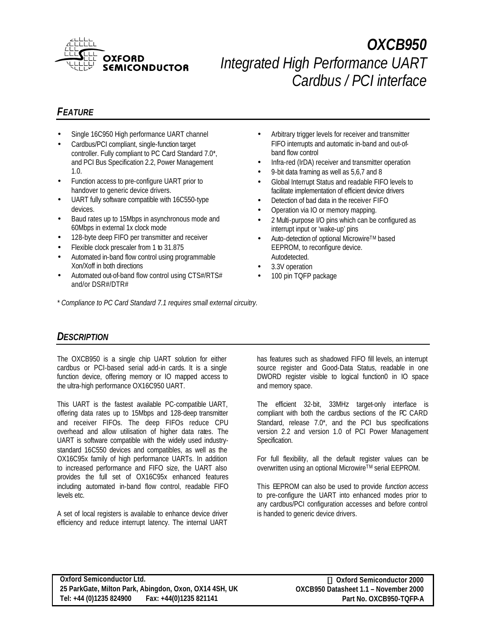

# *OXCB950 Integrated High Performance UART Cardbus / PCI interface*

# *FEATURE*

- Single 16C950 High performance UART channel
- Cardbus/PCI compliant, single-function target controller. Fully compliant to PC Card Standard 7.0\*, and PCI Bus Specification 2.2, Power Management 1.0.
- Function access to pre-configure UART prior to handover to generic device drivers.
- UART fully software compatible with 16C550-type devices.
- Baud rates up to 15Mbps in asynchronous mode and 60Mbps in external 1x clock mode
- 128-byte deep FIFO per transmitter and receiver
- Flexible clock prescaler from 1 to 31.875
- Automated in-band flow control using programmable Xon/Xoff in both directions
- Automated out-of-band flow control using CTS#/RTS# and/or DSR#/DTR#

*\* Compliance to PC Card Standard 7.1 requires small external circuitry.*

- Arbitrary trigger levels for receiver and transmitter FIFO interrupts and automatic in-band and out-ofband flow control
- Infra-red (IrDA) receiver and transmitter operation
- 9-bit data framing as well as 5,6,7 and 8
- Global Interrupt Status and readable FIFO levels to facilitate implementation of efficient device drivers
- Detection of bad data in the receiver FIFO
- Operation via IO or memory mapping.
- 2 Multi-purpose I/O pins which can be configured as interrupt input or 'wake-up' pins
- Auto-detection of optional MicrowireTM based EEPROM, to reconfigure device. Autodetected.
- 3.3V operation
- 100 pin TQFP package

# *DESCRIPTION*

The OXCB950 is a single chip UART solution for either cardbus or PCI-based serial add-in cards. It is a single function device, offering memory or IO mapped access to the ultra-high performance OX16C950 UART.

This UART is the fastest available PC-compatible UART, offering data rates up to 15Mbps and 128-deep transmitter and receiver FIFOs. The deep FIFOs reduce CPU overhead and allow utilisation of higher data rates. The UART is software compatible with the widely used industrystandard 16C550 devices and compatibles, as well as the OX16C95x family of high performance UARTs. In addition to increased performance and FIFO size, the UART also provides the full set of OX16C95x enhanced features including automated in-band flow control, readable FIFO levels etc.

A set of local registers is available to enhance device driver efficiency and reduce interrupt latency. The internal UART has features such as shadowed FIFO fill levels, an interrupt source register and Good-Data Status, readable in one DWORD register visible to logical function0 in IO space and memory space.

The efficient 32-bit, 33MHz target-only interface is compliant with both the cardbus sections of the PC CARD Standard, release 7.0\*, and the PCI bus specifications version 2.2 and version 1.0 of PCI Power Management Specification.

For full flexibility, all the default register values can be overwritten using an optional Microwire™ serial EEPROM.

This EEPROM can also be used to provide *function access*  to pre-configure the UART into enhanced modes prior to any cardbus/PCI configuration accesses and before control is handed to generic device drivers.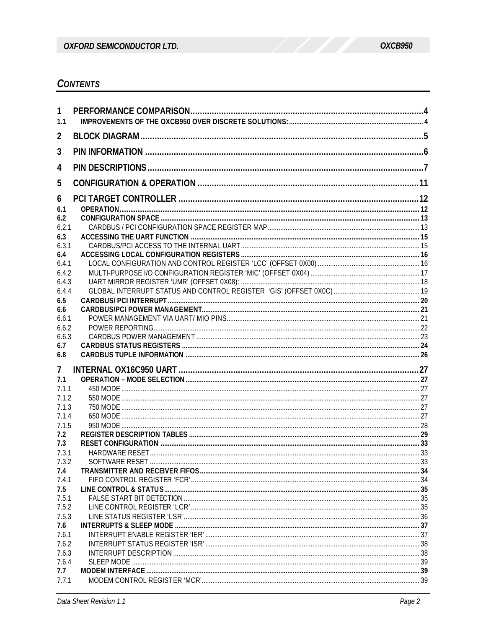# **CONTENTS**

| 1            |  |
|--------------|--|
| 1.1          |  |
| 2            |  |
| 3            |  |
| 4            |  |
|              |  |
| 5            |  |
| 6            |  |
| 6.1          |  |
| 6.2          |  |
| 6.2.1        |  |
| 6.3<br>6.3.1 |  |
| 6.4          |  |
| 6.4.1        |  |
| 6.4.2        |  |
| 6.4.3        |  |
| 6.4.4        |  |
| 6.5          |  |
| 6.6          |  |
| 6.6.1        |  |
| 6.6.2        |  |
| 6.6.3        |  |
| 6.7          |  |
| 6.8          |  |
|              |  |
| 7            |  |
| 7.1          |  |
| 7.1.1        |  |
| 7.1.2        |  |
| 7.1.3        |  |
| 7.1.4        |  |
| 7.1.5        |  |
| 7.2          |  |
| 7.3          |  |
| 7.3.1        |  |
| 7.3.2        |  |
| 7.4          |  |
| 7.4.1        |  |
| 7.5<br>7.5.1 |  |
| 7.5.2        |  |
| 7.5.3        |  |
| 7.6          |  |
| 7.6.1        |  |
| 7.6.2        |  |
| 7.6.3        |  |
| 7.6.4        |  |
| 7.7<br>7.7.1 |  |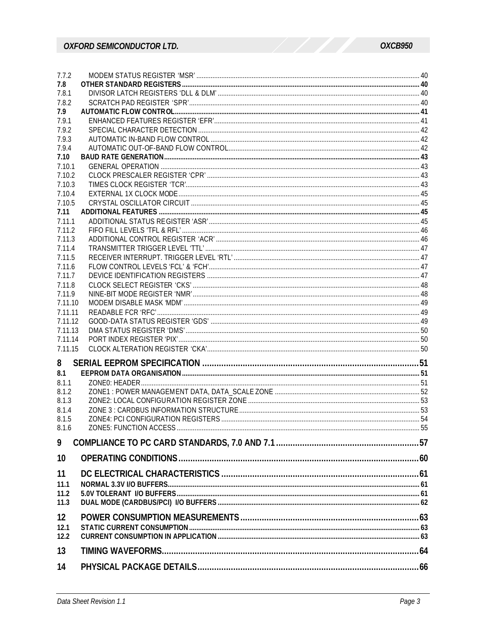| 7.7.2         |  |
|---------------|--|
| 7.8           |  |
| 7.8.1         |  |
| 7.8.2         |  |
| 7.9           |  |
| 7.9.1         |  |
| 7.9.2         |  |
| 7.9.3         |  |
| 7.9.4<br>7.10 |  |
| 7.10.1        |  |
| 7.10.2        |  |
| 7.10.3        |  |
| 7.10.4        |  |
| 7.10.5        |  |
| 7.11          |  |
| 7.11.1        |  |
| 7.11.2        |  |
| 7.11.3        |  |
| 7.11.4        |  |
| 7.11.5        |  |
| 7.11.6        |  |
| 7.11.7        |  |
| 7.11.8        |  |
| 7.11.9        |  |
| 7.11.10       |  |
| 7.11.11       |  |
| 7.11.12       |  |
| 7.11.13       |  |
| 7.11.14       |  |
| 7.11.15       |  |
| 8             |  |
| 8.1           |  |
| 8.1.1         |  |
| 8.1.2         |  |
| 8.1.3         |  |
| 8.1.4         |  |
| 8.1.5         |  |
| 8.1.6         |  |
| 9             |  |
|               |  |
| 10            |  |
| 11            |  |
| 11.1          |  |
| 11.2          |  |
| 11.3          |  |
|               |  |
| 12            |  |
| 12.1          |  |
| 12.2          |  |
| 13            |  |
| 14            |  |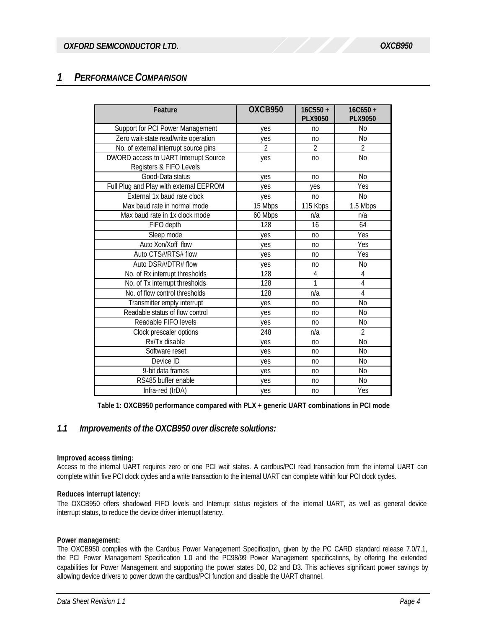# *1 PERFORMANCE COMPARISON*

| Feature                                 | <b>OXCB950</b> | $16C550 +$<br><b>PLX9050</b> | $16C650 +$<br><b>PLX9050</b> |
|-----------------------------------------|----------------|------------------------------|------------------------------|
| Support for PCI Power Management        | yes            | n <sub>0</sub>               | No                           |
| Zero wait-state read/write operation    | yes            | n <sub>0</sub>               | <b>No</b>                    |
| No. of external interrupt source pins   | $\overline{2}$ | $\overline{2}$               | $\overline{2}$               |
| DWORD access to UART Interrupt Source   | yes            | n <sub>o</sub>               | No                           |
| Registers & FIFO Levels                 |                |                              |                              |
| Good-Data status                        | yes            | n <sub>o</sub>               | No                           |
| Full Plug and Play with external EEPROM | yes            | yes                          | Yes                          |
| External 1x baud rate clock             | yes            | no                           | N <sub>0</sub>               |
| Max baud rate in normal mode            | 15 Mbps        | 115 Kbps                     | 1.5 Mbps                     |
| Max baud rate in 1x clock mode          | 60 Mbps        | n/a                          | n/a                          |
| FIFO depth                              | 128            | 16                           | 64                           |
| Sleep mode                              | yes            | n <sub>0</sub>               | Yes                          |
| Auto Xon/Xoff flow                      | yes            | n <sub>0</sub>               | Yes                          |
| Auto CTS#/RTS# flow                     | yes            | n <sub>0</sub>               | Yes                          |
| Auto DSR#/DTR# flow                     | yes            | no                           | <b>No</b>                    |
| No. of Rx interrupt thresholds          | 128            | $\overline{4}$               | 4                            |
| No. of Tx interrupt thresholds          | 128            | 1                            | $\overline{4}$               |
| No. of flow control thresholds          | 128            | n/a                          | $\overline{4}$               |
| Transmitter empty interrupt             | yes            | n <sub>o</sub>               | No                           |
| Readable status of flow control         | yes            | n <sub>o</sub>               | N <sub>o</sub>               |
| Readable FIFO levels                    | yes            | n <sub>o</sub>               | No                           |
| Clock prescaler options                 | 248            | n/a                          | $\overline{2}$               |
| Rx/Tx disable                           | yes            | n <sub>o</sub>               | N <sub>o</sub>               |
| Software reset                          | yes            | n <sub>o</sub>               | N <sub>o</sub>               |
| Device ID                               | yes            | n <sub>o</sub>               | No                           |
| 9-bit data frames                       | yes            | n <sub>o</sub>               | N <sub>o</sub>               |
| RS485 buffer enable                     | yes            | n <sub>o</sub>               | No                           |
| Infra-red (IrDA)                        | yes            | n <sub>o</sub>               | Yes                          |

**Table 1: OXCB950 performance compared with PLX + generic UART combinations in PCI mode**

## *1.1 Improvements of the OXCB950 over discrete solutions:*

#### **Improved access timing:**

Access to the internal UART requires zero or one PCI wait states. A cardbus/PCI read transaction from the internal UART can complete within five PCI clock cycles and a write transaction to the internal UART can complete within four PCI clock cycles.

### **Reduces interrupt latency:**

The OXCB950 offers shadowed FIFO levels and Interrupt status registers of the internal UART, as well as general device interrupt status, to reduce the device driver interrupt latency.

### **Power management:**

The OXCB950 complies with the Cardbus Power Management Specification, given by the PC CARD standard release 7.0/7.1, the PCI Power Management Specification 1.0 and the PC98/99 Power Management specifications, by offering the extended capabilities for Power Management and supporting the power states D0, D2 and D3. This achieves significant power savings by allowing device drivers to power down the cardbus/PCI function and disable the UART channel.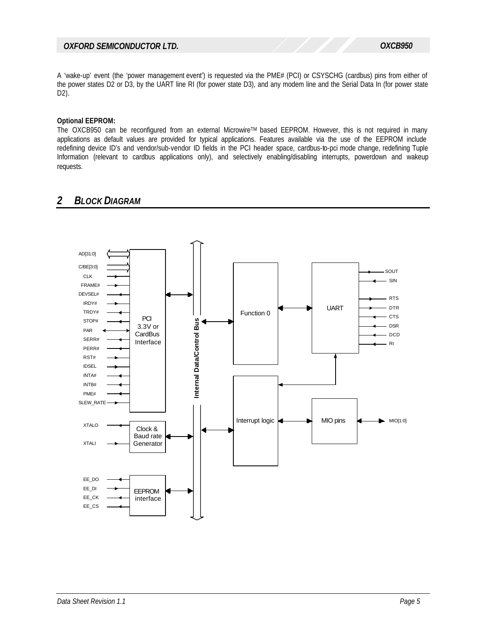A 'wake-up' event (the 'power management event') is requested via the PME# (PCI) or CSYSCHG (cardbus) pins from either of the power states D2 or D3, by the UART line RI (for power state D3), and any modem line and the Serial Data In (for power state D2).

#### **Optional EEPROM:**

The OXCB950 can be reconfigured from an external Microwire<sup>TM</sup> based EEPROM. However, this is not required in many applications as default values are provided for typical applications. Features available via the use of the EEPROM include redefining device ID's and vendor/sub-vendor ID fields in the PCI header space, cardbus-to-pci mode change, redefining Tuple Information (relevant to cardbus applications only), and selectively enabling/disabling interrupts, powerdown and wakeup requests.

# *2 BLOCK DIAGRAM*

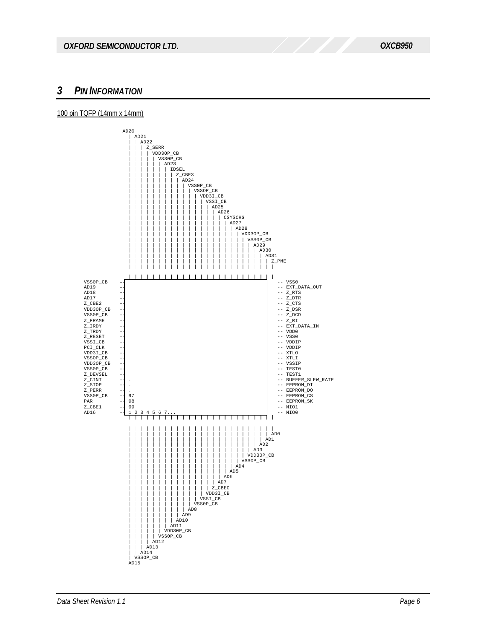# *3 PIN INFORMATION*

## 100 pin TQFP (14mm x 14mm)

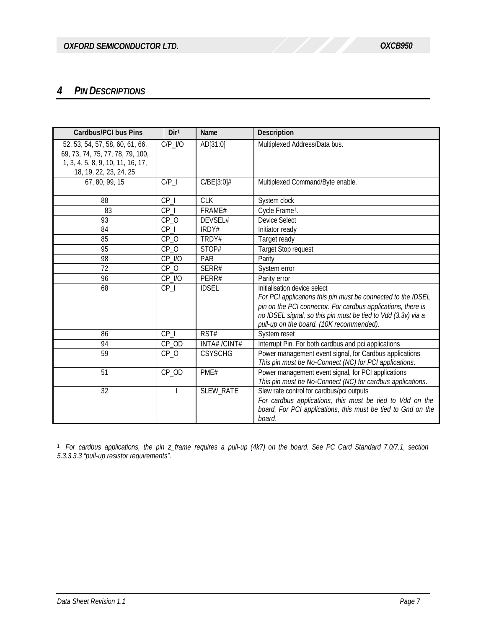# *4 PIN DESCRIPTIONS*

| <b>Cardbus/PCI bus Pins</b>       | Dir <sup>1</sup> | Name           | Description                                                   |
|-----------------------------------|------------------|----------------|---------------------------------------------------------------|
| 52, 53, 54, 57, 58, 60, 61, 66,   | $C/P$ $I/O$      | AD[31:0]       | Multiplexed Address/Data bus.                                 |
| 69, 73, 74, 75, 77, 78, 79, 100,  |                  |                |                                                               |
| 1, 3, 4, 5, 8, 9, 10, 11, 16, 17, |                  |                |                                                               |
| 18, 19, 22, 23, 24, 25            |                  |                |                                                               |
| 67, 80, 99, 15                    | $C/P_$           | $C/BE[3:0]$ #  | Multiplexed Command/Byte enable.                              |
| 88                                | $CP_$            | <b>CLK</b>     | System clock                                                  |
| 83                                | $CP_$            | FRAME#         | Cycle Frame <sup>1</sup> .                                    |
| 93                                | $CP_0$           | DEVSEL#        | <b>Device Select</b>                                          |
| 84                                | $CP_$            | IRDY#          | Initiator ready                                               |
| 85                                | $CP_0$           | TRDY#          | Target ready                                                  |
| 95                                | $CP_0$           | STOP#          | <b>Target Stop request</b>                                    |
| 98                                | $CP$ $I/O$       | PAR            | Parity                                                        |
| 72                                | $CP_0$           | SERR#          | System error                                                  |
| 96                                | $CP$ $I/O$       | PERR#          | Parity error                                                  |
| 68                                | $CP_$            | <b>IDSEL</b>   | Initialisation device select                                  |
|                                   |                  |                | For PCI applications this pin must be connected to the IDSEL  |
|                                   |                  |                | pin on the PCI connector. For cardbus applications, there is  |
|                                   |                  |                | no IDSEL signal, so this pin must be tied to Vdd (3.3v) via a |
|                                   |                  |                | pull-up on the board. (10K recommended).                      |
| 86                                | $CP_$            | RST#           | System reset                                                  |
| 94                                | CP_OD            | INTA# /CINT#   | Interrupt Pin. For both cardbus and pci applications          |
| 59                                | $CP_0$           | <b>CSYSCHG</b> | Power management event signal, for Cardbus applications       |
|                                   |                  |                | This pin must be No-Connect (NC) for PCI applications.        |
| 51                                | CP_OD            | PME#           | Power management event signal, for PCI applications           |
|                                   |                  |                | This pin must be No-Connect (NC) for cardbus applications.    |
| 32                                |                  | SLEW_RATE      | Slew rate control for cardbus/pci outputs                     |
|                                   |                  |                | For cardbus applications, this must be tied to Vdd on the     |
|                                   |                  |                | board. For PCI applications, this must be tied to Gnd on the  |
|                                   |                  |                | board.                                                        |

<sup>1</sup>*For cardbus applications, the pin z\_frame requires a pull-up (4k7) on the board. See PC Card Standard 7.0/7.1, section 5.3.3.3.3 "pull-up resistor requirements".*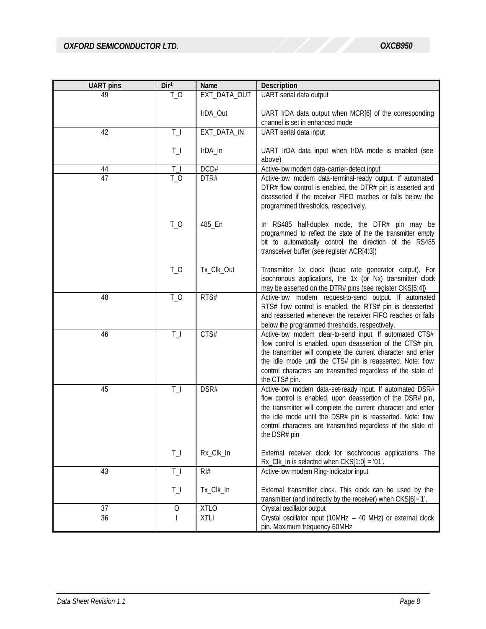| <b>UART</b> pins | Dir <sup>1</sup> | Name         | Description                                                                                                                                                                                                                                                                                                                            |
|------------------|------------------|--------------|----------------------------------------------------------------------------------------------------------------------------------------------------------------------------------------------------------------------------------------------------------------------------------------------------------------------------------------|
| 49               | $T_0$            | EXT_DATA_OUT | UART serial data output                                                                                                                                                                                                                                                                                                                |
|                  |                  | IrDA_Out     | UART IrDA data output when MCR[6] of the corresponding<br>channel is set in enhanced mode                                                                                                                                                                                                                                              |
| 42               | $T_l$            | EXT_DATA_IN  | UART serial data input                                                                                                                                                                                                                                                                                                                 |
|                  | $T_{-}$          | IrDA_In      | UART IrDA data input when IrDA mode is enabled (see<br>above)                                                                                                                                                                                                                                                                          |
| 44               | $T_{-}$          | DCD#         | Active-low modem data-carrier-detect input                                                                                                                                                                                                                                                                                             |
| 47               | $T_0$            | DTR#         | Active-low modem data-terminal-ready output. If automated<br>DTR# flow control is enabled, the DTR# pin is asserted and<br>deasserted if the receiver FIFO reaches or falls below the<br>programmed thresholds, respectively.                                                                                                          |
|                  | $T_0$            | 485_En       | In RS485 half-duplex mode, the DTR# pin may be<br>programmed to reflect the state of the the transmitter empty<br>bit to automatically control the direction of the RS485<br>transceiver buffer (see register ACR[4:3])                                                                                                                |
|                  | $T_0$            | Tx_Clk_Out   | Transmitter 1x clock (baud rate generator output). For<br>isochronous applications, the 1x (or Nx) transmitter clock<br>may be asserted on the DTR# pins (see register CKS[5:4])                                                                                                                                                       |
| 48               | $T_0$            | RTS#         | Active-low modem request-to-send output. If automated<br>RTS# flow control is enabled, the RTS# pin is deasserted<br>and reasserted whenever the receiver FIFO reaches or falls<br>below the programmed thresholds, respectively.                                                                                                      |
| 46               | $\mathbb{T}\_$   | CTS#         | Active-low modem clear-to-send input. If automated CTS#<br>flow control is enabled, upon deassertion of the CTS# pin,<br>the transmitter will complete the current character and enter<br>the idle mode until the CTS# pin is reasserted. Note: flow<br>control characters are transmitted regardless of the state of<br>the CTS# pin. |
| 45               | $T_l$            | DSR#         | Active-low modem data-set-ready input. If automated DSR#<br>flow control is enabled, upon deassertion of the DSR# pin,<br>the transmitter will complete the current character and enter<br>the idle mode until the DSR# pin is reasserted. Note: flow<br>control characters are transmitted regardless of the state of<br>the DSR# pin |
|                  | $T_{-}$          | Rx_Clk_In    | External receiver clock for isochronous applications. The<br>Rx_Clk_In is selected when CKS[1:0] = '01'.                                                                                                                                                                                                                               |
| 43               | $T_l$            | $R$  #       | Active-low modem Ring-Indicator input                                                                                                                                                                                                                                                                                                  |
|                  | $T_{\perp}$      | Tx_Clk_In    | External transmitter clock. This clock can be used by the<br>transmitter (and indirectly by the receiver) when CKS[6]='1'.                                                                                                                                                                                                             |
| 37               | $\mathbf 0$      | <b>XTLO</b>  | Crystal oscillator output                                                                                                                                                                                                                                                                                                              |
| $\overline{36}$  |                  | <b>XTLI</b>  | Crystal oscillator input (10MHz - 40 MHz) or external clock<br>pin. Maximum frequency 60MHz                                                                                                                                                                                                                                            |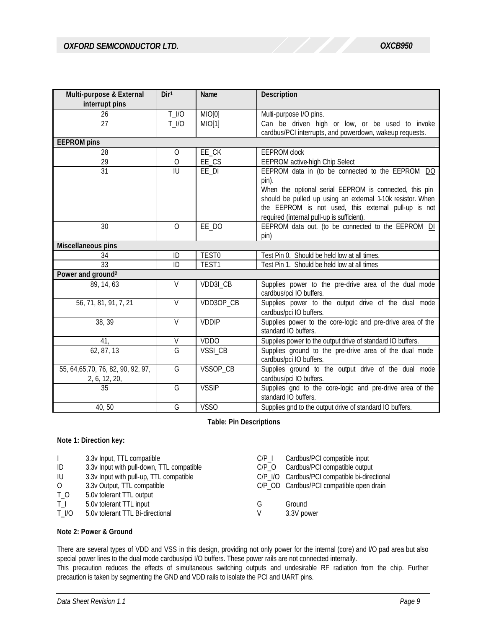| Multi-purpose & External            | Dir <sup>1</sup>                 | <b>Name</b>  | <b>Description</b>                                         |
|-------------------------------------|----------------------------------|--------------|------------------------------------------------------------|
| interrupt pins                      |                                  |              |                                                            |
| 26                                  | $T$ <sub>-<math>N</math></sub> O | MIO[0]       | Multi-purpose I/O pins.                                    |
| 27                                  | $T$ $I/O$                        | MIO[1]       | Can be driven high or low, or be used to invoke            |
|                                     |                                  |              | cardbus/PCI interrupts, and powerdown, wakeup requests.    |
| <b>EEPROM</b> pins                  |                                  |              |                                                            |
| 28                                  | $\mathcal{O}$                    | $E E_C K$    | <b>EEPROM</b> clock                                        |
| 29                                  | $\overline{O}$                   | EE_CS        | EEPROM active-high Chip Select                             |
| 31                                  | $\overline{\overline{U}}$        | EE_DI        | EEPROM data in (to be connected to the EEPROM DO           |
|                                     |                                  |              | pin).                                                      |
|                                     |                                  |              | When the optional serial EEPROM is connected, this pin     |
|                                     |                                  |              | should be pulled up using an external 1-10k resistor. When |
|                                     |                                  |              | the EEPROM is not used, this external pull-up is not       |
|                                     |                                  |              | required (internal pull-up is sufficient).                 |
| 30                                  | $\overline{O}$                   | EE_DO        | EEPROM data out. (to be connected to the EEPROM DI         |
|                                     |                                  |              | pin)                                                       |
| Miscellaneous pins                  |                                  |              |                                                            |
| 34                                  | ID                               | <b>TESTO</b> | Test Pin 0. Should be held low at all times.               |
| 33                                  | ID                               | TEST1        | Test Pin 1. Should be held low at all times                |
| Power and ground <sup>2</sup>       |                                  |              |                                                            |
| 89, 14, 63                          | V                                | VDD3I_CB     | Supplies power to the pre-drive area of the dual mode      |
|                                     |                                  |              | cardbus/pci IO buffers.                                    |
| 56, 71, 81, 91, 7, 21               | $\vee$                           | VDD3OP_CB    | Supplies power to the output drive of the dual mode        |
|                                     |                                  |              | cardbus/pci IO buffers.                                    |
| 38, 39                              | $\vee$                           | <b>VDDIP</b> | Supplies power to the core-logic and pre-drive area of the |
|                                     |                                  |              | standard IO buffers.                                       |
| 41,                                 | V                                | VDDO         | Suppiles power to the output drive of standard IO buffers. |
| 62, 87, 13                          | G                                | VSSI_CB      | Supplies ground to the pre-drive area of the dual mode     |
|                                     |                                  |              | cardbus/pci IO buffers.                                    |
| 55, 64, 65, 70, 76, 82, 90, 92, 97, | G                                | VSSOP_CB     | Supplies ground to the output drive of the dual mode       |
| $\frac{2, 6, 12, 20}{35}$           |                                  |              | cardbus/pci IO buffers.                                    |
|                                     | G                                | <b>VSSIP</b> | Supplies gnd to the core-logic and pre-drive area of the   |
|                                     |                                  |              | standard IO buffers.                                       |
| 40,50                               | G                                | <b>VSSO</b>  | Supplies gnd to the output drive of standard IO buffers.   |

### **Table: Pin Descriptions**

### **Note 1: Direction key:**

- ID 3.3v Input with pull-down, TTL compatible
- IU 3.3v Input with pull-up, TTL compatible
- O 3.3v Output, TTL compatible
- T\_O 5.0v tolerant TTL output
- T\_I 5.0v tolerant TTL input
- T\_I/O 5.0v tolerant TTL Bi-directional
- C/P\_I Cardbus/PCI compatible input
- C/P\_O Cardbus/PCI compatible output
- C/P\_I/O Cardbus/PCI compatible bi-directional
- C/P\_OD Cardbus/PCI compatible open drain
- G Ground<br>V 3.3V po
	- 3.3V power

#### **Note 2: Power & Ground**

There are several types of VDD and VSS in this design, providing not only power for the internal (core) and I/O pad area but also special power lines to the dual mode cardbus/pci I/O buffers. These power rails are not connected internally.

This precaution reduces the effects of simultaneous switching outputs and undesirable RF radiation from the chip. Further precaution is taken by segmenting the GND and VDD rails to isolate the PCI and UART pins.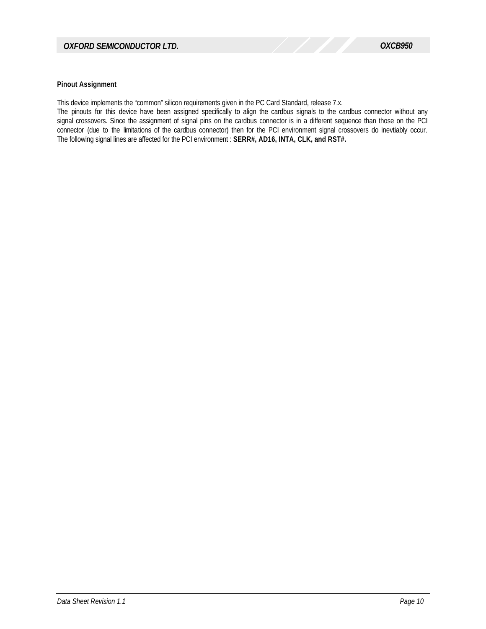#### **Pinout Assignment**

This device implements the "common" silicon requirements given in the PC Card Standard, release 7.x.

The pinouts for this device have been assigned specifically to align the cardbus signals to the cardbus connector without any signal crossovers. Since the assignment of signal pins on the cardbus connector is in a different sequence than those on the PCI connector (due to the limitations of the cardbus connector) then for the PCI environment signal crossovers do inevtiably occur. The following signal lines are affected for the PCI environment : **SERR#, AD16, INTA, CLK, and RST#.**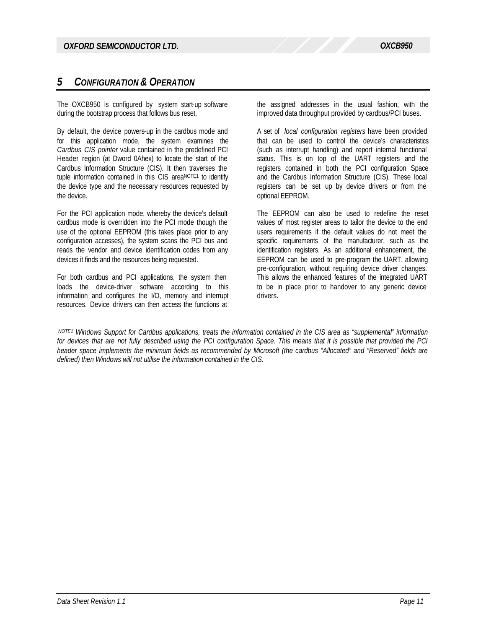# *5 CONFIGURATION & OPERATION*

The OXCB950 is configured by system start-up software during the bootstrap process that follows bus reset.

By default, the device powers-up in the cardbus mode and for this application mode, the system examines the *Cardbus CIS pointer* value contained in the predefined PCI Header region (at Dword 0Ahex) to locate the start of the Cardbus Information Structure (CIS). It then traverses the tuple information contained in this CIS area<sup>NOTE1</sup> to identify the device type and the necessary resources requested by the device.

For the PCI application mode, whereby the device's default cardbus mode is overridden into the PCI mode though the use of the optional EEPROM (this takes place prior to any configuration accesses), the system scans the PCI bus and reads the vendor and device identification codes from any devices it finds and the resources being requested.

For both cardbus and PCI applications, the system then loads the device-driver software according to this information and configures the I/O, memory and interrupt resources. Device drivers can then access the functions at

the assigned addresses in the usual fashion, with the improved data throughput provided by cardbus/PCI buses.

A set of *local configuration registers* have been provided that can be used to control the device's characteristics (such as interrupt handling) and report internal functional status. This is on top of the UART registers and the registers contained in both the PCI configuration Space and the Cardbus Information Structure (CIS). These local registers can be set up by device drivers or from the optional EEPROM.

The EEPROM can also be used to redefine the reset values of most register areas to tailor the device to the end users requirements if the default values do not meet the specific requirements of the manufacturer, such as the identification registers. As an additional enhancement, the EEPROM can be used to pre-program the UART, allowing pre-configuration, without requiring device driver changes. This allows the enhanced features of the integrated UART to be in place prior to handover to any generic device drivers.

 *NOTE1 Windows Support for Cardbus applications, treats the information contained in the CIS area as "supplemental" information for devices that are not fully described using the PCI configuration Space. This means that it is possible that provided the PCI header space implements the minimum fields as recommended by Microsoft (the cardbus "Allocated" and "Reserved" fields are defined) then Windows will not utilise the information contained in the CIS.*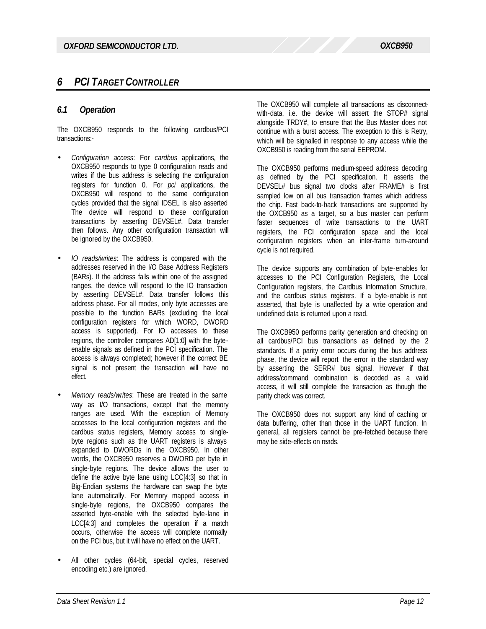# *6 PCI TARGET CONTROLLER*

## *6.1 Operation*

The OXCB950 responds to the following cardbus/PCI transactions:-

- *Configuration access*: For *cardbus* applications, the OXCB950 responds to type 0 configuration reads and writes if the bus address is selecting the configuration registers for function 0. For *pci* applications, the OXCB950 will respond to the same configuration cycles provided that the signal IDSEL is also asserted The device will respond to these configuration transactions by asserting DEVSEL#. Data transfer then follows. Any other configuration transaction will be ignored by the OXCB950.
- *IO reads/writes*: The address is compared with the addresses reserved in the I/O Base Address Registers (BARs). If the address falls within one of the assigned ranges, the device will respond to the IO transaction by asserting DEVSEL#. Data transfer follows this address phase. For all modes, only byte accesses are possible to the function BARs (excluding the local configuration registers for which WORD, DWORD access is supported). For IO accesses to these regions, the controller compares AD[1:0] with the byteenable signals as defined in the PCI specification. The access is always completed; however if the correct BE signal is not present the transaction will have no effect.
- *Memory reads/writes*: These are treated in the same way as I/O transactions, except that the memory ranges are used. With the exception of Memory accesses to the local configuration registers and the cardbus status registers, Memory access to singlebyte regions such as the UART registers is always expanded to DWORDs in the OXCB950. In other words, the OXCB950 reserves a DWORD per byte in single-byte regions. The device allows the user to define the active byte lane using LCC[4:3] so that in Big-Endian systems the hardware can swap the byte lane automatically. For Memory mapped access in single-byte regions, the OXCB950 compares the asserted byte-enable with the selected byte-lane in LCC[4:3] and completes the operation if a match occurs, otherwise the access will complete normally on the PCI bus, but it will have no effect on the UART.
- All other cycles (64-bit, special cycles, reserved encoding etc.) are ignored.

The OXCB950 will complete all transactions as disconnectwith-data, i.e. the device will assert the STOP# signal alongside TRDY#, to ensure that the Bus Master does not continue with a burst access. The exception to this is Retry, which will be signalled in response to any access while the OXCB950 is reading from the serial EEPROM.

The OXCB950 performs medium-speed address decoding as defined by the PCI specification. It asserts the DEVSEL# bus signal two clocks after FRAME# is first sampled low on all bus transaction frames which address the chip. Fast back-to-back transactions are supported by the OXCB950 as a target, so a bus master can perform faster sequences of write transactions to the UART registers, the PCI configuration space and the local configuration registers when an inter-frame turn-around cycle is not required.

The device supports any combination of byte-enables for accesses to the PCI Configuration Registers, the Local Configuration registers, the Cardbus Information Structure, and the cardbus status registers. If a byte-enable is not asserted, that byte is unaffected by a write operation and undefined data is returned upon a read.

The OXCB950 performs parity generation and checking on all cardbus/PCI bus transactions as defined by the 2 standards. If a parity error occurs during the bus address phase, the device will report the error in the standard way by asserting the SERR# bus signal. However if that address/command combination is decoded as a valid access, it will still complete the transaction as though the parity check was correct.

The OXCB950 does not support any kind of caching or data buffering, other than those in the UART function. In general, all registers cannot be pre-fetched because there may be side-effects on reads.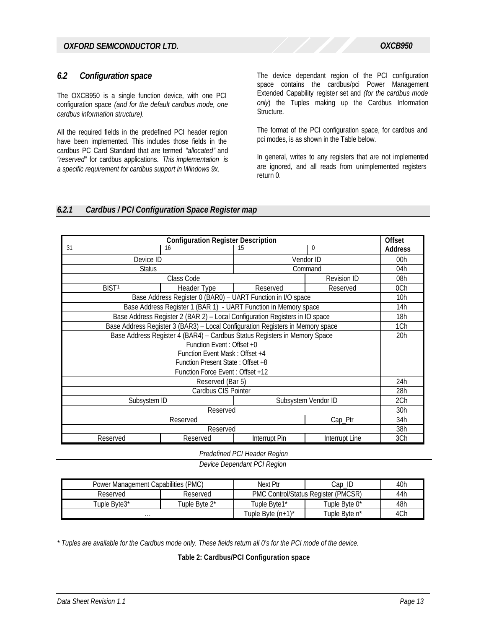## *6.2 Configuration space*

The OXCB950 is a single function device, with one PCI configuration space *(and for the default cardbus mode, one cardbus information structure).*

All the required fields in the predefined PCI header region have been implemented. This includes those fields in the cardbus PC Card Standard that are termed *"allocated"* and *"reserved"* for cardbus applications. *This implementation is a specific requirement for cardbus support in Windows 9x.*

The device dependant region of the PCI configuration space contains the cardbus/pci Power Management Extended Capability register set and *(for the cardbus mode only*) the Tuples making up the Cardbus Information Structure.

The format of the PCI configuration space, for cardbus and pci modes, is as shown in the Table below.

In general, writes to any registers that are not implemented are ignored, and all reads from unimplemented registers return 0.

## *6.2.1 Cardbus / PCI Configuration Space Register map*

|                                                                           | <b>Offset</b><br><b>Configuration Register Description</b>                     |               |                |                 |  |
|---------------------------------------------------------------------------|--------------------------------------------------------------------------------|---------------|----------------|-----------------|--|
| 31                                                                        | 16                                                                             | 15            | $\Omega$       | <b>Address</b>  |  |
| Device ID                                                                 |                                                                                |               | Vendor ID      | 00 <sub>h</sub> |  |
| <b>Status</b>                                                             |                                                                                |               | Command        | 04h             |  |
|                                                                           | Class Code                                                                     |               | Revision ID    | 08h             |  |
| BIST <sup>1</sup>                                                         | Header Type                                                                    | Reserved      | Reserved       | 0Ch             |  |
|                                                                           | Base Address Register 0 (BAR0) - UART Function in I/O space                    |               |                | 10 <sub>h</sub> |  |
|                                                                           | Base Address Register 1 (BAR 1) - UART Function in Memory space                |               |                | 14h             |  |
|                                                                           | Base Address Register 2 (BAR 2) - Local Configuration Registers in IO space    |               |                | 18h             |  |
|                                                                           | Base Address Register 3 (BAR3) - Local Configuration Registers in Memory space |               |                | 1Ch             |  |
| Base Address Register 4 (BAR4) - Cardbus Status Registers in Memory Space |                                                                                |               |                | 20h             |  |
|                                                                           | Function Event: Offset +0                                                      |               |                |                 |  |
|                                                                           | Function Event Mask: Offset +4                                                 |               |                |                 |  |
| Function Present State: Offset +8                                         |                                                                                |               |                |                 |  |
| Function Force Event: Offset +12                                          |                                                                                |               |                |                 |  |
| Reserved (Bar 5)                                                          |                                                                                |               |                |                 |  |
| Cardbus CIS Pointer                                                       |                                                                                |               |                | 28h             |  |
| Subsystem Vendor ID<br>Subsystem ID                                       |                                                                                |               |                | 2Ch             |  |
| Reserved                                                                  |                                                                                |               |                | 30h             |  |
| Reserved<br>Cap_Ptr                                                       |                                                                                |               |                | 34h             |  |
|                                                                           | Reserved                                                                       |               |                | 38h             |  |
| Reserved                                                                  | Reserved                                                                       | Interrupt Pin | Interrupt Line | 3Ch             |  |

*Predefined PCI Header Region*

*Device Dependant PCI Region*

| Power Management Capabilities (PMC) |               | Next Ptr          | Cap ID                                     | 40h |
|-------------------------------------|---------------|-------------------|--------------------------------------------|-----|
| Reserved                            | Reserved      |                   | <b>PMC Control/Status Register (PMCSR)</b> | 44h |
| Tuple Byte3*                        | Tuple Byte 2* | Tuple Byte1*      | Tuple Bvte 0*                              | 48h |
| $\cdots$                            |               | Tuple Byte (n+1)* | Tuple Bvte n*                              | 4Ch |

*\* Tuples are available for the Cardbus mode only. These fields return all 0's for the PCI mode of the device.*

**Table 2: Cardbus/PCI Configuration space**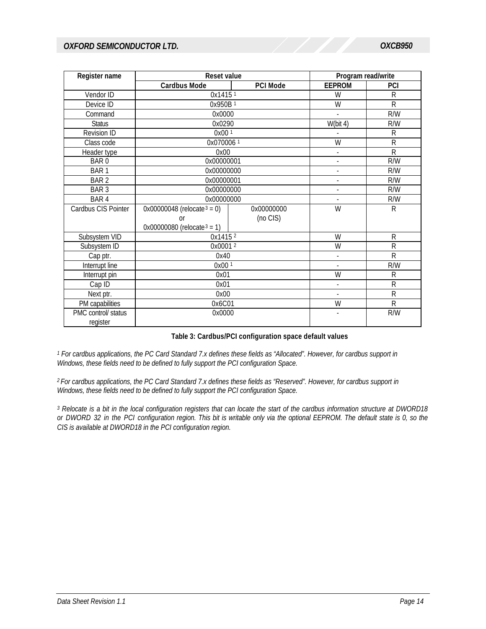| Register name       | <b>Reset value</b>               | Program read/write |                          |                |
|---------------------|----------------------------------|--------------------|--------------------------|----------------|
|                     | <b>Cardbus Mode</b>              | <b>PCI Mode</b>    | <b>EEPROM</b>            | PCI            |
| Vendor ID           | 0x14151                          |                    | W                        | R              |
| Device ID           | 0x950B1                          |                    | W                        | $\mathsf{R}$   |
| Command             | 0x0000                           |                    |                          | R/W            |
| <b>Status</b>       | 0x0290                           |                    | W(bit 4)                 | R/W            |
| <b>Revision ID</b>  | 0x001                            |                    |                          | $\mathsf R$    |
| Class code          | 0x0700061                        |                    | W                        | $\mathsf R$    |
| Header type         | 0x00                             |                    | $\overline{\phantom{a}}$ | $\mathsf R$    |
| BAR <sub>0</sub>    | 0x00000001                       |                    | $\blacksquare$           | R/W            |
| BAR <sub>1</sub>    | 0x00000000                       |                    | $\overline{\phantom{a}}$ | R/W            |
| BAR <sub>2</sub>    | 0x00000001                       |                    | $\overline{\phantom{a}}$ | R/W            |
| BAR <sub>3</sub>    | 0x00000000                       |                    | $\overline{a}$           | R/W            |
| BAR 4               | 0x00000000                       |                    | $\overline{\phantom{a}}$ | R/W            |
| Cardbus CIS Pointer | $0x00000048$ (relocate $3 = 0$ ) | 0x00000000         | W                        | $\mathsf{R}$   |
|                     | <sub>or</sub>                    | (no CIS)           |                          |                |
|                     | $0x00000080$ (relocate 3 = 1)    |                    |                          |                |
| Subsystem VID       | 0x14152                          |                    | W                        | R              |
| Subsystem ID        | 0x00012                          |                    | W                        | $\mathsf R$    |
| Cap ptr.            | 0x40                             |                    | $\overline{\phantom{a}}$ | $\overline{R}$ |
| Interrupt line      | 0x001                            |                    | $\blacksquare$           | R/W            |
| Interrupt pin       | 0x01                             |                    | W                        | $\mathsf{R}$   |
| Cap ID              | 0x01                             |                    | $\overline{\phantom{a}}$ | $\mathsf R$    |
| Next ptr.           | 0x00                             |                    | $\overline{\phantom{a}}$ | $\mathsf R$    |
| PM capabilities     | 0x6C01                           |                    | W                        | $\mathsf R$    |
| PMC control/ status | 0x0000                           |                    |                          | R/W            |
| register            |                                  |                    |                          |                |

## **Table 3: Cardbus/PCI configuration space default values**

*<sup>1</sup> For cardbus applications, the PC Card Standard 7.x defines these fields as "Allocated". However, for cardbus support in Windows, these fields need to be defined to fully support the PCI configuration Space.*

*<sup>2</sup>For cardbus applications, the PC Card Standard 7.x defines these fields as "Reserved". However, for cardbus support in Windows, these fields need to be defined to fully support the PCI configuration Space.*

*<sup>3</sup> Relocate is a bit in the local configuration registers that can locate the start of the cardbus information structure at DWORD18 or DWORD 32 in the PCI configuration region. This bit is writable only via the optional EEPROM. The default state is 0, so the CIS is available at DWORD18 in the PCI configuration region.*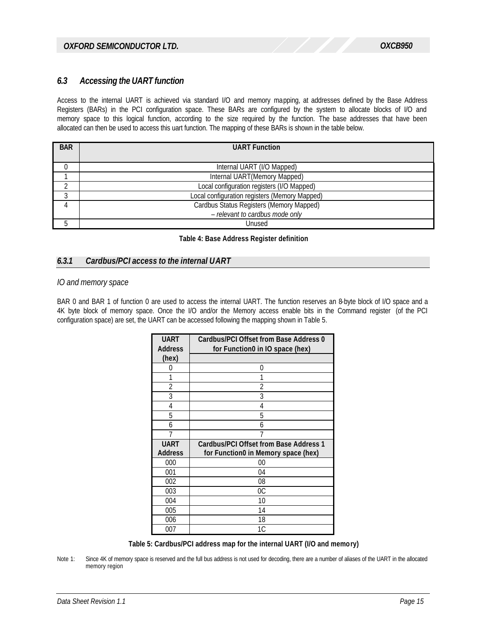## *6.3 Accessing the UART function*

Access to the internal UART is achieved via standard I/O and memory mapping, at addresses defined by the Base Address Registers (BARs) in the PCI configuration space. These BARs are configured by the system to allocate blocks of I/O and memory space to this logical function, according to the size required by the function. The base addresses that have been allocated can then be used to access this uart function. The mapping of these BARs is shown in the table below.

| <b>BAR</b> | <b>UART Function</b>                          |  |  |
|------------|-----------------------------------------------|--|--|
|            |                                               |  |  |
|            | Internal UART (I/O Mapped)                    |  |  |
|            | Internal UART(Memory Mapped)                  |  |  |
|            | Local configuration registers (I/O Mapped)    |  |  |
|            | Local configuration registers (Memory Mapped) |  |  |
|            | Cardbus Status Registers (Memory Mapped)      |  |  |
|            | - relevant to cardbus mode only               |  |  |
|            | Unused                                        |  |  |

#### **Table 4: Base Address Register definition**

### *6.3.1 Cardbus/PCI access to the internal UART*

#### *IO and memory space*

BAR 0 and BAR 1 of function 0 are used to access the internal UART. The function reserves an 8-byte block of I/O space and a 4K byte block of memory space. Once the I/O and/or the Memory access enable bits in the Command register (of the PCI configuration space) are set, the UART can be accessed following the mapping shown in Table 5.

| <b>UART</b>    | Cardbus/PCI Offset from Base Address 0        |  |  |
|----------------|-----------------------------------------------|--|--|
| <b>Address</b> | for Function0 in IO space (hex)               |  |  |
| (hex)          |                                               |  |  |
| 0              | O                                             |  |  |
|                |                                               |  |  |
| 2              | 2                                             |  |  |
| 3              | 3                                             |  |  |
| 4              | 4                                             |  |  |
| 5              | 5                                             |  |  |
| 6              | 6                                             |  |  |
|                |                                               |  |  |
| <b>UART</b>    | <b>Cardbus/PCI Offset from Base Address 1</b> |  |  |
| <b>Address</b> | for Function0 in Memory space (hex)           |  |  |
| 000            | 00                                            |  |  |
| 001            | 04                                            |  |  |
| 002            | 08                                            |  |  |
| 003            | 0C                                            |  |  |
| 004            | 10                                            |  |  |
| 005            | 14                                            |  |  |
| 006            | 18                                            |  |  |
| 007            | 1C                                            |  |  |

**Table 5: Cardbus/PCI address map for the internal UART (I/O and memory)**

Note 1: Since 4K of memory space is reserved and the full bus address is not used for decoding, there are a number of aliases of the UART in the allocated memory region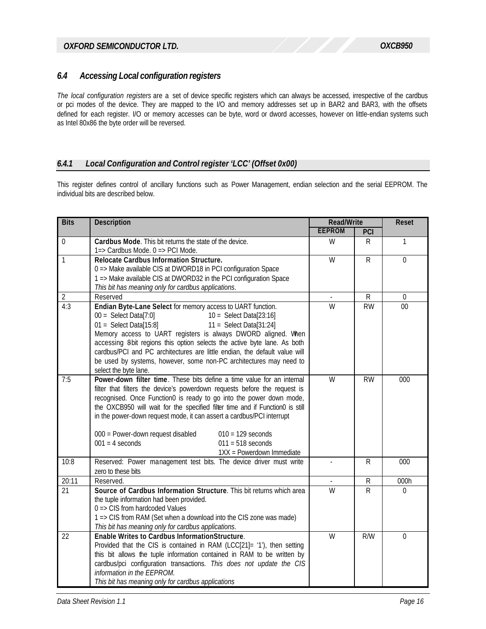# *6.4 Accessing Local configuration registers*

*The local configuration registers* are a set of device specific registers which can always be accessed, irrespective of the cardbus or pci modes of the device. They are mapped to the I/O and memory addresses set up in BAR2 and BAR3, with the offsets defined for each register. I/O or memory accesses can be byte, word or dword accesses, however on little-endian systems such as Intel 80x86 the byte order will be reversed.

## *6.4.1 Local Configuration and Control register 'LCC' (Offset 0x00)*

This register defines control of ancillary functions such as Power Management, endian selection and the serial EEPROM. The individual bits are described below.

| 1<br>$\overline{0}$<br>$\boldsymbol{0}$<br>00 |
|-----------------------------------------------|
|                                               |
|                                               |
|                                               |
|                                               |
|                                               |
|                                               |
|                                               |
|                                               |
|                                               |
|                                               |
|                                               |
|                                               |
|                                               |
|                                               |
|                                               |
|                                               |
| 000                                           |
|                                               |
|                                               |
|                                               |
|                                               |
|                                               |
|                                               |
|                                               |
| 000                                           |
|                                               |
| 000h                                          |
| $\Omega$                                      |
|                                               |
|                                               |
|                                               |
|                                               |
| $\overline{0}$                                |
|                                               |
|                                               |
|                                               |
|                                               |
|                                               |
|                                               |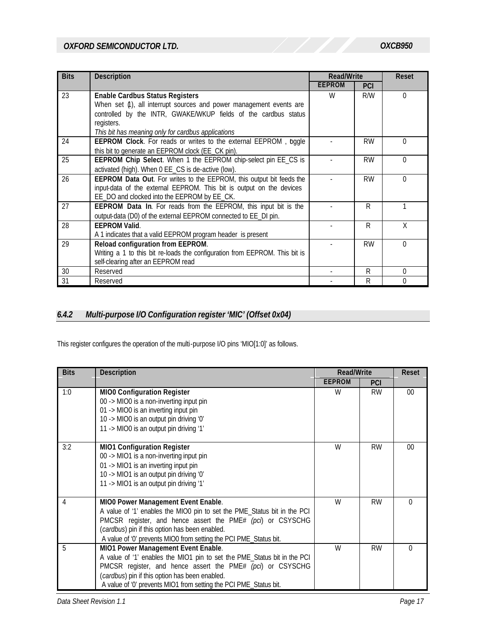| <b>Bits</b> | <b>Description</b>                                                          | <b>Read/Write</b> | <b>Reset</b> |          |
|-------------|-----------------------------------------------------------------------------|-------------------|--------------|----------|
|             |                                                                             | <b>EEPROM</b>     | <b>PCI</b>   |          |
| 23          | <b>Enable Cardbus Status Registers</b>                                      | W                 | R/W          | $\Omega$ |
|             | When set (1), all interrupt sources and power management events are         |                   |              |          |
|             | controlled by the INTR, GWAKE/WKUP fields of the cardbus status             |                   |              |          |
|             | registers.                                                                  |                   |              |          |
|             | This bit has meaning only for cardbus applications                          |                   |              |          |
| 24          | <b>EEPROM Clock.</b> For reads or writes to the external EEPROM, bggle      |                   | <b>RW</b>    | 0        |
|             | this bit to generate an EEPROM clock (EE_CK pin).                           |                   |              |          |
| 25          | <b>EEPROM Chip Select.</b> When 1 the EEPROM chip-select pin EE_CS is       |                   | <b>RW</b>    | $\Omega$ |
|             | activated (high). When 0 EE_CS is de-active (low).                          |                   |              |          |
| 26          | <b>EEPROM Data Out.</b> For writes to the EEPROM, this output bit feeds the |                   | <b>RW</b>    | $\Omega$ |
|             | input-data of the external EEPROM. This bit is output on the devices        |                   |              |          |
|             | EE_DO and clocked into the EEPROM by EE_CK.                                 |                   |              |          |
| 27          | <b>EEPROM Data In.</b> For reads from the EEPROM, this input bit is the     |                   | R            |          |
|             | output-data (D0) of the external EEPROM connected to EE_DI pin.             |                   |              |          |
| 28          | <b>EEPROM Valid.</b>                                                        |                   | R            | X        |
|             | A 1 indicates that a valid EEPROM program header is present                 |                   |              |          |
| 29          | Reload configuration from EEPROM.                                           |                   | <b>RW</b>    | $\Omega$ |
|             | Writing a 1 to this bit re-loads the configuration from EEPROM. This bit is |                   |              |          |
|             | self-clearing after an EEPROM read                                          |                   |              |          |
| 30          | Reserved                                                                    |                   | R            | $\theta$ |
| 31          | Reserved                                                                    |                   | $\mathsf{R}$ | $\Omega$ |

# *6.4.2 Multi-purpose I/O Configuration register 'MIC' (Offset 0x04)*

This register configures the operation of the multi-purpose I/O pins 'MIO[1:0]' as follows.

| <b>Bits</b> | <b>Description</b>                                                       | <b>Read/Write</b> |            | <b>Reset</b>    |
|-------------|--------------------------------------------------------------------------|-------------------|------------|-----------------|
|             |                                                                          | <b>EEPROM</b>     | <b>PCI</b> |                 |
| 1:0         | <b>MIO0 Configuration Register</b>                                       | W                 | <b>RW</b>  | 00 <sup>1</sup> |
|             | 00 -> MIO0 is a non-inverting input pin                                  |                   |            |                 |
|             | 01 -> MIO0 is an inverting input pin                                     |                   |            |                 |
|             | 10 -> MIO0 is an output pin driving '0'                                  |                   |            |                 |
|             | 11 -> MIO0 is an output pin driving '1'                                  |                   |            |                 |
| 3:2         | <b>MIO1 Configuration Register</b>                                       | W                 | <b>RW</b>  | 00 <sup>1</sup> |
|             | 00 -> MIO1 is a non-inverting input pin                                  |                   |            |                 |
|             | 01 -> MIO1 is an inverting input pin                                     |                   |            |                 |
|             | 10 -> MIO1 is an output pin driving '0'                                  |                   |            |                 |
|             | 11 -> MIO1 is an output pin driving '1'                                  |                   |            |                 |
|             |                                                                          |                   |            |                 |
| 4           | MIO0 Power Management Event Enable.                                      | W                 | <b>RW</b>  | 0               |
|             | A value of '1' enables the MIO0 pin to set the PME_Status bit in the PCI |                   |            |                 |
|             | PMCSR register, and hence assert the PME# (pcl) or CSYSCHG               |                   |            |                 |
|             | (cardbus) pin if this option has been enabled.                           |                   |            |                 |
|             | A value of '0' prevents MIO0 from setting the PCI PME_Status bit.        |                   |            |                 |
| 5           | MIO1 Power Management Event Enable.                                      | W                 | <b>RW</b>  | 0               |
|             | A value of '1' enables the MIO1 pin to set the PME_Status bit in the PCI |                   |            |                 |
|             | PMCSR register, and hence assert the PME# (pcl) or CSYSCHG               |                   |            |                 |
|             | (cardbus) pin if this option has been enabled.                           |                   |            |                 |
|             | A value of '0' prevents MIO1 from setting the PCI PME_Status bit.        |                   |            |                 |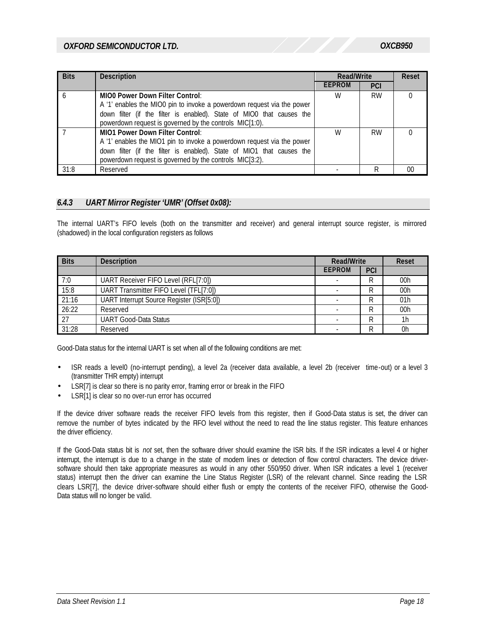| <b>Bits</b> | <b>Description</b>                                                     | Read/Write    |            | Reset |
|-------------|------------------------------------------------------------------------|---------------|------------|-------|
|             |                                                                        | <b>EEPROM</b> | <b>PCI</b> |       |
| h           | <b>MIOO Power Down Filter Control:</b>                                 | W             | <b>RW</b>  |       |
|             | A '1' enables the MIO0 pin to invoke a powerdown request via the power |               |            |       |
|             | down filter (if the filter is enabled). State of MIO0 that causes the  |               |            |       |
|             | powerdown request is governed by the controls MIC[1:0).                |               |            |       |
|             | <b>MIO1 Power Down Filter Control:</b>                                 | W             | <b>RW</b>  |       |
|             | A '1' enables the MIO1 pin to invoke a powerdown request via the power |               |            |       |
|             | down filter (if the filter is enabled). State of MIO1 that causes the  |               |            |       |
|             | powerdown request is governed by the controls MIC[3:2).                |               |            |       |
| 31:8        | Reserved                                                               |               |            |       |

## *6.4.3 UART Mirror Register 'UMR' (Offset 0x08):*

The internal UART's FIFO levels (both on the transmitter and receiver) and general interrupt source register, is mirrored (shadowed) in the local configuration registers as follows

| <b>Bits</b> | <b>Description</b>                        | <b>Read/Write</b> | <b>Reset</b> |                |
|-------------|-------------------------------------------|-------------------|--------------|----------------|
|             |                                           | <b>EEPROM</b>     | <b>PCI</b>   |                |
| 7:0         | UART Receiver FIFO Level (RFL[7:0])       |                   | R            | 00h            |
| 15:8        | UART Transmitter FIFO Level (TFL[7:0])    |                   | R            | 00h            |
| 21:16       | UART Interrupt Source Register (ISR[5:0]) |                   |              | 01h            |
| 26:22       | Reserved                                  |                   | R            | 00h            |
| 27          | <b>UART Good-Data Status</b>              |                   | R            | 1 <sub>h</sub> |
| 31:28       | Reserved                                  |                   | R            | 0h             |

Good-Data status for the internal UART is set when all of the following conditions are met:

- ISR reads a level0 (no-interrupt pending), a level 2a (receiver data available, a level 2b (receiver time-out) or a level 3 (transmitter THR empty) interrupt
- LSR[7] is clear so there is no parity error, framing error or break in the FIFO
- LSR[1] is clear so no over-run error has occurred

If the device driver software reads the receiver FIFO levels from this register, then if Good-Data status is set, the driver can remove the number of bytes indicated by the FIFO level without the need to read the line status register. This feature enhances the driver efficiency.

If the Good-Data status bit is *not* set, then the software driver should examine the ISR bits. If the ISR indicates a level 4 or higher interrupt, the interrupt is due to a change in the state of modem lines or detection of flow control characters. The device driversoftware should then take appropriate measures as would in any other 550/950 driver. When ISR indicates a level 1 (receiver status) interrupt then the driver can examine the Line Status Register (LSR) of the relevant channel. Since reading the LSR clears LSR[7], the device driver-software should either flush or empty the contents of the receiver FIFO, otherwise the Good-Data status will no longer be valid.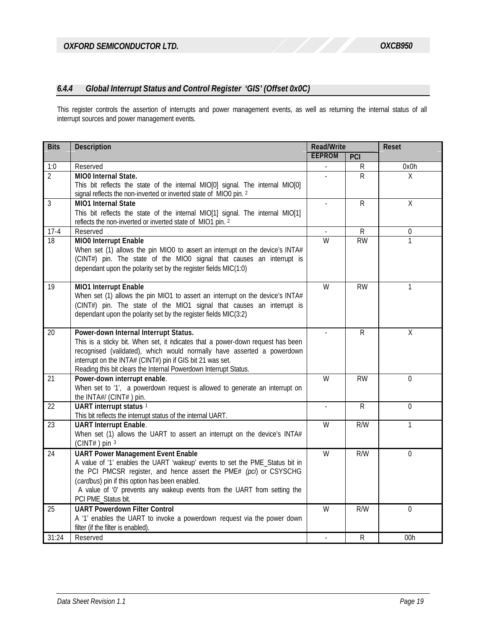# *6.4.4 Global Interrupt Status and Control Register 'GIS' (Offset 0x0C)*

This register controls the assertion of interrupts and power management events, as well as returning the internal status of all interrupt sources and power management events.

| <b>Bits</b>     | <b>Description</b>                                                                                                                           | <b>Read/Write</b> |                | <b>Reset</b>     |  |  |
|-----------------|----------------------------------------------------------------------------------------------------------------------------------------------|-------------------|----------------|------------------|--|--|
|                 |                                                                                                                                              | <b>EEPROM</b>     | <b>PCI</b>     |                  |  |  |
| 1:0             | Reserved                                                                                                                                     |                   | ${\sf R}$      | 0x0h             |  |  |
| $\overline{2}$  | MIO0 Internal State.                                                                                                                         |                   | R              | X                |  |  |
|                 | This bit reflects the state of the internal MIO[0] signal. The internal MIO[0]                                                               |                   |                |                  |  |  |
|                 | signal reflects the non-inverted or inverted state of MIO0 pin. 2                                                                            |                   |                |                  |  |  |
| 3               | MIO1 Internal State                                                                                                                          | $\overline{a}$    | $\overline{R}$ | $\overline{X}$   |  |  |
|                 | This bit reflects the state of the internal MIO[1] signal. The internal MIO[1]<br>reflects the non-inverted or inverted state of MIO1 pin. 2 |                   |                |                  |  |  |
| $17 - 4$        | Reserved                                                                                                                                     |                   | ${\sf R}$      | $\boldsymbol{0}$ |  |  |
| $\overline{18}$ | <b>MIO0 Interrupt Enable</b>                                                                                                                 | W                 | RW             | $\overline{1}$   |  |  |
|                 | When set (1) allows the pin MIO0 to assert an interrupt on the device's INTA#                                                                |                   |                |                  |  |  |
|                 | (CINT#) pin. The state of the MIO0 signal that causes an interrupt is                                                                        |                   |                |                  |  |  |
|                 | dependant upon the polarity set by the register fields MIC(1:0)                                                                              |                   |                |                  |  |  |
|                 |                                                                                                                                              |                   |                |                  |  |  |
| 19              | <b>MIO1 Interrupt Enable</b>                                                                                                                 | $\overline{W}$    | <b>RW</b>      | $\mathbf{1}$     |  |  |
|                 | When set (1) allows the pin MIO1 to assert an interrupt on the device's INTA#                                                                |                   |                |                  |  |  |
|                 | (CINT#) pin. The state of the MIO1 signal that causes an interrupt is<br>dependant upon the polarity set by the register fields MIC(3:2)     |                   |                |                  |  |  |
|                 |                                                                                                                                              |                   |                |                  |  |  |
| 20              | Power-down Internal Interrupt Status.                                                                                                        |                   | $\overline{R}$ | $\mathsf X$      |  |  |
|                 | This is a sticky bit. When set, it indicates that a power-down request has been                                                              |                   |                |                  |  |  |
|                 | recognised (validated), which would normally have asserted a powerdown                                                                       |                   |                |                  |  |  |
|                 | interrupt on the INTA# (CINT#) pin if GIS bit 21 was set.                                                                                    |                   |                |                  |  |  |
|                 | Reading this bit clears the Internal Powerdown Interrupt Status.                                                                             |                   |                |                  |  |  |
| 21              | Power-down interrupt enable.                                                                                                                 | W                 | <b>RW</b>      | $\Omega$         |  |  |
|                 | When set to '1', a powerdown request is allowed to generate an interrupt on                                                                  |                   |                |                  |  |  |
|                 | the INTA#/ (CINT#) pin.                                                                                                                      |                   |                |                  |  |  |
| 22              | UART interrupt status.1                                                                                                                      | $\mathcal{L}$     | ${\sf R}$      | $\overline{0}$   |  |  |
| $\overline{23}$ | This bit reflects the interrupt status of the internal UART.<br><b>UART Interrupt Enable.</b>                                                | $\overline{W}$    | R/W            | $\mathbf{1}$     |  |  |
|                 | When set (1) allows the UART to assert an interrupt on the device's INTA#                                                                    |                   |                |                  |  |  |
|                 | $(CINT#)$ pin $3$                                                                                                                            |                   |                |                  |  |  |
| 24              | <b>UART Power Management Event Enable</b>                                                                                                    | W                 | R/W            | $\mathbf 0$      |  |  |
|                 | A value of '1' enables the UART 'wakeup' events to set the PME_Status bit in                                                                 |                   |                |                  |  |  |
|                 | the PCI PMCSR register, and hence assert the PME# (pcl) or CSYSCHG                                                                           |                   |                |                  |  |  |
|                 | (cardbus) pin if this option has been enabled.                                                                                               |                   |                |                  |  |  |
|                 | A value of '0' prevents any wakeup events from the UART from setting the                                                                     |                   |                |                  |  |  |
|                 | PCI PME_Status bit.                                                                                                                          |                   |                |                  |  |  |
| 25              | <b>UART Powerdown Filter Control</b>                                                                                                         | $\overline{W}$    | R/W            | $\overline{0}$   |  |  |
|                 | A '1' enables the UART to invoke a powerdown request via the power down                                                                      |                   |                |                  |  |  |
|                 | filter (if the filter is enabled).                                                                                                           |                   |                |                  |  |  |
| 31:24           | Reserved                                                                                                                                     | $\mathbf{r}$      | ${\sf R}$      | 00h              |  |  |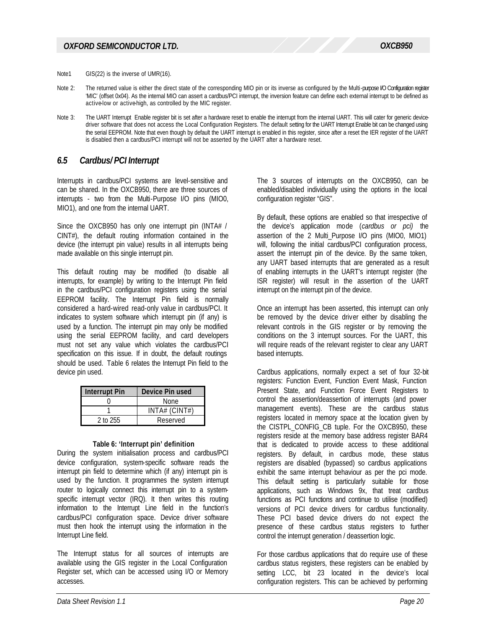- Note1 GIS(22) is the inverse of UMR(16).
- Note 2: The returned value is either the direct state of the corresponding MIO pin or its inverse as configured by the Multi-purpose I/O Configuration register 'MIC' (offset 0x04). As the internal MIO can assert a cardbus/PCI interrupt, the inversion feature can define each external interrupt to be defined as active-low or active-high, as controlled by the MIC register.
- Note 3: The UART Interrupt Enable register bit is set after a hardware reset to enable the interrupt from the internal UART. This will cater for generic devicedriver software that does not access the Local Configuration Registers. The default setting for the UART Interrupt Enable bit can be changed using the serial EEPROM. Note that even though by default the UART interrupt is enabled in this register, since after a reset the IER register of the UART is disabled then a cardbus/PCI interrupt will not be asserted by the UART after a hardware reset.

## *6.5 Cardbus/ PCI Interrupt*

Interrupts in cardbus/PCI systems are level-sensitive and can be shared. In the OXCB950, there are three sources of interrupts - two from the Multi-Purpose I/O pins (MIO0, MIO1), and one from the internal UART.

Since the OXCB950 has only one interrupt pin (INTA# / CINT#), the default routing information contained in the device (the interrupt pin value) results in all interrupts being made available on this single interrupt pin.

This default routing may be modified (to disable all interrupts, for example) by writing to the Interrupt Pin field in the cardbus/PCI configuration registers using the serial EEPROM facility. The Interrupt Pin field is normally considered a hard-wired read-only value in cardbus/PCI. It indicates to system software which interrupt pin (if any) is used by a function. The interrupt pin may only be modified using the serial EEPROM facility, and card developers must not set any value which violates the cardbus/PCI specification on this issue. If in doubt, the default routings should be used. Table 6 relates the Interrupt Pin field to the device pin used.

| <b>Interrupt Pin</b> | Device Pin used |
|----------------------|-----------------|
|                      | <b>None</b>     |
|                      | INTA# (CINT#)   |
| 2 to 255             | Reserved        |

### **Table 6: 'Interrupt pin' definition**

During the system initialisation process and cardbus/PCI device configuration, system-specific software reads the interrupt pin field to determine which (if any) interrupt pin is used by the function. It programmes the system interrupt router to logically connect this interrupt pin to a systemspecific interrupt vector (IRQ). It then writes this routing information to the Interrupt Line field in the function's cardbus/PCI configuration space. Device driver software must then hook the interrupt using the information in the Interrupt Line field.

The Interrupt status for all sources of interrupts are available using the GIS register in the Local Configuration Register set, which can be accessed using I/O or Memory accesses.

The 3 sources of interrupts on the OXCB950, can be enabled/disabled individually using the options in the local configuration register "GIS".

By default, these options are enabled so that irrespective of the device's application mode (*cardbus or pci)* the assertion of the 2 Multi\_Purpose I/O pins (MIO0, MIO1) will, following the initial cardbus/PCI configuration process, assert the interrupt pin of the device. By the same token, any UART based interrupts that are generated as a result of enabling interrupts in the UART's interrupt register (the ISR register) will result in the assertion of the UART interrupt on the interrupt pin of the device.

Once an interrupt has been asserted, this interrupt can only be removed by the device driver either by disabling the relevant controls in the GIS register or by removing the conditions on the 3 interrupt sources. For the UART, this will require reads of the relevant register to clear any UART based interrupts.

Cardbus applications, normally expect a set of four 32-bit registers: Function Event, Function Event Mask, Function Present State, and Function Force Event Registers to control the assertion/deassertion of interrupts (and power management events). These are the cardbus status registers located in memory space at the location given by the CISTPL\_CONFIG\_CB tuple. For the OXCB950, these registers reside at the memory base address register BAR4 that is dedicated to provide access to these additional registers. By default, in cardbus mode, these status registers are disabled (bypassed) so cardbus applications exhibit the same interrupt behaviour as per the pci mode. This default setting is particularly suitable for those applications, such as Windows 9x, that treat cardbus functions as PCI functions and continue to utilise (modified) versions of PCI device drivers for cardbus functionality. These PCI based device drivers do not expect the presence of these cardbus status registers to further control the interrupt generation / deassertion logic.

For those cardbus applications that do require use of these cardbus status registers, these registers can be enabled by setting LCC, bit 23 located in the device's local configuration registers. This can be achieved by performing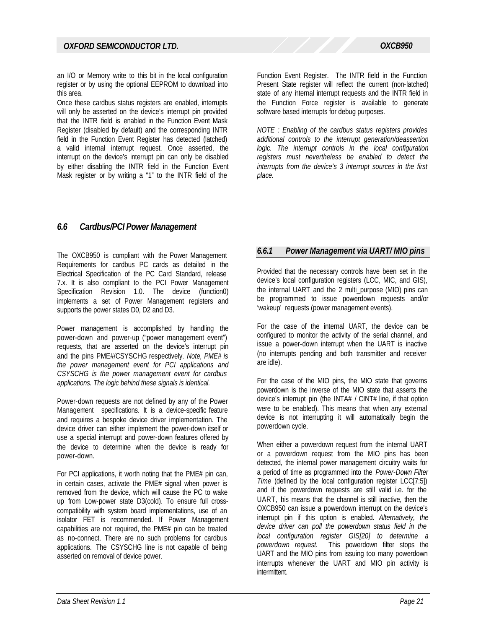an I/O or Memory write to this bit in the local configuration register or by using the optional EEPROM to download into this area.

Once these cardbus status registers are enabled, interrupts will only be asserted on the device's interrupt pin provided that the INTR field is enabled in the Function Event Mask Register (disabled by default) and the corresponding INTR field in the Function Event Register has detected (latched) a valid internal interrupt request. Once asserted, the interrupt on the device's interrupt pin can only be disabled by either disabling the INTR field in the Function Event Mask register or by writing a "1" to the INTR field of the

Function Event Register. The INTR field in the Function Present State register will reflect the current (non-latched) state of any hternal interrupt requests and the INTR field in the Function Force register is available to generate software based interrupts for debug purposes.

*NOTE : Enabling of the cardbus status registers provides additional controls to the interrupt generation/deassertion logic. The interrupt controls in the local configuration registers must nevertheless be enabled to detect the interrupts from the device's 3 interrupt sources in the first place.*

# *6.6 Cardbus/PCI Power Management*

The OXCB950 is compliant with the Power Management Requirements for cardbus PC cards as detailed in the Electrical Specification of the PC Card Standard, release 7.x. It is also compliant to the PCI Power Management Specification Revision 1.0. The device (function0) implements a set of Power Management registers and supports the power states D0, D2 and D3.

Power management is accomplished by handling the power-down and power-up ("power management event") requests, that are asserted on the device's interrupt pin and the pins PME#/CSYSCHG respectively. *Note, PME# is the power management event for PCI applications and CSYSCHG is the power management event for cardbus applications. The logic behind these signals is identical.*

Power-down requests are not defined by any of the Power Management specifications. It is a device-specific feature and requires a bespoke device driver implementation. The device driver can either implement the power-down itself or use a special interrupt and power-down features offered by the device to determine when the device is ready for power-down.

For PCI applications, it worth noting that the PME# pin can, in certain cases, activate the PME# signal when power is removed from the device, which will cause the PC to wake up from Low-power state D3(cold). To ensure full crosscompatibility with system board implementations, use of an isolator FET is recommended. If Power Management capabilities are not required, the PME# pin can be treated as no-connect. There are no such problems for cardbus applications. The CSYSCHG line is not capable of being asserted on removal of device power.

# *6.6.1 Power Management via UART/ MIO pins*

Provided that the necessary controls have been set in the device's local configuration registers (LCC, MIC, and GIS), the internal UART and the 2 multi\_purpose (MIO) pins can be programmed to issue powerdown requests and/or 'wakeup' requests (power management events).

For the case of the internal UART, the device can be configured to monitor the activity of the serial channel, and issue a power-down interrupt when the UART is inactive (no interrupts pending and both transmitter and receiver are idle).

For the case of the MIO pins, the MIO state that governs powerdown is the inverse of the MIO state that asserts the device's interrupt pin (the INTA# / CINT# line, if that option were to be enabled). This means that when any external device is not interrupting it will automatically begin the powerdown cycle.

When either a powerdown request from the internal UART or a powerdown request from the MIO pins has been detected, the internal power management circuitry waits for a period of time as programmed into the *Power-Down Filter Time* (defined by the local configuration register LCC[7:5]) and if the powerdown requests are still valid i.e. for the UART, this means that the channel is still inactive, then the OXCB950 can issue a powerdown interrupt on the device's interrupt pin if this option is enabled. *Alternatively, the device driver can poll the powerdown status field in the local configuration register GIS[20] to determine a powerdown request.* This powerdown filter stops the UART and the MIO pins from issuing too many powerdown interrupts whenever the UART and MIO pin activity is intermittent.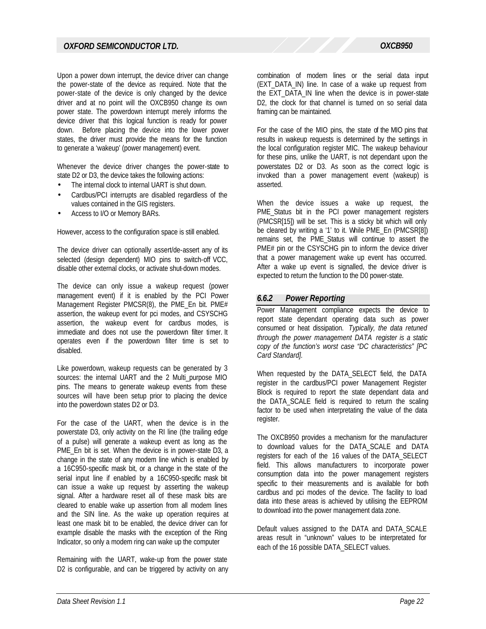Upon a power down interrupt, the device driver can change the power-state of the device as required. Note that the power-state of the device is only changed by the device driver and at no point will the OXCB950 change its own power state. The powerdown interrupt merely informs the device driver that this logical function is ready for power down. Before placing the device into the lower power states, the driver must provide the means for the function to generate a 'wakeup' (power management) event.

Whenever the device driver changes the power-state to state D2 or D3, the device takes the following actions:

- The internal clock to internal UART is shut down.
- Cardbus/PCI interrupts are disabled regardless of the values contained in the GIS registers.
- Access to I/O or Memory BARs.

However, access to the configuration space is still enabled.

The device driver can optionally assert/de-assert any of its selected (design dependent) MIO pins to switch-off VCC, disable other external clocks, or activate shut-down modes.

The device can only issue a wakeup request (power management event) if it is enabled by the PCI Power Management Register PMCSR(8), the PME\_En bit. PME# assertion, the wakeup event for pci modes, and CSYSCHG assertion, the wakeup event for cardbus modes, is immediate and does not use the powerdown filter timer. It operates even if the powerdown filter time is set to disabled.

Like powerdown, wakeup requests can be generated by 3 sources: the internal UART and the 2 Multi\_purpose MIO pins. The means to generate wakeup events from these sources will have been setup prior to placing the device into the powerdown states D2 or D3.

For the case of the UART, when the device is in the powerstate D3, only activity on the RI line (the trailing edge of a pulse) will generate a wakeup event as long as the PME\_En bit is set. When the device is in power-state D3, a change in the state of any modem line which is enabled by a 16C950-specific mask bit, or a change in the state of the serial input line if enabled by a 16C950-specific mask bit can issue a wake up request by asserting the wakeup signal. After a hardware reset all of these mask bits are cleared to enable wake up assertion from all modem lines and the SIN line. As the wake up operation requires at least one mask bit to be enabled, the device driver can for example disable the masks with the exception of the Ring Indicator, so only a modem ring can wake up the computer

Remaining with the UART, wake-up from the power state D2 is configurable, and can be triggered by activity on any combination of modem lines or the serial data input (EXT\_DATA\_IN) line. In case of a wake up request from the EXT\_DATA\_IN line when the device is in power-state D2, the clock for that channel is turned on so serial data framing can be maintained.

For the case of the MIO pins, the state of the MIO pins that results in wakeup requests is determined by the settings in the local configuration register MIC. The wakeup behaviour for these pins, unlike the UART, is not dependant upon the powerstates D2 or D3. As soon as the correct logic is invoked than a power management event (wakeup) is asserted.

When the device issues a wake up request, the PME\_Status bit in the PCI power management registers (PMCSR[15]) will be set. This is a sticky bit which will only be cleared by writing a '1' to it. While PME\_En (PMCSR[8]) remains set, the PME\_Status will continue to assert the PME# pin or the CSYSCHG pin to inform the device driver that a power management wake up event has occurred. After a wake up event is signalled, the device driver is expected to return the function to the D0 power-state.

## *6.6.2 Power Reporting*

Power Management compliance expects the device to report state dependant operating data such as power consumed or heat dissipation. *Typically, the data retuned through the power management DATA register is a static copy of the function's worst case "DC characteristics" [PC Card Standard].*

When requested by the DATA\_SELECT field, the DATA register in the cardbus/PCI power Management Register Block is required to report the state dependant data and the DATA\_SCALE field is required to return the scaling factor to be used when interpretating the value of the data register.

The OXCB950 provides a mechanism for the manufacturer to download values for the DATA\_SCALE and DATA registers for each of the 16 values of the DATA\_SELECT field. This allows manufacturers to incorporate power consumption data into the power management registers specific to their measurements and is available for both cardbus and pci modes of the device. The facility to load data into these areas is achieved by utilising the EEPROM to download into the power management data zone.

Default values assigned to the DATA and DATA\_SCALE areas result in "unknown" values to be interpretated for each of the 16 possible DATA\_SELECT values.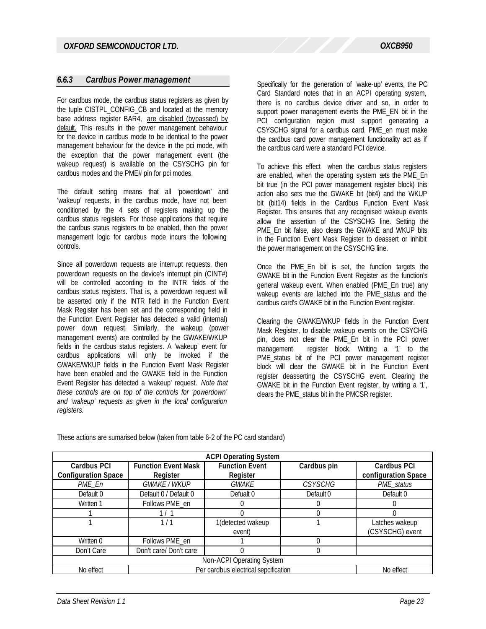## *6.6.3 Cardbus Power management*

For cardbus mode, the cardbus status registers as given by the tuple CISTPL\_CONFIG\_CB and located at the memory base address register BAR4, are disabled (bypassed) by default. This results in the power management behaviour for the device in cardbus mode to be identical to the power management behaviour for the device in the pci mode, with the exception that the power management event (the wakeup request) is available on the CSYSCHG pin for cardbus modes and the PME# pin for pci modes.

The default setting means that all 'powerdown' and 'wakeup' requests, in the cardbus mode, have not been conditioned by the 4 sets of registers making up the cardbus status registers. For those applications that require the cardbus status registers to be enabled, then the power management logic for cardbus mode incurs the following controls.

Since all powerdown requests are interrupt requests, then powerdown requests on the device's interrupt pin (CINT#) will be controlled according to the INTR fields of the cardbus status registers. That is, a powerdown request will be asserted only if the INTR field in the Function Event Mask Register has been set and the corresponding field in the Function Event Register has detected a valid (internal) power down request. Similarly, the wakeup (power management events) are controlled by the GWAKE/WKUP fields in the cardbus status registers. A 'wakeup' event for cardbus applications will only be invoked if the GWAKE/WKUP fields in the Function Event Mask Register have been enabled and the GWAKE field in the Function Event Register has detected a 'wakeup' request. *Note that these controls are on top of the controls for 'powerdown' and 'wakeup' requests as given in the local configuration registers*.

Specifically for the generation of 'wake-up' events, the PC Card Standard notes that in an ACPI operating system, there is no cardbus device driver and so, in order to support power management events the PME\_EN bit in the PCI configuration region must support generating a CSYSCHG signal for a cardbus card. PME\_en must make the cardbus card power management functionality act as if the cardbus card were a standard PCI device.

To achieve this effect when the cardbus status registers are enabled, when the operating system sets the PME\_En bit true (in the PCI power management register block) this action also sets true the GWAKE bit (bit4) and the WKUP bit (bit14) fields in the Cardbus Function Event Mask Register. This ensures that any recognised wakeup events allow the assertion of the CSYSCHG line. Setting the PME\_En bit false, also clears the GWAKE and WKUP bits in the Function Event Mask Register to deassert or inhibit the power management on the CSYSCHG line.

Once the PME\_En bit is set, the function targets the GWAKE bit in the Function Event Register as the function's general wakeup event. When enabled (PME\_En true) any wakeup events are latched into the PME\_status and the cardbus card's GWAKE bit in the Function Event register.

Clearing the GWAKE/WKUP fields in the Function Event Mask Register, to disable wakeup events on the CSYCHG pin, does not clear the PME\_En bit in the PCI power management register block. Writing a '1' to the PME\_status bit of the PCI power management register block will clear the GWAKE bit in the Function Event register deasserting the CSYSCHG event. Clearing the GWAKE bit in the Function Event register, by writing a '1', clears the PME\_status bit in the PMCSR register.

|                            |                            | <b>ACPI Operating System</b>         |                |                     |
|----------------------------|----------------------------|--------------------------------------|----------------|---------------------|
| <b>Cardbus PCI</b>         | <b>Function Event Mask</b> | <b>Function Event</b>                | Cardbus pin    | <b>Cardbus PCI</b>  |
| <b>Configuration Space</b> | Register                   | Register                             |                | configuration Space |
| PME_En                     | <b>GWAKE / WKUP</b>        | <b>GWAKE</b>                         | <i>CSYSCHG</i> | PME_status          |
| Default 0                  | Default 0 / Default 0      | Defualt 0                            | Default 0      | Default 0           |
| Written 1                  | Follows PME_en             |                                      |                |                     |
|                            |                            |                                      |                |                     |
|                            | 1/1                        | 1(detected wakeup                    |                | Latches wakeup      |
|                            |                            | event)                               |                | (CSYSCHG) event     |
| Written 0                  | Follows PME_en             |                                      |                |                     |
| Don't Care                 | Don't care/ Don't care     |                                      | $\Omega$       |                     |
|                            |                            | Non-ACPI Operating System            |                |                     |
| No effect                  |                            | Per cardbus electrical sepcification |                | No effect           |

These actions are sumarised below (taken from table 6-2 of the PC card standard)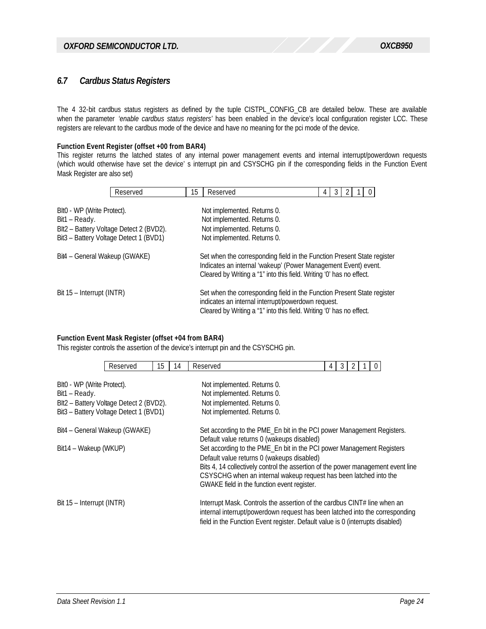# *6.7 Cardbus Status Registers*

The 4 32-bit cardbus status registers as defined by the tuple CISTPL\_CONFIG\_CB are detailed below. These are available when the parameter *'enable cardbus status registers'* has been enabled in the device's local configuration register LCC. These registers are relevant to the cardbus mode of the device and have no meaning for the pci mode of the device.

### **Function Event Register (offset +00 from BAR4)**

This register returns the latched states of any internal power management events and internal interrupt/powerdown requests (which would otherwise have set the device' s interrupt pin and CSYSCHG pin if the corresponding fields in the Function Event Mask Register are also set)

|                                                                                       | Reserved                                | 15                                                                                                                                                                                                                | Reserved                                                                                                                                                                                              | 4 |  |  |  |  |
|---------------------------------------------------------------------------------------|-----------------------------------------|-------------------------------------------------------------------------------------------------------------------------------------------------------------------------------------------------------------------|-------------------------------------------------------------------------------------------------------------------------------------------------------------------------------------------------------|---|--|--|--|--|
| BIt0 - WP (Write Protect).<br>Bit1 - Ready.<br>Bit3 - Battery Voltage Detect 1 (BVD1) | Blt2 - Battery Voltage Detect 2 (BVD2). |                                                                                                                                                                                                                   | Not implemented. Returns 0.<br>Not implemented. Returns 0.<br>Not implemented. Returns 0.<br>Not implemented. Returns 0.                                                                              |   |  |  |  |  |
| Bit4 - General Wakeup (GWAKE)                                                         |                                         | Set when the corresponding field in the Function Present State register<br>Indicates an internal 'wakeup' (Power Management Event) event.<br>Cleared by Writing a "1" into this field. Writing '0' has no effect. |                                                                                                                                                                                                       |   |  |  |  |  |
| Bit 15 – Interrupt (INTR)                                                             |                                         |                                                                                                                                                                                                                   | Set when the corresponding field in the Function Present State register<br>indicates an internal interrupt/powerdown request.<br>Cleared by Writing a "1" into this field. Writing '0' has no effect. |   |  |  |  |  |

### **Function Event Mask Register (offset +04 from BAR4)**

This register controls the assertion of the device's interrupt pin and the CSYSCHG pin.

|                                                                                                                                  | Reserved | 15 | 14 | Reserved                                                                                                                                                                                                                                           | $4 \mid$ | $\mathcal{S}$ |  |  | $\Omega$ |  |
|----------------------------------------------------------------------------------------------------------------------------------|----------|----|----|----------------------------------------------------------------------------------------------------------------------------------------------------------------------------------------------------------------------------------------------------|----------|---------------|--|--|----------|--|
| BIt0 - WP (Write Protect).<br>Bit1 - Ready.<br>Blt2 - Battery Voltage Detect 2 (BVD2).<br>Bit3 - Battery Voltage Detect 1 (BVD1) |          |    |    | Not implemented. Returns 0.<br>Not implemented. Returns 0.<br>Not implemented. Returns 0.<br>Not implemented. Returns 0.                                                                                                                           |          |               |  |  |          |  |
| Bit4 - General Wakeup (GWAKE)                                                                                                    |          |    |    | Set according to the PME_En bit in the PCI power Management Registers.<br>Default value returns 0 (wakeups disabled)<br>Set according to the PME_En bit in the PCI power Management Registers                                                      |          |               |  |  |          |  |
| Bit14 - Wakeup (WKUP)                                                                                                            |          |    |    | Default value returns 0 (wakeups disabled)<br>Bits 4, 14 collectively control the assertion of the power management event line<br>CSYSCHG when an internal wakeup request has been latched into the<br>GWAKE field in the function event register. |          |               |  |  |          |  |
| Bit 15 – Interrupt (INTR)                                                                                                        |          |    |    | Interrupt Mask. Controls the assertion of the cardbus CINT# line when an<br>internal interrupt/powerdown request has been latched into the corresponding<br>field in the Function Event register. Default value is 0 (interrupts disabled)         |          |               |  |  |          |  |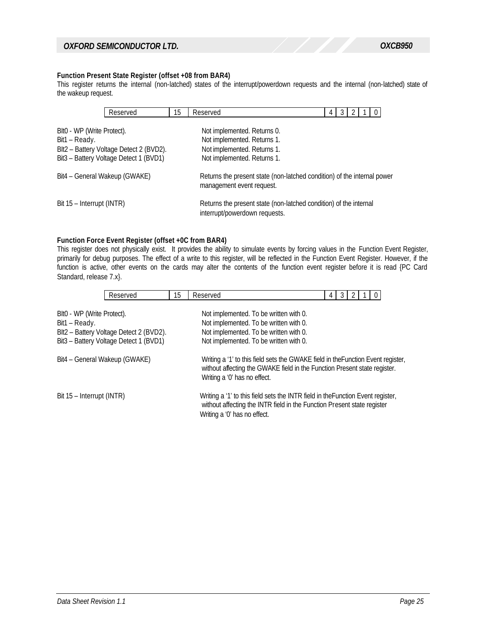#### **Function Present State Register (offset +08 from BAR4)**

This register returns the internal (non-latched) states of the interrupt/powerdown requests and the internal (non-latched) state of the wakeup request.

|                                             | Reserved                                                                          | 15 | Reserved                                                                                                                 | 4 |  |  |  |
|---------------------------------------------|-----------------------------------------------------------------------------------|----|--------------------------------------------------------------------------------------------------------------------------|---|--|--|--|
| BIt0 - WP (Write Protect).<br>Bit1 - Ready. | Blt2 - Battery Voltage Detect 2 (BVD2).<br>Bit3 - Battery Voltage Detect 1 (BVD1) |    | Not implemented. Returns 0.<br>Not implemented. Returns 1.<br>Not implemented. Returns 1.<br>Not implemented. Returns 1. |   |  |  |  |
| Bit4 - General Wakeup (GWAKE)               |                                                                                   |    | Returns the present state (non-latched condition) of the internal power<br>management event request.                     |   |  |  |  |
| Bit 15 - Interrupt (INTR)                   |                                                                                   |    | Returns the present state (non-latched condition) of the internal<br>interrupt/powerdown requests.                       |   |  |  |  |

### **Function Force Event Register (offset +0C from BAR4)**

This register does not physically exist. It provides the ability to simulate events by forcing values in the Function Event Register, primarily for debug purposes. The effect of a write to this register, will be reflected in the Function Event Register. However, if the function is active, other events on the cards may alter the contents of the function event register before it is read {PC Card Standard, release 7.x}.

|                                             | Reserved                                                                          | 15 | Reserved                                                                                                                                                                                      | 4 | 3 |  | $\overline{0}$ |  |
|---------------------------------------------|-----------------------------------------------------------------------------------|----|-----------------------------------------------------------------------------------------------------------------------------------------------------------------------------------------------|---|---|--|----------------|--|
| BIt0 - WP (Write Protect).<br>Bit1 - Ready. | Blt2 - Battery Voltage Detect 2 (BVD2).<br>Bit3 - Battery Voltage Detect 1 (BVD1) |    | Not implemented. To be written with 0.<br>Not implemented. To be written with 0.<br>Not implemented. To be written with 0.<br>Not implemented. To be written with 0.                          |   |   |  |                |  |
| Bit4 - General Wakeup (GWAKE)               |                                                                                   |    | Writing a '1' to this field sets the GWAKE field in the Function Event register,<br>without affecting the GWAKE field in the Function Present state register.<br>Writing a '0' has no effect. |   |   |  |                |  |
| Bit 15 - Interrupt (INTR)                   |                                                                                   |    | Writing a '1' to this field sets the INTR field in the Function Event register,<br>without affecting the INTR field in the Function Present state register<br>Writing a '0' has no effect.    |   |   |  |                |  |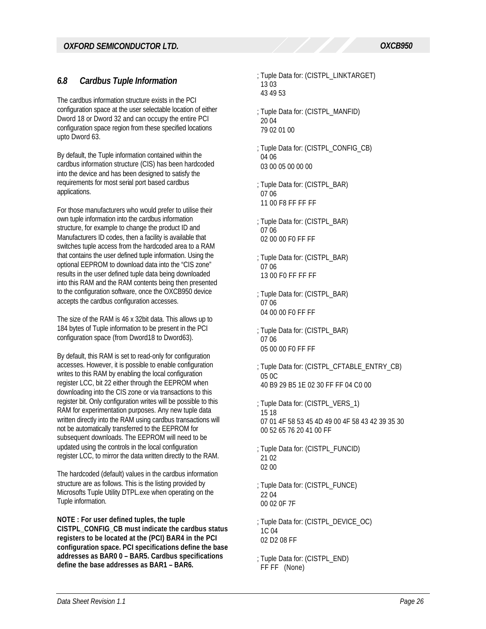# *6.8 Cardbus Tuple Information*

The cardbus information structure exists in the PCI configuration space at the user selectable location of either Dword 18 or Dword 32 and can occupy the entire PCI configuration space region from these specified locations upto Dword 63.

By default, the Tuple information contained within the cardbus information structure (CIS) has been hardcoded into the device and has been designed to satisfy the requirements for most serial port based cardbus applications.

For those manufacturers who would prefer to utilise their own tuple information into the cardbus information structure, for example to change the product ID and Manufacturers ID codes, then a facility is available that switches tuple access from the hardcoded area to a RAM that contains the user defined tuple information. Using the optional EEPROM to download data into the "CIS zone" results in the user defined tuple data being downloaded into this RAM and the RAM contents being then presented to the configuration software, once the OXCB950 device accepts the cardbus configuration accesses.

The size of the RAM is 46 x 32bit data. This allows up to 184 bytes of Tuple information to be present in the PCI configuration space (from Dword18 to Dword63).

By default, this RAM is set to read-only for configuration accesses. However, it is possible to enable configuration writes to this RAM by enabling the local configuration register LCC, bit 22 either through the EEPROM when downloading into the CIS zone or via transactions to this register bit. Only configuration writes will be possible to this RAM for experimentation purposes. Any new tuple data written directly into the RAM using cardbus transactions will not be automatically transferred to the EEPROM for subsequent downloads. The EEPROM will need to be updated using the controls in the local configuration register LCC, to mirror the data written directly to the RAM.

The hardcoded (default) values in the cardbus information structure are as follows. This is the listing provided by Microsofts Tuple Utility DTPL.exe when operating on the Tuple information.

**NOTE : For user defined tuples, the tuple CISTPL\_CONFIG\_CB must indicate the cardbus status registers to be located at the (PCI) BAR4 in the PCI configuration space. PCI specifications define the base addresses as BAR0 0 – BAR5. Cardbus specifications define the base addresses as BAR1 – BAR6.**

- ; Tuple Data for: (CISTPL\_LINKTARGET) 13 03 43 49 53
- ; Tuple Data for: (CISTPL\_MANFID) 20 04 79 02 01 00
- ; Tuple Data for: (CISTPL\_CONFIG\_CB) 04 06 03 00 05 00 00 00
- ; Tuple Data for: (CISTPL\_BAR) 07 06 11 00 F8 FF FF FF
- ; Tuple Data for: (CISTPL\_BAR) 07 06 02 00 00 F0 FF FF
- ; Tuple Data for: (CISTPL\_BAR) 07 06 13 00 F0 FF FF FF
- ; Tuple Data for: (CISTPL\_BAR) 07 06 04 00 00 F0 FF FF
- ; Tuple Data for: (CISTPL\_BAR) 07 06 05 00 00 F0 FF FF
- ; Tuple Data for: (CISTPL\_CFTABLE\_ENTRY\_CB) 05 0C 40 B9 29 B5 1E 02 30 FF FF 04 C0 00
- ; Tuple Data for: (CISTPL\_VERS\_1) 15 18 07 01 4F 58 53 45 4D 49 00 4F 58 43 42 39 35 30 00 52 65 76 20 41 00 FF
- ; Tuple Data for: (CISTPL\_FUNCID) 21 02 02 00
- ; Tuple Data for: (CISTPL\_FUNCE) 22 04 00 02 0F 7F
- ; Tuple Data for: (CISTPL\_DEVICE\_OC) 1C 04 02 D2 08 FF
- ; Tuple Data for: (CISTPL\_END) FF FF (None)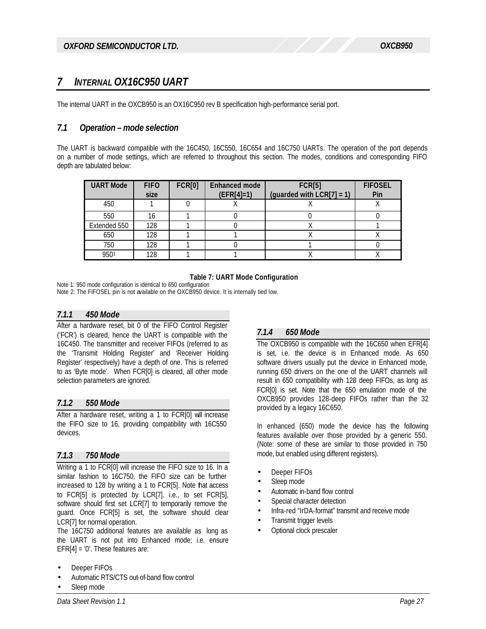# *7 INTERNAL OX16C950 UART*

The internal UART in the OXCB950 is an OX16C950 rev B specification high-performance serial port.

## *7.1 Operation – mode selection*

The UART is backward compatible with the 16C450, 16C550, 16C654 and 16C750 UARTs. The operation of the port depends on a number of mode settings, which are referred to throughout this section. The modes, conditions and corresponding FIFO depth are tabulated below:

| <b>UART Mode</b> | <b>FIFO</b><br>size | <b>FCR[0]</b> | <b>Enhanced mode</b><br>$(EFR[4]=1)$ | FCR[5]<br>(guarded with $LCR[7] = 1$ ) | <b>FIFOSEL</b><br>Pin |
|------------------|---------------------|---------------|--------------------------------------|----------------------------------------|-----------------------|
| 450              |                     |               |                                      |                                        |                       |
| 550              | 16                  |               |                                      |                                        |                       |
| Extended 550     | 128                 |               |                                      |                                        |                       |
| 650              | 128                 |               |                                      |                                        |                       |
| 750              | 128                 |               |                                      |                                        |                       |
| 9501             | 128                 |               |                                      |                                        |                       |

#### **Table 7: UART Mode Configuration**

Note 1: 950 mode configuration is identical to 650 configuration Note 2: The FIFOSEL pin is not available on the OXCB950 device. It is internally tied low.

## *7.1.1 450 Mode*

After a hardware reset, bit 0 of the FIFO Control Register ('FCR') is cleared, hence the UART is compatible with the 16C450. The transmitter and receiver FIFOs (referred to as the 'Transmit Holding Register' and 'Receiver Holding Register' respectively) have a depth of one. This is referred to as 'Byte mode'. When FCR[0] is cleared, all other mode selection parameters are ignored.

## *7.1.2 550 Mode*

After a hardware reset, writing a 1 to FCR[0] will increase the FIFO size to 16, providing compatibility with 16C550 devices.

### *7.1.3 750 Mode*

Writing a 1 to FCR[0] will increase the FIFO size to 16. In a similar fashion to 16C750, the FIFO size can be further increased to 128 by writing a 1 to FCR[5]. Note hat access to FCR[5] is protected by LCR[7]. i.e., to set FCR[5], software should first set LCR[7] to temporarily remove the guard. Once FCR[5] is set, the software should clear LCR[7] for normal operation.

The 16C750 additional features are available as long as the UART is not put into Enhanced mode; i.e. ensure  $EFR[4] = '0'.$  These features are:

- Deeper FIFOs
- Automatic RTS/CTS out-of-band flow control
- Sleep mode

## *7.1.4 650 Mode*

The OXCB950 is compatible with the 16C650 when EFR[4] is set, i.e. the device is in Enhanced mode. As 650 software drivers usually put the device in Enhanced mode, running 650 drivers on the one of the UART channels will result in 650 compatibility with 128 deep FIFOs, as long as FCR[0] is set. Note that the 650 emulation mode of the OXCB950 provides 128-deep FIFOs rather than the 32 provided by a legacy 16C650.

In enhanced (650) mode the device has the following features available over those provided by a generic 550. (Note: some of these are similar to those provided in 750 mode, but enabled using different registers).

- Deeper FIFOs
- Sleep mode
- Automatic in-band flow control
- Special character detection
- Infra-red "IrDA-format" transmit and receive mode
- Transmit trigger levels
- Optional clock prescaler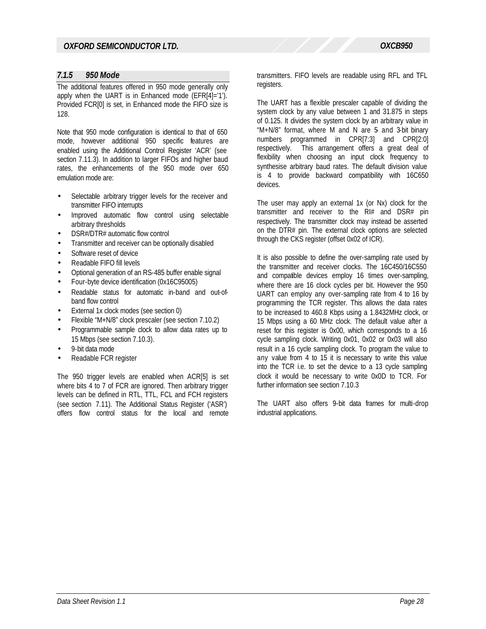## *7.1.5 950 Mode*

The additional features offered in 950 mode generally only apply when the UART is in Enhanced mode (EFR[4]='1'). Provided FCR[0] is set, in Enhanced mode the FIFO size is 128.

Note that 950 mode configuration is identical to that of 650 mode, however additional 950 specific features are enabled using the Additional Control Register 'ACR' (see section 7.11.3). In addition to larger FIFOs and higher baud rates, the enhancements of the 950 mode over 650 emulation mode are:

- Selectable arbitrary trigger levels for the receiver and transmitter FIFO interrupts
- Improved automatic flow control using selectable arbitrary thresholds
- DSR#/DTR# automatic flow control
- Transmitter and receiver can be optionally disabled
- Software reset of device
- Readable FIFO fill levels
- Optional generation of an RS-485 buffer enable signal
- Four-byte device identification (0x16C95005)
- Readable status for automatic in-band and out-ofband flow control
- External 1x clock modes (see section 0)
- Flexible "M+N/8" clock prescaler (see section 7.10.2)
- Programmable sample clock to allow data rates up to 15 Mbps (see section 7.10.3).
- 9-bit data mode
- Readable FCR register

The 950 trigger levels are enabled when ACR[5] is set where bits 4 to 7 of FCR are ignored. Then arbitrary trigger levels can be defined in RTL, TTL, FCL and FCH registers (see section 7.11). The Additional Status Register ('ASR') offers flow control status for the local and remote transmitters. FIFO levels are readable using RFL and TFL registers.

The UART has a flexible prescaler capable of dividing the system clock by any value between 1 and 31.875 in steps of 0.125. It divides the system clock by an arbitrary value in "M+N/8" format, where M and N are 5- and 3-bit binary numbers programmed in CPR[7:3] and CPR[2:0] respectively. This arrangement offers a great deal of flexibility when choosing an input clock frequency to synthesise arbitrary baud rates. The default division value is 4 to provide backward compatibility with 16C650 devices.

The user may apply an external 1x (or Nx) clock for the transmitter and receiver to the RI# and DSR# pin respectively. The transmitter clock may instead be asserted on the DTR# pin. The external clock options are selected through the CKS register (offset 0x02 of ICR).

It is also possible to define the over-sampling rate used by the transmitter and receiver clocks. The 16C450/16C550 and compatible devices employ 16 times over-sampling, where there are 16 clock cycles per bit. However the 950 UART can employ any over-sampling rate from 4 to 16 by programming the TCR register. This allows the data rates to be increased to 460.8 Kbps using a 1.8432MHz clock, or 15 Mbps using a 60 MHz clock. The default value after a reset for this register is 0x00, which corresponds to a 16 cycle sampling clock. Writing 0x01, 0x02 or 0x03 will also result in a 16 cycle sampling clock. To program the value to any value from 4 to 15 it is necessary to write this value into the TCR i.e. to set the device to a 13 cycle sampling clock it would be necessary to write 0x0D to TCR. For further information see section 7.10.3

The UART also offers 9-bit data frames for multi-drop industrial applications.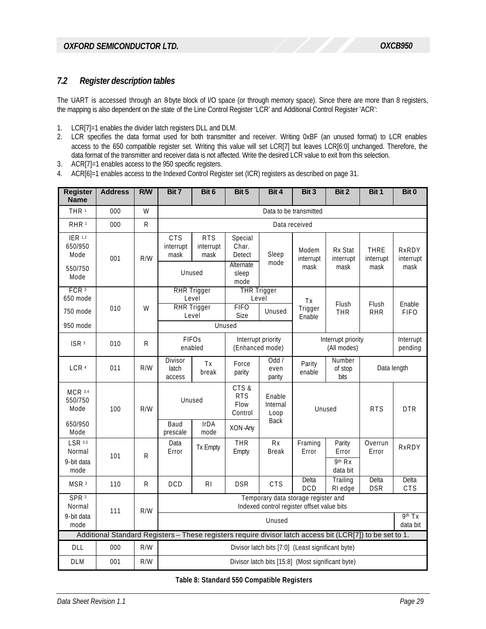# *7.2 Register description tables*

The UART is accessed through an 8-byte block of I/O space (or through memory space). Since there are more than 8 registers, the mapping is also dependent on the state of the Line Control Register 'LCR' and Additional Control Register 'ACR':

- 1. LCR[7]=1 enables the divider latch registers DLL and DLM.
- 2. LCR specifies the data format used for both transmitter and receiver. Writing 0xBF (an unused format) to LCR enables access to the 650 compatible register set. Writing this value will set LCR[7] but leaves LCR[6:0] unchanged. Therefore, the data format of the transmitter and receiver data is not affected. Write the desired LCR value to exit from this selection.
- 3. ACR[7]=1 enables access to the 950 specific registers.
- 4. ACR[6]=1 enables access to the Indexed Control Register set (ICR) registers as described on page 31.

| <b>Register</b><br><b>Name</b>          | <b>Address</b>                                                                                            | <b>R/W</b>  | Bit 7                                                                             | Bit 6                           | Bit 5                                 | Bit 4                      | Bit 3                                             | Bit 2                                 | Bit 1                    | Bit 0                 |
|-----------------------------------------|-----------------------------------------------------------------------------------------------------------|-------------|-----------------------------------------------------------------------------------|---------------------------------|---------------------------------------|----------------------------|---------------------------------------------------|---------------------------------------|--------------------------|-----------------------|
| THR <sup>1</sup>                        | 000                                                                                                       | W           |                                                                                   |                                 |                                       |                            | Data to be transmitted                            |                                       |                          |                       |
| RHR <sup>1</sup>                        | 000                                                                                                       | ${\sf R}$   |                                                                                   |                                 |                                       |                            | Data received                                     |                                       |                          |                       |
| $IER$ $1.2$<br>650/950<br>Mode          | 001                                                                                                       | R/W         | <b>CTS</b><br>interrupt<br>mask                                                   | <b>RTS</b><br>interrupt<br>mask | Special<br>Char.<br>Detect            | Sleep<br>mode              | Modem<br>interrupt                                | Rx Stat<br>interrupt                  | <b>THRE</b><br>interrupt | RxRDY<br>interrupt    |
| 550/750<br>Mode                         |                                                                                                           |             | Unused                                                                            |                                 | Alternate<br>sleep<br>mode            |                            | mask                                              | mask                                  | mask                     | mask                  |
| FCR <sup>3</sup><br>650 mode            |                                                                                                           |             |                                                                                   | <b>RHR Trigger</b><br>Level     | <b>THR Trigger</b>                    | Level                      | Tх                                                |                                       |                          |                       |
| 750 mode                                | 010                                                                                                       | W           |                                                                                   | <b>RHR Trigger</b><br>Level     | <b>FIFO</b><br><b>Size</b>            | Unused                     | Trigger<br>Enable                                 | Flush<br><b>THR</b>                   | Flush<br><b>RHR</b>      | Enable<br><b>FIFO</b> |
| 950 mode                                |                                                                                                           |             |                                                                                   |                                 | Unused                                |                            |                                                   |                                       |                          |                       |
| ISR <sup>3</sup>                        | 010                                                                                                       | R           |                                                                                   | <b>FIFOs</b><br>enabled         | (Enhanced mode)                       | Interrupt priority         | Interrupt priority<br>(All modes)                 |                                       | Interrupt<br>pending     |                       |
| LCR <sup>4</sup>                        | 011                                                                                                       | R/W         | <b>Divisor</b><br>latch<br>access                                                 | Tх<br>break                     | Force<br>parity                       | Odd /<br>even<br>parity    | Parity<br>enable                                  | Number<br>of stop<br>bits             | Data length              |                       |
| $MCR$ 3,4<br>550/750<br>Mode            | 100                                                                                                       | R/W         | Unused                                                                            |                                 | CTS&<br><b>RTS</b><br>Flow<br>Control | Enable<br>Internal<br>Loop |                                                   | Unused                                |                          | <b>DTR</b>            |
| 650/950<br>Mode                         |                                                                                                           |             | Baud<br>prescale                                                                  | IrDA<br>mode                    | XON-Any                               | <b>Back</b>                |                                                   |                                       |                          |                       |
| LSR 3,5<br>Normal<br>9-bit data<br>mode | 101                                                                                                       | $\mathsf R$ | Data<br>Error                                                                     | <b>Tx Empty</b>                 | <b>THR</b><br>Empty                   | Rx<br><b>Break</b>         | Framing<br>Error                                  | Parity<br>Error<br>9th Rx<br>data bit | Overrun<br>Error         | RxRDY                 |
| MSR <sup>3</sup>                        | 110                                                                                                       | R.          | <b>DCD</b>                                                                        | R <sub>l</sub>                  | <b>DSR</b>                            | <b>CTS</b>                 | Delta<br><b>DCD</b>                               | Trailing<br>RI edge                   | Delta<br><b>DSR</b>      | Delta<br>CTS          |
| SPR <sup>3</sup><br>Normal              | 111                                                                                                       | R/W         | Temporary data storage register and<br>Indexed control register offset value bits |                                 |                                       |                            |                                                   |                                       |                          |                       |
| 9-bit data<br>mode                      |                                                                                                           |             | 9 <sup>th</sup> Tx<br>Unused                                                      |                                 |                                       |                            |                                                   | data bit                              |                          |                       |
|                                         | Additional Standard Registers - These registers require divisor latch access bit (LCR[7]) to be set to 1. |             |                                                                                   |                                 |                                       |                            |                                                   |                                       |                          |                       |
| DLL                                     | 000                                                                                                       | R/W         |                                                                                   |                                 |                                       |                            | Divisor latch bits [7:0] (Least significant byte) |                                       |                          |                       |
| <b>DLM</b>                              | 001                                                                                                       | R/W         |                                                                                   |                                 |                                       |                            | Divisor latch bits [15:8] (Most significant byte) |                                       |                          |                       |

#### **Table 8: Standard 550 Compatible Registers**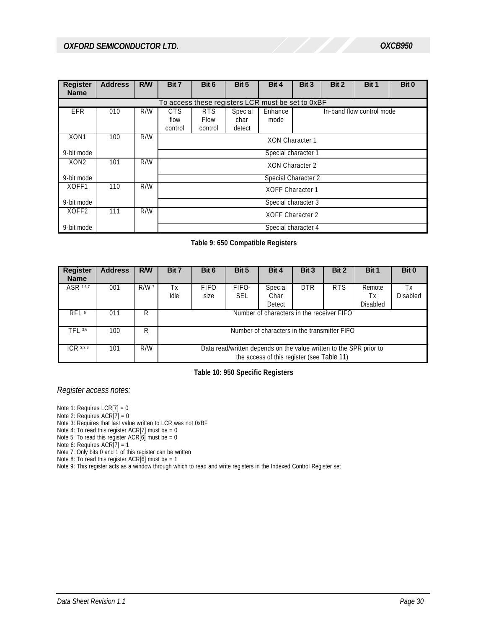| <b>Register</b><br><b>Name</b> | <b>Address</b> | <b>R/W</b> | Bit 7                         | Bit 6                                | Bit 5                     | Bit 4                                             | Bit 3 | Bit 2 | Bit 1                     | Bit 0 |
|--------------------------------|----------------|------------|-------------------------------|--------------------------------------|---------------------------|---------------------------------------------------|-------|-------|---------------------------|-------|
|                                |                |            |                               |                                      |                           | To access these registers LCR must be set to 0xBF |       |       |                           |       |
| EFR                            | 010            | R/W        | <b>CTS</b><br>flow<br>control | <b>RTS</b><br><b>Flow</b><br>control | Special<br>char<br>detect | Enhance<br>mode                                   |       |       | In-band flow control mode |       |
| XON <sub>1</sub>               | 100            | R/W        |                               |                                      |                           | XON Character 1                                   |       |       |                           |       |
| 9-bit mode                     |                |            |                               |                                      |                           | Special character 1                               |       |       |                           |       |
| XON <sub>2</sub>               | 101            | R/W        |                               |                                      |                           | XON Character 2                                   |       |       |                           |       |
| 9-bit mode                     |                |            |                               |                                      |                           | Special Character 2                               |       |       |                           |       |
| XOFF1                          | 110            | R/W        |                               |                                      |                           | XOFF Character 1                                  |       |       |                           |       |
| 9-bit mode                     |                |            | Special character 3           |                                      |                           |                                                   |       |       |                           |       |
| XOFF2                          | 111            | R/W        |                               |                                      |                           | XOFF Character 2                                  |       |       |                           |       |
| 9-bit mode                     |                |            |                               |                                      |                           | Special character 4                               |       |       |                           |       |

| <b>Register</b><br><b>Name</b> | <b>Address</b> | <b>R/W</b>         | Bit 7                                                              | Bit 6       | Bit 5      | Bit 4                                      | Bit 3      | Bit 2      | Bit 1    | Bit 0           |
|--------------------------------|----------------|--------------------|--------------------------------------------------------------------|-------------|------------|--------------------------------------------|------------|------------|----------|-----------------|
| ASR 1,6,7                      | 001            | $R/W$ <sup>7</sup> | Тx                                                                 | <b>FIFO</b> | FIFO-      | Special                                    | <b>DTR</b> | <b>RTS</b> | Remote   | Тx              |
|                                |                |                    | Idle                                                               | size        | <b>SEL</b> | Char                                       |            |            | Тx       | <b>Disabled</b> |
|                                |                |                    |                                                                    |             |            | Detect                                     |            |            | Disabled |                 |
| RFL 6                          | 011            | R                  |                                                                    |             |            | Number of characters in the receiver FIFO  |            |            |          |                 |
|                                |                |                    |                                                                    |             |            |                                            |            |            |          |                 |
| TFI 3,6                        | 100            | R                  | Number of characters in the transmitter FIFO                       |             |            |                                            |            |            |          |                 |
|                                |                |                    |                                                                    |             |            |                                            |            |            |          |                 |
| ICR <sup>3,8,9</sup>           | 101            | R/W                | Data read/written depends on the value written to the SPR prior to |             |            |                                            |            |            |          |                 |
|                                |                |                    |                                                                    |             |            | the access of this register (see Table 11) |            |            |          |                 |

### **Table 10: 950 Specific Registers**

## *Register access notes:*

Note 1: Requires LCR[7] = 0

Note 2: Requires ACR[7] = 0

Note 3: Requires that last value written to LCR was not 0xBF

Note 4: To read this register ACR[7] must be = 0

Note 5: To read this register ACR[6] must be = 0

Note 6: Requires ACR[7] = 1

Note 7: Only bits 0 and 1 of this register can be written

Note 8: To read this register ACR[6] must be = 1

Note 9: This register acts as a window through which to read and write registers in the Indexed Control Register set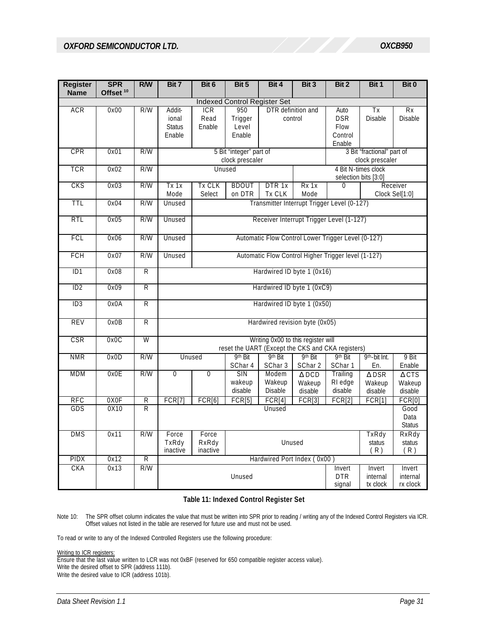| <b>Register</b><br><b>Name</b> | <b>SPR</b><br>Offset <sup>10</sup> | <b>R/W</b>     | Bit 7            | Bit 6                           | Bit 5                               | Bit 4                                               | Bit 3            | Bit 2      | Bit 1                      | Bit 0                     |
|--------------------------------|------------------------------------|----------------|------------------|---------------------------------|-------------------------------------|-----------------------------------------------------|------------------|------------|----------------------------|---------------------------|
|                                |                                    |                |                  |                                 | <b>Indexed Control Register Set</b> |                                                     |                  |            |                            |                           |
| <b>ACR</b>                     | 0x00                               | R/W            | Addit-           | $\overline{ICR}$                | 950                                 | <b>DTR</b> definition and                           |                  | Auto       | Tх                         | Rx                        |
|                                |                                    |                | ional            | Read                            | Trigger                             |                                                     | control          | <b>DSR</b> | Disable                    | Disable                   |
|                                |                                    |                | <b>Status</b>    | Enable                          | Level                               |                                                     |                  | Flow       |                            |                           |
|                                |                                    |                | Enable           |                                 | Enable                              |                                                     |                  | Control    |                            |                           |
|                                |                                    |                |                  |                                 |                                     |                                                     |                  | Enable     |                            |                           |
| CPR                            | 0x01                               | R/W            |                  |                                 | 5 Bit "integer" part of             |                                                     |                  |            | 3 Bit "fractional" part of |                           |
|                                |                                    |                |                  |                                 | clock prescaler                     |                                                     |                  |            | clock prescaler            |                           |
| <b>TCR</b>                     | 0x02                               | R/W            |                  |                                 | Unused                              |                                                     |                  |            | 4 Bit N-times clock        |                           |
|                                |                                    |                |                  |                                 |                                     |                                                     |                  |            | selection bits [3:0]       |                           |
| <b>CKS</b>                     | 0x03                               | R/W            | Tx <sub>1x</sub> | Tx CLK                          | <b>BDOUT</b>                        | DTR <sub>1x</sub>                                   | Rx <sub>1x</sub> | $\Omega$   |                            | Receiver                  |
|                                |                                    |                | Mode             | Select                          | on DTR                              | Tx CLK                                              | Mode             |            |                            | Clock Sel[1:0]            |
| <b>TTL</b>                     | 0x04                               | R/W            | Unused           |                                 |                                     | Transmitter Interrupt Trigger Level (0-127)         |                  |            |                            |                           |
|                                |                                    |                |                  |                                 |                                     |                                                     |                  |            |                            |                           |
| RTL                            | 0x05                               | R/W            | Unused           |                                 |                                     | Receiver Interrupt Trigger Level (1-127)            |                  |            |                            |                           |
|                                |                                    |                |                  |                                 |                                     |                                                     |                  |            |                            |                           |
| FCL                            | 0x06                               | R/W            | Unused           |                                 |                                     | Automatic Flow Control Lower Trigger Level (0-127)  |                  |            |                            |                           |
|                                |                                    |                |                  |                                 |                                     |                                                     |                  |            |                            |                           |
| FCH                            | 0x07                               | R/W            | Unused           |                                 |                                     | Automatic Flow Control Higher Trigger level (1-127) |                  |            |                            |                           |
| ID1                            | 0x08                               | R              |                  |                                 |                                     | Hardwired ID byte 1 (0x16)                          |                  |            |                            |                           |
|                                |                                    |                |                  |                                 |                                     |                                                     |                  |            |                            |                           |
| ID2                            | 0x09                               | $\overline{R}$ |                  |                                 |                                     | Hardwired ID byte 1 (0xC9)                          |                  |            |                            |                           |
|                                |                                    |                |                  |                                 |                                     |                                                     |                  |            |                            |                           |
| ID3                            | 0x0A                               | R              |                  |                                 |                                     | Hardwired ID byte 1 (0x50)                          |                  |            |                            |                           |
|                                |                                    |                |                  |                                 |                                     |                                                     |                  |            |                            |                           |
| <b>REV</b>                     | 0x0B                               | $\overline{R}$ |                  |                                 |                                     | Hardwired revision byte (0x05)                      |                  |            |                            |                           |
|                                |                                    |                |                  |                                 |                                     |                                                     |                  |            |                            |                           |
| CSR                            | 0x0C                               | W              |                  |                                 |                                     | Writing 0x00 to this register will                  |                  |            |                            |                           |
|                                |                                    |                |                  |                                 |                                     | reset the UART (Except the CKS and CKA registers)   |                  |            |                            |                           |
| <b>NMR</b>                     | 0x0D                               | R/W            | Unused           |                                 | 9th Bit                             | 9th Bit                                             | 9th Bit          | 9th Bit    | 9th-bit Int.               | 9 Bit                     |
|                                |                                    |                |                  |                                 | SChar 4                             | SChar 3                                             | SChar 2          | SChar 1    | En.                        | Enable                    |
| <b>MDM</b>                     | 0x0E                               | R/W            | $\overline{0}$   | $\overline{0}$                  | SIN                                 | Modem                                               | $\triangle DCD$  | Trailing   | $\overline{\Delta}$ DSR    | $\overline{\triangle$ CTS |
|                                |                                    |                |                  |                                 | wakeup                              | Wakeup                                              | Wakeup           | RI edge    | Wakeup                     | Wakeup                    |
|                                |                                    |                |                  |                                 | disable                             | Disable                                             | disable          | disable    | disable                    | disable                   |
| <b>RFC</b>                     | 0X0F                               | $\overline{R}$ | FCR[7]           | FCR[6]                          | FCR[5]                              | FCR[4]                                              | FCR[3]           | FCR[2]     | FCR[1]                     | FCR[0]                    |
| GDS                            | 0X10                               | $\overline{R}$ | Unused<br>Good   |                                 |                                     |                                                     |                  |            |                            |                           |
|                                |                                    |                |                  |                                 |                                     |                                                     |                  |            |                            | Data                      |
| <b>DMS</b>                     | 0x11                               | R/W            | Force            | <b>Status</b><br>Force<br>TxRdy |                                     |                                                     |                  |            | RxRdy                      |                           |
|                                |                                    |                | TxRdy            | RxRdy                           |                                     | Unused                                              |                  |            | status                     | status                    |
|                                |                                    |                | inactive         | inactive                        |                                     |                                                     |                  |            | (R)                        | (R)                       |
| <b>PIDX</b>                    | 0x12                               | R              |                  |                                 |                                     | Hardwired Port Index (0x00)                         |                  |            |                            |                           |
| CKA                            | 0x13                               | R/W            |                  |                                 |                                     |                                                     |                  | Invert     | Invert                     | Invert                    |
|                                |                                    |                |                  |                                 | Unused                              |                                                     |                  | <b>DTR</b> | internal                   | internal                  |
|                                |                                    |                |                  |                                 |                                     |                                                     |                  | signal     | tx clock                   | rx clock                  |

#### **Table 11: Indexed Control Register Set**

Note 10: The SPR offset column indicates the value that must be written into SPR prior to reading / writing any of the Indexed Control Registers via ICR. Offset values not listed in the table are reserved for future use and must not be used.

To read or write to any of the Indexed Controlled Registers use the following procedure:

Writing to ICR registers:

Ensure that the last value written to LCR was not 0xBF (reserved for 650 compatible register access value). Write the desired offset to SPR (address 111b). Write the desired value to ICR (address 101b).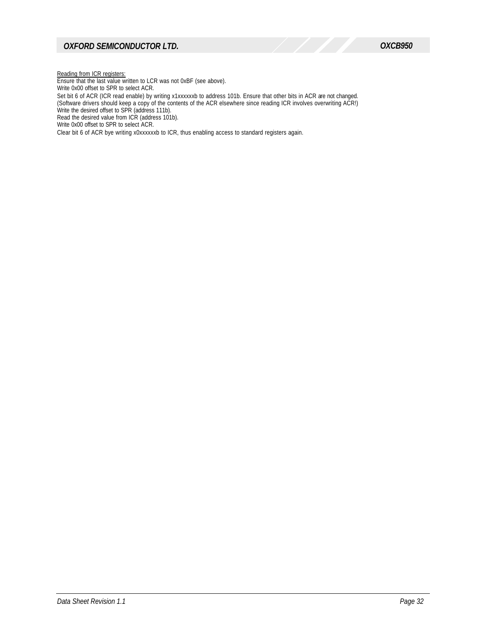Reading from ICR registers:

Ensure that the last value written to LCR was not 0xBF (see above).

Write 0x00 offset to SPR to select ACR.

Set bit 6 of ACR (ICR read enable) by writing x1xxxxxxb to address 101b. Ensure that other bits in ACR are not changed. (Software drivers should keep a copy of the contents of the ACR elsewhere since reading ICR involves overwriting ACR!)

Write the desired offset to SPR (address 111b). Read the desired value from ICR (address 101b).

Write 0x00 offset to SPR to select ACR.

Clear bit 6 of ACR bye writing x0xxxxxxb to ICR, thus enabling access to standard registers again.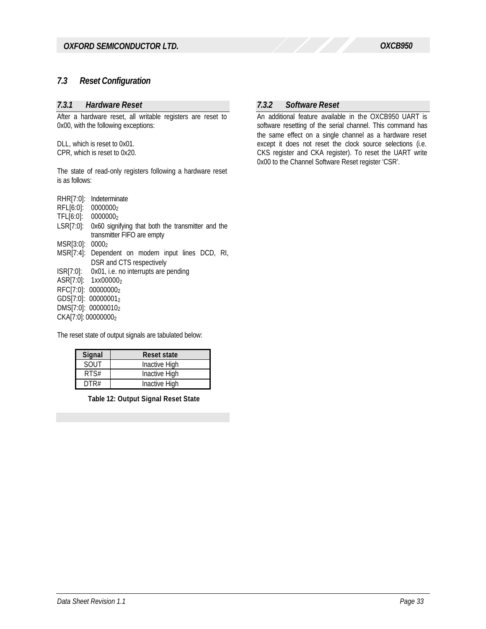# *7.3 Reset Configuration*

## *7.3.1 Hardware Reset*

After a hardware reset, all writable registers are reset to 0x00, with the following exceptions:

DLL, which is reset to 0x01. CPR, which is reset to 0x20.

The state of read-only registers following a hardware reset is as follows:

| RHR[7:0]:                      | Indeterminate                                     |
|--------------------------------|---------------------------------------------------|
| RFL[6:0]: 0000000 <sub>2</sub> |                                                   |
| TFL[6:0]: 0000000 <sub>2</sub> |                                                   |
| LSR[7:0]:                      | 0x60 signifying that both the transmitter and the |
|                                | transmitter FIFO are empty                        |
| MSR[3:0]:                      | 0000 <sub>2</sub>                                 |
| $MSR[7:4]$ :                   | Dependent on modem input lines DCD, RI,           |
|                                | DSR and CTS respectively                          |
| ISR[7:0]:                      | 0x01, i.e. no interrupts are pending              |
|                                | ASR[7:0]: 1xx00000 <sub>2</sub>                   |
|                                | RFC[7:0]: 000000002                               |
|                                | GDS[7:0]: 000000012                               |
|                                | DMS[7:0]: 000000102                               |
| CKA[7:0]: 000000002            |                                                   |
|                                |                                                   |
|                                |                                                   |

The reset state of output signals are tabulated below:

| Signal | <b>Reset state</b> |  |  |  |
|--------|--------------------|--|--|--|
| SOUT   | Inactive High      |  |  |  |
| RTS#   | Inactive High      |  |  |  |
| DTR#   | Inactive High      |  |  |  |

**Table 12: Output Signal Reset State**

# *7.3.2 Software Reset*

An additional feature available in the OXCB950 UART is software resetting of the serial channel. This command has the same effect on a single channel as a hardware reset except it does not reset the clock source selections (i.e. CKS register and CKA register). To reset the UART write 0x00 to the Channel Software Reset register 'CSR'.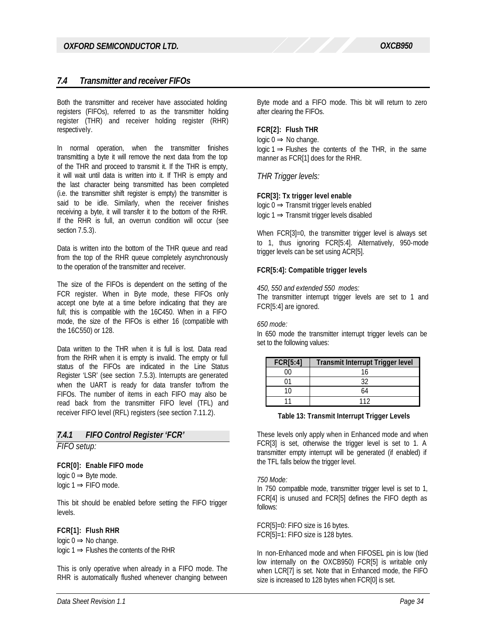# *7.4 Transmitter and receiver FIFOs*

Both the transmitter and receiver have associated holding registers (FIFOs), referred to as the transmitter holding register (THR) and receiver holding register (RHR) respectively.

In normal operation, when the transmitter finishes transmitting a byte it will remove the next data from the top of the THR and proceed to transmit it. If the THR is empty, it will wait until data is written into it. If THR is empty and the last character being transmitted has been completed (i.e. the transmitter shift register is empty) the transmitter is said to be idle. Similarly, when the receiver finishes receiving a byte, it will transfer it to the bottom of the RHR. If the RHR is full, an overrun condition will occur (see section 7.5.3).

Data is written into the bottom of the THR queue and read from the top of the RHR queue completely asynchronously to the operation of the transmitter and receiver.

The size of the FIFOs is dependent on the setting of the FCR register. When in Byte mode, these FIFOs only accept one byte at a time before indicating that they are full; this is compatible with the 16C450. When in a FIFO mode, the size of the FIFOs is either 16 (compatible with the 16C550) or 128.

Data written to the THR when it is full is lost. Data read from the RHR when it is empty is invalid. The empty or full status of the FIFOs are indicated in the Line Status Register 'LSR' (see section 7.5.3). Interrupts are generated when the UART is ready for data transfer to/from the FIFOs. The number of items in each FIFO may also be read back from the transmitter FIFO level (TFL) and receiver FIFO level (RFL) registers (see section 7.11.2).

## *7.4.1 FIFO Control Register 'FCR'*

*FIFO setup:*

# **FCR[0]: Enable FIFO mode**

logic 0 ⇒ Byte mode. logic 1 ⇒ FIFO mode.

This bit should be enabled before setting the FIFO trigger levels.

## **FCR[1]: Flush RHR**

logic  $0 \Rightarrow$  No change. logic 1 ⇒ Flushes the contents of the RHR

This is only operative when already in a FIFO mode. The RHR is automatically flushed whenever changing between Byte mode and a FIFO mode. This bit will return to zero after clearing the FIFOs.

## **FCR[2]: Flush THR**

logic 0 ⇒ No change. logic 1  $\Rightarrow$  Flushes the contents of the THR, in the same manner as FCR[1] does for the RHR.

## *THR Trigger levels:*

### **FCR[3]: Tx trigger level enable**

logic 0 ⇒ Transmit trigger levels enabled logic 1 ⇒ Transmit trigger levels disabled

When FCR[3]=0, the transmitter trigger level is always set to 1, thus ignoring FCR[5:4]. Alternatively, 950-mode trigger levels can be set using ACR[5].

## **FCR[5:4]: Compatible trigger levels**

*450, 550 and extended 550 modes:* The transmitter interrupt trigger levels are set to 1 and FCR[5:4] are ignored.

*650 mode:*

In 650 mode the transmitter interrupt trigger levels can be set to the following values:

| FCR[5:4] | Transmit Interrupt Trigger level |
|----------|----------------------------------|
|          |                                  |
|          |                                  |
|          |                                  |
|          | 112                              |

**Table 13: Transmit Interrupt Trigger Levels**

These levels only apply when in Enhanced mode and when FCR[3] is set, otherwise the trigger level is set to 1. A transmitter empty interrupt will be generated (if enabled) if the TFL falls below the trigger level.

### *750 Mode:*

In 750 compatible mode, transmitter trigger level is set to 1, FCR[4] is unused and FCR[5] defines the FIFO depth as follows:

FCR[5]=0: FIFO size is 16 bytes. FCR[5]=1: FIFO size is 128 bytes.

In non-Enhanced mode and when FIFOSEL pin is low (tied low internally on the OXCB950) FCR[5] is writable only when LCR[7] is set. Note that in Enhanced mode, the FIFO size is increased to 128 bytes when FCR[0] is set.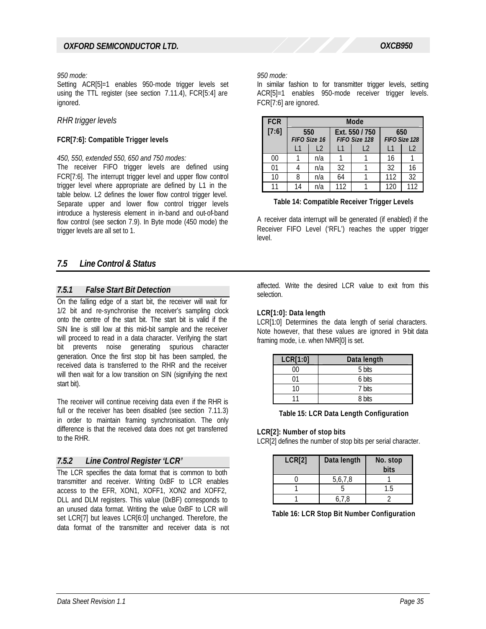#### *950 mode:*

Setting ACR[5]=1 enables 950-mode trigger levels set using the TTL register (see section 7.11.4), FCR[5:4] are ignored.

## *RHR trigger levels*

### **FCR[7:6]: Compatible Trigger levels**

#### *450, 550, extended 550, 650 and 750 modes:*

The receiver FIFO trigger levels are defined using FCR[7:6]. The interrupt trigger level and upper flow control trigger level where appropriate are defined by L1 in the table below. L2 defines the lower flow control trigger level. Separate upper and lower flow control trigger levels introduce a hysteresis element in in-band and out-of-band flow control (see section 7.9). In Byte mode (450 mode) the trigger levels are all set to 1.

# *7.5 Line Control & Status*

## *7.5.1 False Start Bit Detection*

On the falling edge of a start bit, the receiver will wait for 1/2 bit and re-synchronise the receiver's sampling clock onto the centre of the start bit. The start bit is valid if the SIN line is still low at this mid-bit sample and the receiver will proceed to read in a data character. Verifying the start bit prevents noise generating spurious character generation. Once the first stop bit has been sampled, the received data is transferred to the RHR and the receiver will then wait for a low transition on SIN (signifying the next start bit).

The receiver will continue receiving data even if the RHR is full or the receiver has been disabled (see section 7.11.3) in order to maintain framing synchronisation. The only difference is that the received data does not get transferred to the RHR.

## *7.5.2 Line Control Register 'LCR'*

The LCR specifies the data format that is common to both transmitter and receiver. Writing 0xBF to LCR enables access to the EFR, XON1, XOFF1, XON2 and XOFF2, DLL and DLM registers. This value (0xBF) corresponds to an unused data format. Writing the value 0xBF to LCR will set LCR[7] but leaves LCR[6:0] unchanged. Therefore, the data format of the transmitter and receiver data is not

#### *950 mode:*

In similar fashion to for transmitter trigger levels, setting ACR[5]=1 enables 950-mode receiver trigger levels. FCR[7:6] are ignored.

| <b>FCR</b> |                     |     |     | Mode                            |                      |                |
|------------|---------------------|-----|-----|---------------------------------|----------------------|----------------|
| $[7:6]$    | 550<br>FIFO Size 16 |     |     | Ext. 550 / 750<br>FIFO Size 128 | 650<br>FIFO Size 128 |                |
|            | l 1                 | L2  | l 1 | L2                              | l 1                  | L <sub>2</sub> |
| 00         |                     | n/a |     |                                 | 16                   |                |
| 01         |                     | n/a | 32  |                                 | 32                   | 16             |
| 10         | 8                   | n/a | 64  |                                 | 112                  | 32             |
|            |                     | n/a | 112 |                                 | 120                  | 112            |

**Table 14: Compatible Receiver Trigger Levels**

A receiver data interrupt will be generated (if enabled) if the Receiver FIFO Level ('RFL') reaches the upper trigger level.

affected. Write the desired LCR value to exit from this selection.

### **LCR[1:0]: Data length**

LCR[1:0] Determines the data length of serial characters. Note however, that these values are ignored in 9-bit data framing mode, i.e. when NMR[0] is set.

| LCR[1:0] | Data length |
|----------|-------------|
| იი       | 5 bits      |
| በ1       | 6 bits      |
| 10       | 7 bits      |
|          | 8 bits      |

**Table 15: LCR Data Length Configuration**

#### **LCR[2]: Number of stop bits**

LCR[2] defines the number of stop bits per serial character.

| LCR[2] | Data length | No. stop<br>bits |
|--------|-------------|------------------|
|        | 5,6,7,8     |                  |
|        |             | 1.5              |
|        |             |                  |

| Table 16: LCR Stop Bit Number Configuration |  |  |
|---------------------------------------------|--|--|
|---------------------------------------------|--|--|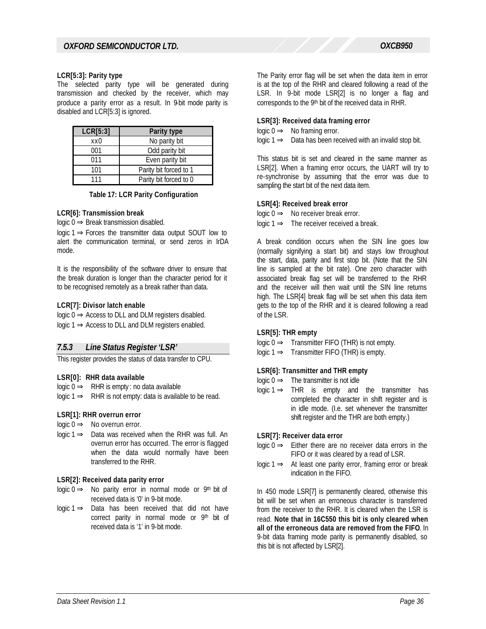#### **LCR[5:3]: Parity type**

The selected parity type will be generated during transmission and checked by the receiver, which may produce a parity error as a result. In 9-bit mode parity is disabled and LCR[5:3] is ignored.

| LCR[5:3] | Parity type            |
|----------|------------------------|
| xx0      | No parity bit          |
| 001      | Odd parity bit         |
| 011      | Even parity bit        |
| 101      | Parity bit forced to 1 |
| 111      | Parity bit forced to 0 |

#### **Table 17: LCR Parity Configuration**

### **LCR[6]: Transmission break**

logic 0 ⇒ Break transmission disabled.

logic 1 ⇒ Forces the transmitter data output SOUT low to alert the communication terminal, or send zeros in IrDA mode.

It is the responsibility of the software driver to ensure that the break duration is longer than the character period for it to be recognised remotely as a break rather than data.

### **LCR[7]: Divisor latch enable**

logic  $0 \implies$  Access to DLL and DLM registers disabled. logic 1 ⇒ Access to DLL and DLM registers enabled.

### *7.5.3 Line Status Register 'LSR'*

This register provides the status of data transfer to CPU.

#### **LSR[0]: RHR data available**

logic  $0 \implies$  RHR is empty : no data available

logic  $1 \implies$  RHR is not empty: data is available to be read.

### **LSR[1]: RHR overrun error**

- logic  $0 \implies$  No overrun error.
- logic  $1 \implies$  Data was received when the RHR was full. An overrun error has occurred. The error is flagged when the data would normally have been transferred to the RHR.

#### **LSR[2]: Received data parity error**

- logic  $0 \implies$  No parity error in normal mode or 9<sup>th</sup> bit of received data is '0' in 9-bit mode.
- logic  $1 \implies$  Data has been received that did not have correct parity in normal mode or 9<sup>th</sup> bit of received data is '1' in 9-bit mode.

The Parity error flag will be set when the data item in error is at the top of the RHR and cleared following a read of the LSR. In 9-bit mode LSR[2] is no longer a flag and corresponds to the 9th bit of the received data in RHR.

#### **LSR[3]: Received data framing error**

- logic  $0 \implies$  No framing error.
- logic  $1 \implies$  Data has been received with an invalid stop bit.

This status bit is set and cleared in the same manner as LSR[2]. When a framing error occurs, the UART will try to re-synchronise by assuming that the error was due to sampling the start bit of the next data item.

#### **LSR[4]: Received break error**

logic  $0 \implies$  No receiver break error. logic  $1 \implies$  The receiver received a break.

A break condition occurs when the SIN line goes low (normally signifying a start bit) and stays low throughout the start, data, parity and first stop bit. (Note that the SIN line is sampled at the bit rate). One zero character with associated break flag set will be transferred to the RHR and the receiver will then wait until the SIN line returns high. The LSR[4] break flag will be set when this data item gets to the top of the RHR and it is cleared following a read of the LSR.

#### **LSR[5]: THR empty**

- logic  $0 \implies$  Transmitter FIFO (THR) is not empty.
- logic  $1$   $\Rightarrow$  Transmitter FIFO (THR) is empty.

#### **LSR[6]: Transmitter and THR empty**

- logic  $0 \implies$  The transmitter is not idle
- logic  $1 \implies$  THR is empty and the transmitter has completed the character in shift register and is in idle mode. (I.e. set whenever the transmitter shift register and the THR are both empty.)

#### **LSR[7]: Receiver data error**

- logic  $0 \implies$  Either there are no receiver data errors in the FIFO or it was cleared by a read of LSR.
- logic  $1 \implies$  At least one parity error, framing error or break indication in the FIFO.

In 450 mode LSR[7] is permanently cleared, otherwise this bit will be set when an erroneous character is transferred from the receiver to the RHR. It is cleared when the LSR is read. **Note that in 16C550 this bit is only cleared when all of the erroneous data are removed from the FIFO**. In 9-bit data framing mode parity is permanently disabled, so this bit is not affected by LSR[2].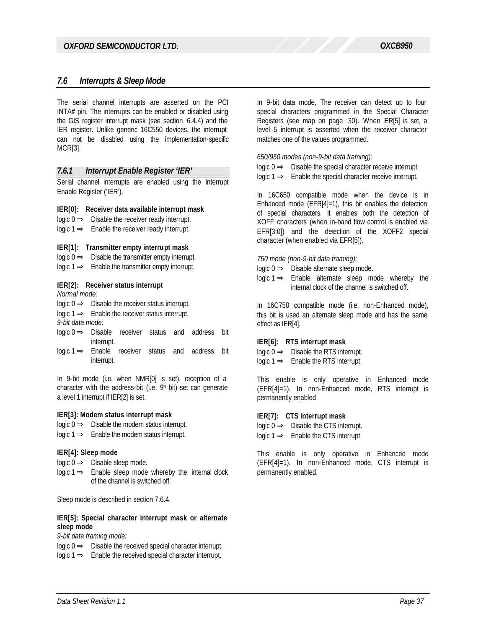## *7.6 Interrupts & Sleep Mode*

The serial channel interrupts are asserted on the PCI INTA# pin. The interrupts can be enabled or disabled using the GIS register interrupt mask (see section 6.4.4) and the IER register. Unlike generic 16C550 devices, the interrupt can not be disabled using the implementation-specific MCR[3].

## *7.6.1 Interrupt Enable Register 'IER'*

Serial channel interrupts are enabled using the Interrupt Enable Register ('IER').

### **IER[0]: Receiver data available interrupt mask**

- logic  $0 \implies$  Disable the receiver ready interrupt.
- logic  $1 \implies$  Enable the receiver ready interrupt.

#### **IER[1]: Transmitter empty interrupt mask**

- logic  $0 \implies$  Disable the transmitter empty interrupt.
- logic  $1 \implies$  Enable the transmitter empty interrupt.

#### **IER[2]: Receiver status interrupt**

*Normal mode:*

- logic  $0 \implies$  Disable the receiver status interrupt.
- logic 1 ⇒ Enable the receiver status interrupt.
- *9-bit data mode:*
- logic  $0 \implies$  Disable receiver status and address bit interrupt.
- logic  $1 \implies$  Enable receiver status and address bit interrupt.

In 9-bit mode (i.e. when NMR[0] is set), reception of a character with the address-bit (i.e.  $9<sup>h</sup>$  bit) set can generate a level 1 interrupt if IER[2] is set.

#### **IER[3]: Modem status interrupt mask**

- logic  $0 \implies$  Disable the modem status interrupt.
- logic 1 ⇒ Enable the modem status interrupt.

#### **IER[4]: Sleep mode**

logic  $0 \implies$  Disable sleep mode.

logic  $1 \implies$  Enable sleep mode whereby the internal clock of the channel is switched off.

Sleep mode is described in section 7.6.4.

#### **IER[5]: Special character interrupt mask or alternate sleep mode**

*9-bit data framing mode:*

- logic 0 ⇒ Disable the received special character interrupt.
- logic  $1 \implies$  Enable the received special character interrupt.

In 9-bit data mode, The receiver can detect up to four special characters programmed in the Special Character Registers (see map on page 30). When ER[5] is set, a level 5 interrupt is asserted when the receiver character matches one of the values programmed.

#### *650/950 modes (non-9-bit data framing):*

logic  $0 \implies$  Disable the special character receive interrupt. logic  $1 \implies$  Enable the special character receive interrupt.

In 16C650 compatible mode when the device is in Enhanced mode (EFR[4]=1), this bit enables the detection of special characters. It enables both the detection of XOFF characters (when in-band flow control is enabled via

EFR[3:0]) and the detection of the XOFF2 special character (when enabled via EFR[5]).

#### *750 mode (non-9-bit data framing):*

logic  $0 \implies$  Disable alternate sleep mode.

logic  $1 \implies$  Enable alternate sleep mode whereby the internal clock of the channel is switched off.

In 16C750 compatible mode (i.e. non-Enhanced mode), this bit is used an alternate sleep mode and has the same effect as IER[4].

#### **IER[6]: RTS interrupt mask**

logic  $0 \implies$  Disable the RTS interrupt. logic 1 ⇒ Enable the RTS interrupt.

This enable is only operative in Enhanced mode (EFR[4]=1). In non-Enhanced mode, RTS interrupt is permanently enabled

#### **IER[7]: CTS interrupt mask**

logic  $0 \implies$  Disable the CTS interrupt. logic  $1 \implies$  Enable the CTS interrupt.

This enable is only operative in Enhanced mode (EFR[4]=1). In non-Enhanced mode, CTS interrupt is permanently enabled.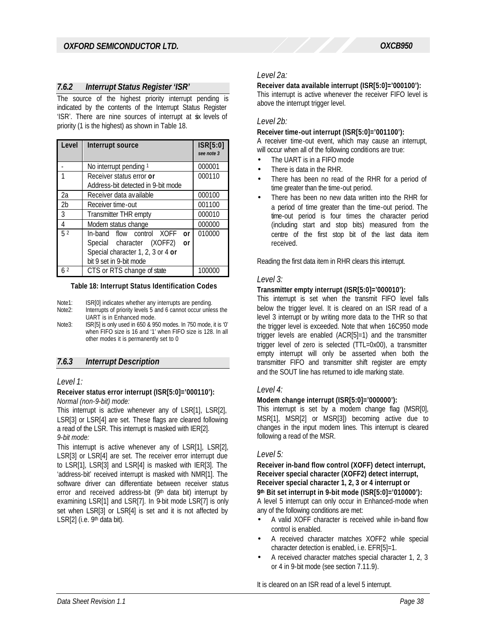## *7.6.2 Interrupt Status Register 'ISR'*

The source of the highest priority interrupt pending is indicated by the contents of the Interrupt Status Register 'ISR'. There are nine sources of interrupt at six levels of priority (1 is the highest) as shown in Table 18.

| Level          | Interrupt source                                                                                                                   | ISR[5:0]<br>see note 3 |
|----------------|------------------------------------------------------------------------------------------------------------------------------------|------------------------|
|                | No interrupt pending 1                                                                                                             | 000001                 |
|                | Receiver status error or                                                                                                           | 000110                 |
|                | Address-bit detected in 9-bit mode                                                                                                 |                        |
| 2a             | Receiver data available                                                                                                            | 000100                 |
| 2 <sub>b</sub> | Receiver time-out                                                                                                                  | 001100                 |
| 3              | Transmitter THR empty                                                                                                              | 000010                 |
| 4              | Modem status change                                                                                                                | 000000                 |
| 52             | In-band flow control XOFF<br>Ωr<br>Special character (XOFF2)<br>or<br>Special character 1, 2, 3 or 4 or<br>bit 9 set in 9-bit mode | 010000                 |
|                | CTS or RTS change of state                                                                                                         | 100000                 |

#### **Table 18: Interrupt Status Identification Codes**

Note1: ISR[0] indicates whether any interrupts are pending.<br>Note2: Interrupts of priority levels 5 and 6 cannot occur unle Interrupts of priority levels 5 and 6 cannot occur unless the UART is in Enhanced mode.

Note3: ISR[5] is only used in 650 & 950 modes. In 750 mode, it is '0' when FIFO size is 16 and '1' when FIFO size is 128. In all other modes it is permanently set to 0

## *7.6.3 Interrupt Description*

### *Level 1:*

#### **Receiver status error interrupt (ISR[5:0]='000110'):** *Normal (non-9-bit) mode:*

This interrupt is active whenever any of LSR[1], LSR[2], LSR[3] or LSR[4] are set. These flags are cleared following a read of the LSR. This interrupt is masked with IER[2]. *9-bit mode:*

This interrupt is active whenever any of LSR[1], LSR[2], LSR[3] or LSR[4] are set. The receiver error interrupt due to LSR[1], LSR[3] and LSR[4] is masked with IER[3]. The 'address-bit' received interrupt is masked with NMR[1]. The software driver can differentiate between receiver status error and received address-bit (9<sup>th</sup> data bit) interrupt by examining LSR[1] and LSR[7]. In 9-bit mode LSR[7] is only set when LSR[3] or LSR[4] is set and it is not affected by  $LSR[2]$  (i.e. 9<sup>th</sup> data bit).

## *Level 2a:*

**Receiver data available interrupt (ISR[5:0]='000100'):**

This interrupt is active whenever the receiver FIFO level is above the interrupt trigger level.

## *Level 2b:*

#### **Receiver time-out interrupt (ISR[5:0]='001100'):**

A receiver time-out event, which may cause an interrupt, will occur when all of the following conditions are true:

- The UART is in a FIFO mode
- There is data in the RHR.
- There has been no read of the RHR for a period of time greater than the time-out period.
- There has been no new data written into the RHR for a period of time greater than the time-out period. The time-out period is four times the character period (including start and stop bits) measured from the centre of the first stop bit of the last data item received.

Reading the first data item in RHR clears this interrupt.

#### *Level 3:*

### **Transmitter empty interrupt (ISR[5:0]='000010'):**

This interrupt is set when the transmit FIFO level falls below the trigger level. It is cleared on an ISR read of a level 3 interrupt or by writing more data to the THR so that the trigger level is exceeded. Note that when 16C950 mode trigger levels are enabled (ACR[5]=1) and the transmitter trigger level of zero is selected (TTL=0x00), a transmitter empty interrupt will only be asserted when both the transmitter FIFO and transmitter shift register are empty and the SOUT line has returned to idle marking state.

### *Level 4:*

#### **Modem change interrupt (ISR[5:0]='000000'):**

This interrupt is set by a modem change flag (MSR[0], MSR[1], MSR[2] or MSR[3]) becoming active due to changes in the input modem lines. This interrupt is cleared following a read of the MSR.

### *Level 5:*

**Receiver in-band flow control (XOFF) detect interrupt, Receiver special character (XOFF2) detect interrupt, Receiver special character 1, 2, 3 or 4 interrupt or 9 th Bit set interrupt in 9-bit mode (ISR[5:0]='010000'):** A level 5 interrupt can only occur in Enhanced-mode when any of the following conditions are met:

- A valid XOFF character is received while in-band flow control is enabled.
- A received character matches XOFF2 while special character detection is enabled, i.e. EFR[5]=1.
- A received character matches special character 1, 2, 3 or 4 in 9-bit mode (see section 7.11.9).

It is cleared on an ISR read of a level 5 interrupt.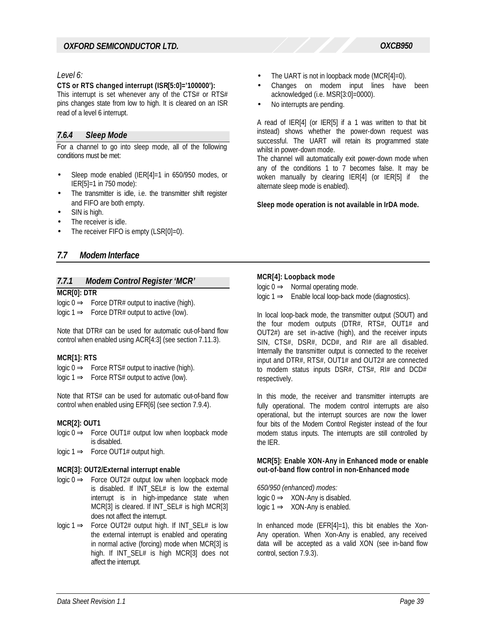## *Level 6:*

## **CTS or RTS changed interrupt (ISR[5:0]='100000'):**

This interrupt is set whenever any of the CTS# or RTS# pins changes state from low to high. It is cleared on an ISR read of a level 6 interrupt.

# *7.6.4 Sleep Mode*

For a channel to go into sleep mode, all of the following conditions must be met:

- Sleep mode enabled (IER[4]=1 in 650/950 modes, or IER[5]=1 in 750 mode):
- The transmitter is idle, i.e. the transmitter shift register and FIFO are both empty.
- SIN is high.
- The receiver is idle.
- The receiver FIFO is empty (LSR[0]=0).

# *7.7 Modem Interface*

# *7.7.1 Modem Control Register 'MCR'*

## **MCR[0]: DTR**

logic  $0 \implies$  Force DTR# output to inactive (high).

logic  $1 \implies$  Force DTR# output to active (low).

Note that DTR# can be used for automatic out-of-band flow control when enabled using ACR[4:3] (see section 7.11.3).

## **MCR[1]: RTS**

logic  $0$  ⇒ Force RTS# output to inactive (high).

logic  $1 \implies$  Force RTS# output to active (low).

Note that RTS# can be used for automatic out-of-band flow control when enabled using EFR[6] (see section 7.9.4).

## **MCR[2]: OUT1**

- logic  $0 \implies$  Force OUT1# output low when loopback mode is disabled.
- logic 1 ⇒ Force OUT1# output high.

## **MCR[3]: OUT2/External interrupt enable**

- logic  $0 \implies$  Force OUT2# output low when loopback mode is disabled. If INT\_SEL# is low the external interrupt is in high-impedance state when MCR[3] is cleared. If INT\_SEL# is high MCR[3] does not affect the interrupt.
- logic  $1$  ⇒ Force OUT2# output high. If INT\_SEL# is low the external interrupt is enabled and operating in normal active (forcing) mode when MCR[3] is high. If INT\_SEL# is high MCR[3] does not affect the interrupt.
- The UART is not in loopback mode (MCR[4]=0).
- Changes on modem input lines have been acknowledged (i.e. MSR[3:0]=0000).
- No interrupts are pending.

A read of IER[4] (or IER[5] if a 1 was written to that bit instead) shows whether the power-down request was successful. The UART will retain its programmed state whilst in power-down mode.

The channel will automatically exit power-down mode when any of the conditions 1 to 7 becomes false. It may be woken manually by clearing IER[4] (or IER[5] if the alternate sleep mode is enabled).

**Sleep mode operation is not available in IrDA mode.** 

## **MCR[4]: Loopback mode**

logic  $0 \implies$  Normal operating mode.

logic  $1 \implies$  Enable local loop-back mode (diagnostics).

In local loop-back mode, the transmitter output (SOUT) and the four modem outputs (DTR#, RTS#, OUT1# and OUT2#) are set in-active (high), and the receiver inputs SIN, CTS#, DSR#, DCD#, and RI# are all disabled. Internally the transmitter output is connected to the receiver input and DTR#, RTS#, OUT1# and OUT2# are connected to modem status inputs DSR#, CTS#, RI# and DCD# respectively.

In this mode, the receiver and transmitter interrupts are fully operational. The modem control interrupts are also operational, but the interrupt sources are now the lower four bits of the Modem Control Register instead of the four modem status inputs. The interrupts are still controlled by the IER.

### **MCR[5]: Enable XON-Any in Enhanced mode or enable out-of-band flow control in non-Enhanced mode**

*650/950 (enhanced) modes:* logic  $0 \implies$  XON-Any is disabled. logic 1 ⇒ XON-Any is enabled.

In enhanced mode (EFR[4]=1), this bit enables the Xon-Any operation. When Xon-Any is enabled, any received data will be accepted as a valid XON (see in-band flow control, section 7.9.3).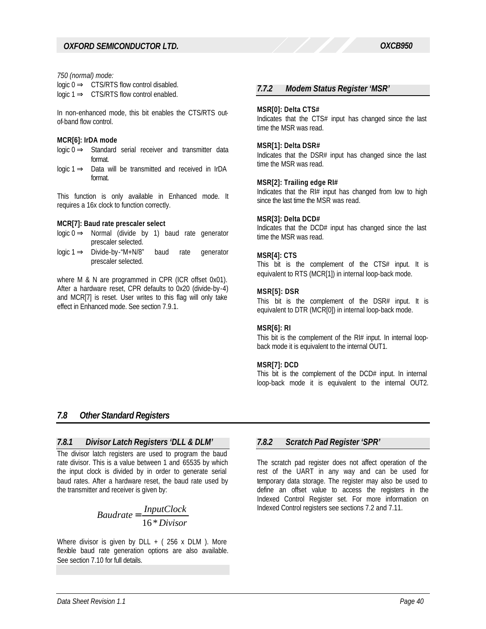*750 (normal) mode:*

logic  $0 \implies$  CTS/RTS flow control disabled. logic  $1 \Rightarrow$  CTS/RTS flow control enabled.

In non-enhanced mode, this bit enables the CTS/RTS outof-band flow control.

#### **MCR[6]: IrDA mode**

- logic 0 ⇒ Standard serial receiver and transmitter data format.
- logic  $1 \implies$  Data will be transmitted and received in IrDA format.

This function is only available in Enhanced mode. It requires a 16x clock to function correctly.

#### **MCR[7]: Baud rate prescaler select**

- logic  $0 \implies$  Normal (divide by 1) baud rate generator prescaler selected.
- logic 1 ⇒ Divide-by-"M+N/8" baud rate generator prescaler selected.

where M & N are programmed in CPR (ICR offset 0x01). After a hardware reset, CPR defaults to 0x20 (divide-by-4) and MCR[7] is reset. User writes to this flag will only take effect in Enhanced mode. See section 7.9.1.

## *7.7.2 Modem Status Register 'MSR'*

#### **MSR[0]: Delta CTS#**

Indicates that the CTS# input has changed since the last time the MSR was read.

#### **MSR[1]: Delta DSR#**

Indicates that the DSR# input has changed since the last time the MSR was read.

#### **MSR[2]: Trailing edge RI#**

Indicates that the RI# input has changed from low to high since the last time the MSR was read.

#### **MSR[3]: Delta DCD#**

Indicates that the DCD# input has changed since the last time the MSR was read.

#### **MSR[4]: CTS**

This bit is the complement of the CTS# input. It is equivalent to RTS (MCR[1]) in internal loop-back mode.

#### **MSR[5]: DSR**

This bit is the complement of the DSR# input. It is equivalent to DTR (MCR[0]) in internal loop-back mode.

#### **MSR[6]: RI**

This bit is the complement of the RI# input. In internal loopback mode it is equivalent to the internal OUT1.

#### **MSR[7]: DCD**

This bit is the complement of the DCD# input. In internal loop-back mode it is equivalent to the internal OUT2.

## *7.8 Other Standard Registers*

### *7.8.1 Divisor Latch Registers 'DLL & DLM'*

The divisor latch registers are used to program the baud rate divisor. This is a value between 1 and 65535 by which the input clock is divided by in order to generate serial baud rates. After a hardware reset, the baud rate used by the transmitter and receiver is given by:

$$
Baudrate = \frac{InputClock}{16 * Divisor}
$$

Where divisor is given by  $DLL + (256 \times DLM)$ . More flexible baud rate generation options are also available. See section 7.10 for full details.

### *7.8.2 Scratch Pad Register 'SPR'*

The scratch pad register does not affect operation of the rest of the UART in any way and can be used for temporary data storage. The register may also be used to define an offset value to access the registers in the Indexed Control Register set. For more information on Indexed Control registers see sections 7.2 and 7.11.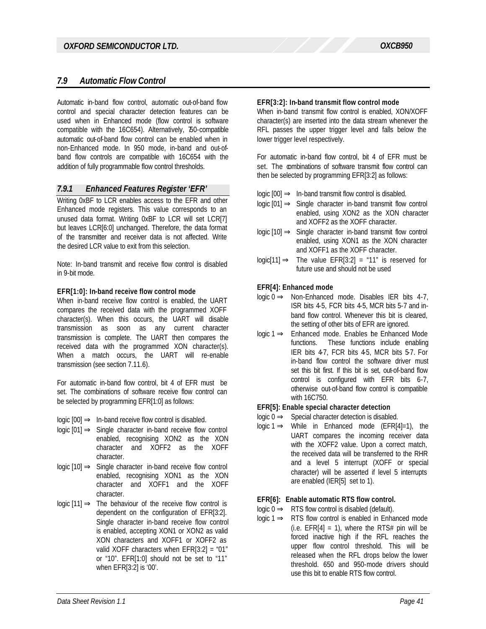# *7.9 Automatic Flow Control*

Automatic in-band flow control, automatic out-of-band flow control and special character detection features can be used when in Enhanced mode (flow control is software compatible with the 16C654). Alternatively, 750-compatible automatic out-of-band flow control can be enabled when in non-Enhanced mode. In 950 mode, in-band and out-ofband flow controls are compatible with 16C654 with the addition of fully programmable flow control thresholds.

## *7.9.1 Enhanced Features Register 'EFR'*

Writing 0xBF to LCR enables access to the EFR and other Enhanced mode registers. This value corresponds to an unused data format. Writing 0xBF to LCR will set LCR[7] but leaves LCR[6:0] unchanged. Therefore, the data format of the transmitter and receiver data is not affected. Write the desired LCR value to exit from this selection.

Note: In-band transmit and receive flow control is disabled in 9-bit mode.

### **EFR[1:0]: In-band receive flow control mode**

When in-band receive flow control is enabled, the UART compares the received data with the programmed XOFF character(s). When this occurs, the UART will disable transmission as soon as any current character transmission is complete. The UART then compares the received data with the programmed XON character(s). When a match occurs, the UART will re-enable transmission (see section 7.11.6).

For automatic in-band flow control, bit 4 of EFR must be set. The combinations of software receive flow control can be selected by programming EFR[1:0] as follows:

logic [00] ⇒ In-band receive flow control is disabled.

- logic [01] ⇒ Single character in-band receive flow control enabled, recognising XON2 as the XON character and XOFF2 as the XOFF character.
- logic [10] ⇒ Single character in-band receive flow control enabled, recognising XON1 as the XON character and XOFF1 and the XOFF character.
- logic  $[11]$   $\Rightarrow$  The behaviour of the receive flow control is dependent on the configuration of EFR[3:2]. Single character in-band receive flow control is enabled, accepting XON1 or XON2 as valid XON characters and XOFF1 or XOFF2 as valid XOFF characters when EFR[3:2] = "01" or "10". EFR[1:0] should not be set to "11" when EFR[3:2] is '00'.

### **EFR[3:2]: In-band transmit flow control mode**

When in-band transmit flow control is enabled, XON/XOFF character(s) are inserted into the data stream whenever the RFL passes the upper trigger level and falls below the lower trigger level respectively.

For automatic in-band flow control, bit 4 of EFR must be set. The combinations of software transmit flow control can then be selected by programming EFR[3:2] as follows:

- logic  $[00] \Rightarrow$  In-band transmit flow control is disabled.
- logic [01] ⇒ Single character in-band transmit flow control enabled, using XON2 as the XON character and XOFF2 as the XOFF character.
- logic [10] ⇒ Single character in-band transmit flow control enabled, using XON1 as the XON character and XOFF1 as the XOFF character.
- logic[11]  $\Rightarrow$  The value EFR[3:2] = "11" is reserved for future use and should not be used

#### **EFR[4]: Enhanced mode**

- logic  $0 \implies$  Non-Enhanced mode. Disables IER bits 4-7, ISR bits 4-5, FCR bits 4-5, MCR bits 5-7 and inband flow control. Whenever this bit is cleared, the setting of other bits of EFR are ignored.
- logic  $1 \implies$  Enhanced mode. Enables the Enhanced Mode functions. These functions include enabling IER bits 47, FCR bits 45, MCR bits 57, For in-band flow control the software driver must set this bit first. If this bit is set, out-of-band flow control is configured with EFR bits 6-7, otherwise out-of-band flow control is compatible with 16C750.
- **EFR[5]: Enable special character detection**
- logic  $0 \implies$  Special character detection is disabled.
- logic  $1 \implies$  While in Enhanced mode (EFR[4]=1), the UART compares the incoming receiver data with the XOFF2 value. Upon a correct match, the received data will be transferred to the RHR and a level 5 interrupt (XOFF or special character) will be asserted if level 5 interrupts are enabled (IER[5] set to 1).

#### **EFR[6]: Enable automatic RTS flow control.**

- logic  $0 \implies$  RTS flow control is disabled (default).
- logic  $1 \Rightarrow$  RTS flow control is enabled in Enhanced mode (i.e.  $EFR[4] = 1$ ), where the RTS# pin will be forced inactive high if the RFL reaches the upper flow control threshold. This will be released when the RFL drops below the lower threshold. 650 and 950-mode drivers should use this bit to enable RTS flow control.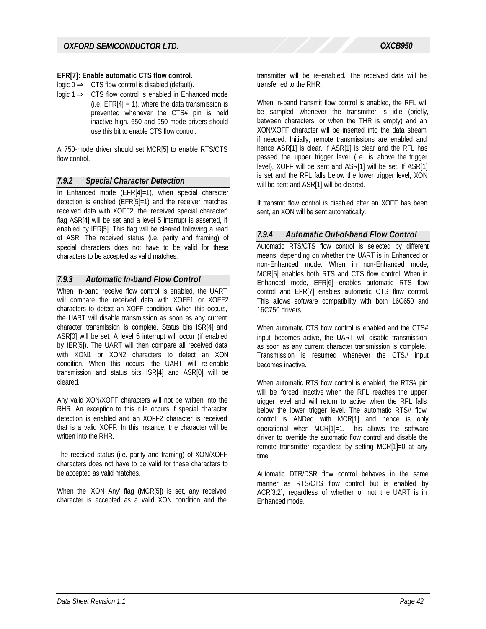### **EFR[7]: Enable automatic CTS flow control.**

- logic  $0 \implies$  CTS flow control is disabled (default).
- logic 1  $\Rightarrow$  CTS flow control is enabled in Enhanced mode (i.e.  $EFR[4] = 1$ ), where the data transmission is prevented whenever the CTS# pin is held inactive high. 650 and 950-mode drivers should use this bit to enable CTS flow control.

A 750-mode driver should set MCR[5] to enable RTS/CTS flow control.

## *7.9.2 Special Character Detection*

In Enhanced mode (EFR[4]=1), when special character detection is enabled (EFR[5]=1) and the receiver matches received data with XOFF2, the 'received special character' flag ASR[4] will be set and a level 5 interrupt is asserted, if enabled by IER[5]. This flag will be cleared following a read of ASR. The received status (i.e. parity and framing) of special characters does not have to be valid for these characters to be accepted as valid matches.

## *7.9.3 Automatic In-band Flow Control*

When in-band receive flow control is enabled, the UART will compare the received data with XOFF1 or XOFF2 characters to detect an XOFF condition. When this occurs, the UART will disable transmission as soon as any current character transmission is complete. Status bits ISR[4] and ASR[0] will be set. A level 5 interrupt will occur (if enabled by IER[5]). The UART will then compare all received data with XON1 or XON2 characters to detect an XON condition. When this occurs, the UART will re-enable transmission and status bits ISR[4] and ASR[0] will be cleared.

Any valid XON/XOFF characters will not be written into the RHR. An exception to this rule occurs if special character detection is enabled and an XOFF2 character is received that is a valid XOFF. In this instance, the character will be written into the RHR.

The received status (i.e. parity and framing) of XON/XOFF characters does not have to be valid for these characters to be accepted as valid matches.

When the 'XON Any' flag (MCR[5]) is set, any received character is accepted as a valid XON condition and the transmitter will be re-enabled. The received data will be transferred to the RHR.

When in-band transmit flow control is enabled, the RFL will be sampled whenever the transmitter is idle (briefly, between characters, or when the THR is empty) and an XON/XOFF character will be inserted into the data stream if needed. Initially, remote transmissions are enabled and hence ASR[1] is clear. If ASR[1] is clear and the RFL has passed the upper trigger level (i.e. is above the trigger level), XOFF will be sent and ASR[1] will be set. If ASR[1] is set and the RFL falls below the lower trigger level, XON will be sent and ASR[1] will be cleared.

If transmit flow control is disabled after an XOFF has been sent, an XON will be sent automatically.

## *7.9.4 Automatic Out-of-band Flow Control*

Automatic RTS/CTS flow control is selected by different means, depending on whether the UART is in Enhanced or non-Enhanced mode. When in non-Enhanced mode, MCR[5] enables both RTS and CTS flow control. When in Enhanced mode, EFR[6] enables automatic RTS flow control and EFR[7] enables automatic CTS flow control. This allows software compatibility with both 16C650 and 16C750 drivers.

When automatic CTS flow control is enabled and the CTS# input becomes active, the UART will disable transmission as soon as any current character transmission is complete. Transmission is resumed whenever the CTS# input becomes inactive.

When automatic RTS flow control is enabled, the RTS# pin will be forced inactive when the RFL reaches the upper trigger level and will return to active when the RFL falls below the lower trigger level. The automatic RTS# flow control is ANDed with MCR[1] and hence is only operational when MCR[1]=1. This allows the software driver to override the automatic flow control and disable the remote transmitter regardless by setting MCR[1]=0 at any time.

Automatic DTR/DSR flow control behaves in the same manner as RTS/CTS flow control but is enabled by ACR[3:2], regardless of whether or not the UART is in Enhanced mode.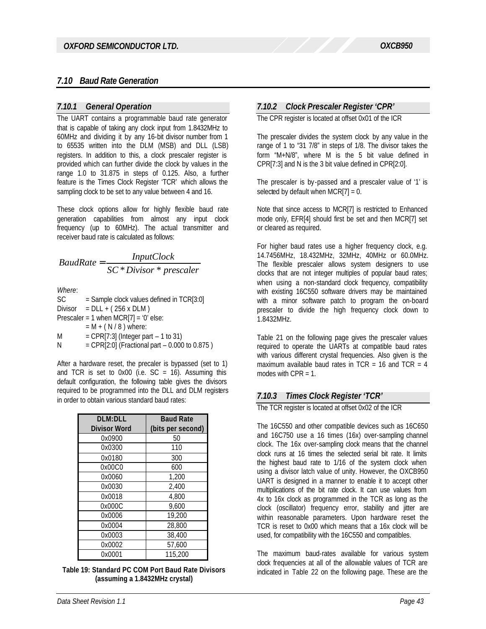# *7.10 Baud Rate Generation*

## *7.10.1 General Operation*

The UART contains a programmable baud rate generator that is capable of taking any clock input from 1.8432MHz to 60MHz and dividing it by any 16-bit divisor number from 1 to 65535 written into the DLM (MSB) and DLL (LSB) registers. In addition to this, a clock prescaler register is provided which can further divide the clock by values in the range 1.0 to 31.875 in steps of 0.125. Also, a further feature is the Times Clock Register 'TCR' which allows the sampling clock to be set to any value between 4 and 16.

These clock options allow for highly flexible baud rate generation capabilities from almost any input clock frequency (up to 60MHz). The actual transmitter and receiver baud rate is calculated as follows:

 $SC * Divisor * prescaler$ *InputClock BaudRate* =

*Where*: SC = Sample clock values defined in TCR[3:0] Divisor  $= DLL + (256 \times DLM)$ Prescaler = 1 when  $MCR[7] = '0'$  else:  $= M + ( N / 8 )$  where:  $M = CPR[7:3]$  (Integer part  $-1$  to 31)  $N = CPR[2:0]$  (Fractional part – 0.000 to 0.875)

After a hardware reset, the precaler is bypassed (set to 1) and TCR is set to  $0x00$  (i.e. SC = 16). Assuming this default configuration, the following table gives the divisors required to be programmed into the DLL and DLM registers in order to obtain various standard baud rates:

| DLM: DLL            | <b>Baud Rate</b>  |
|---------------------|-------------------|
| <b>Divisor Word</b> | (bits per second) |
| 0x0900              | 50                |
| 0x0300              | 110               |
| 0x0180              | 300               |
| 0x00C0              | 600               |
| 0x0060              | 1.200             |
| 0x0030              | 2,400             |
| 0x0018              | 4.800             |
| 0x000C              | 9,600             |
| 0x0006              | 19,200            |
| 0x0004              | 28,800            |
| 0x0003              | 38,400            |
| 0x0002              | 57,600            |
| 0x0001              | 115,200           |

**Table 19: Standard PC COM Port Baud Rate Divisors (assuming a 1.8432MHz crystal)**

# *7.10.2 Clock Prescaler Register 'CPR'*

The CPR register is located at offset 0x01 of the ICR

The prescaler divides the system clock by any value in the range of 1 to "31 7/8" in steps of 1/8. The divisor takes the form "M+N/8", where M is the 5 bit value defined in CPR[7:3] and N is the 3 bit value defined in CPR[2:0].

The prescaler is by-passed and a prescaler value of '1' is selected by default when  $MCR[7] = 0$ .

Note that since access to MCR[7] is restricted to Enhanced mode only, EFR[4] should first be set and then MCR[7] set or cleared as required.

For higher baud rates use a higher frequency clock, e.g. 14.7456MHz, 18.432MHz, 32MHz, 40MHz or 60.0MHz. The flexible prescaler allows system designers to use clocks that are not integer multiples of popular baud rates; when using a non-standard clock frequency, compatibility with existing 16C550 software drivers may be maintained with a minor software patch to program the on-board prescaler to divide the high frequency clock down to 1.8432MHz.

Table 21 on the following page gives the prescaler values required to operate the UARTs at compatible baud rates with various different crystal frequencies. Also given is the maximum available baud rates in  $TCR = 16$  and  $TCR = 4$ modes with  $CPR = 1$ .

# *7.10.3 Times Clock Register 'TCR'*

The TCR register is located at offset 0x02 of the ICR

The 16C550 and other compatible devices such as 16C650 and 16C750 use a 16 times (16x) over-sampling channel clock. The 16x over-sampling clock means that the channel clock runs at 16 times the selected serial bit rate. It limits the highest baud rate to 1/16 of the system clock when using a divisor latch value of unity. However, the OXCB950 UART is designed in a manner to enable it to accept other multiplications of the bit rate clock. It can use values from 4x to 16x clock as programmed in the TCR as long as the clock (oscillator) frequency error, stability and jitter are within reasonable parameters. Upon hardware reset the TCR is reset to 0x00 which means that a 16x clock will be used, for compatibility with the 16C550 and compatibles.

The maximum baud-rates available for various system clock frequencies at all of the allowable values of TCR are indicated in Table 22 on the following page. These are the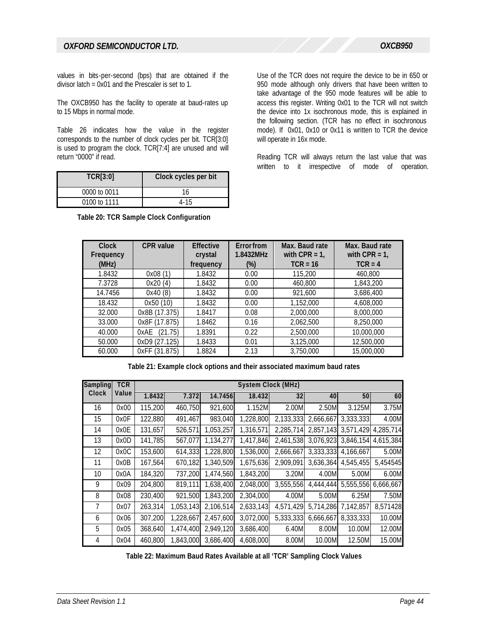values in bits-per-second (bps) that are obtained if the divisor latch = 0x01 and the Prescaler is set to 1.

The OXCB950 has the facility to operate at baud-rates up to 15 Mbps in normal mode.

Table 26 indicates how the value in the register corresponds to the number of clock cycles per bit. TCR[3:0] is used to program the clock. TCR[7:4] are unused and will return "0000" if read.

**TCR[3:0] Clock cycles per bit** 0000 to 0011 16 0100 to 1111 4-15

**Table 20: TCR Sample Clock Configuration**

Use of the TCR does not require the device to be in 650 or 950 mode although only drivers that have been written to take advantage of the 950 mode features will be able to access this register. Writing 0x01 to the TCR will not switch the device into 1x isochronous mode, this is explained in the following section. (TCR has no effect in isochronous mode). If 0x01, 0x10 or 0x11 is written to TCR the device will operate in 16x mode.

Reading TCR will always return the last value that was written to it irrespective of mode of operation.

| <b>Clock</b><br>Frequency | <b>CPR</b> value | <b>Effective</b><br>crystal | Error from<br>1.8432MHz | Max. Baud rate<br>with $CPR = 1$ , | Max. Baud rate<br>with $CPR = 1$ , |
|---------------------------|------------------|-----------------------------|-------------------------|------------------------------------|------------------------------------|
| (MHz)                     |                  | frequency                   | $(\%)$                  | $TCR = 16$                         | $TCR = 4$                          |
| 1.8432                    | 0x08(1)          | 1.8432                      | 0.00                    | 115,200                            | 460,800                            |
| 7.3728                    | 0x20(4)          | 1.8432                      | 0.00                    | 460,800                            | 1,843,200                          |
| 14.7456                   | 0x40(8)          | 1.8432                      | 0.00                    | 921,600                            | 3,686,400                          |
| 18.432                    | 0x50(10)         | 1.8432                      | 0.00                    | 1,152,000                          | 4,608,000                          |
| 32.000                    | 0x8B (17.375)    | 1.8417                      | 0.08                    | 2,000,000                          | 8,000,000                          |
| 33.000                    | 0x8F (17.875)    | 1.8462                      | 0.16                    | 2,062,500                          | 8,250,000                          |
| 40.000                    | (21.75)<br>0xAE  | 1.8391                      | 0.22                    | 2,500,000                          | 10,000,000                         |
| 50.000                    | 0xD9 (27.125)    | 1.8433                      | 0.01                    | 3,125,000                          | 12,500,000                         |
| 60.000                    | 0xFF (31.875)    | 1.8824                      | 2.13                    | 3,750,000                          | 15,000,000                         |

**Table 21: Example clock options and their associated maximum baud rates**

| <b>Sampling</b> | <b>TCR</b> | <b>System Clock (MHz)</b> |           |           |           |                 |           |           |           |
|-----------------|------------|---------------------------|-----------|-----------|-----------|-----------------|-----------|-----------|-----------|
| <b>Clock</b>    | Value      | 1.8432                    | 7.372     | 14.7456   | 18.432    | 32 <sub>l</sub> | 40        | <b>50</b> | 60        |
| 16              | 0x00       | 115,200                   | 460,750   | 921,600   | 1.152M    | 2.00M           | 2.50M     | 3.125M    | 3.75M     |
| 15              | 0x0F       | 122,880                   | 491,467   | 983,040   | 1,228,800 | 2,133,333       | 2,666,667 | 3,333,333 | 4.00M     |
| 14              | 0x0E       | 131,657                   | 526,571   | 1,053,257 | 1,316,571 | 2,285,714       | 2,857,143 | 3.571.429 | 4,285,714 |
| 13              | 0x0D       | 141,785                   | 567,077   | 1,134,277 | 1,417,846 | 2,461,538       | 3.076.923 | 3,846,154 | 4,615,384 |
| 12              | 0x0C       | 153,600                   | 614,333   | 1,228,800 | 1,536,000 | 2,666,667       | 3,333,333 | 4.166.667 | 5.00M     |
| 11              | 0x0B       | 167,564                   | 670,182   | 1,340,509 | 1,675,636 | 2,909,091       | 3,636,364 | 4,545,455 | 5,454545  |
| 10              | 0x0A       | 184,320                   | 737,200   | 1,474,560 | 1,843,200 | 3.20M           | 4.00M     | 5.00M     | 6.00M     |
| 9               | 0x09       | 204,800                   | 819.111   | 1,638,400 | 2,048,000 | 3,555,556       | 4,444,444 | 5,555,556 | 6,666,667 |
| 8               | 0x08       | 230,400                   | 921,500   | 1,843,200 | 2,304,000 | 4.00M           | 5.00M     | 6.25M     | 7.50M     |
| 7               | 0x07       | 263,314                   | 1,053,143 | 2.106.514 | 2,633,143 | 4,571,429       | 5,714,286 | 7,142,857 | 8,571428  |
| 6               | 0x06       | 307,200                   | 1,228,667 | 2,457,600 | 3,072,000 | 5,333,333       | 6,666,667 | 8,333,333 | 10.00M    |
| 5               | 0x05       | 368,640                   | 1,474,400 | 2,949,120 | 3,686,400 | 6.40M           | 8.00M     | 10.00M    | 12.00M    |
| 4               | 0x04       | 460,800                   | 1,843,000 | 3,686,400 | 4,608,000 | 8.00M           | 10.00M    | 12.50M    | 15.00M    |

**Table 22: Maximum Baud Rates Available at all 'TCR' Sampling Clock Values**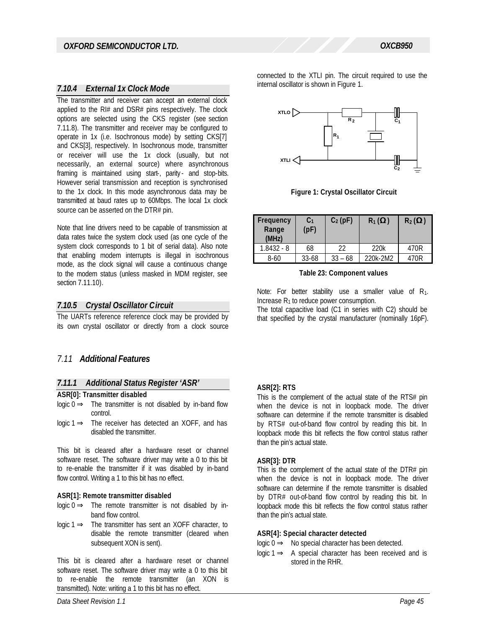## *7.10.4 External 1x Clock Mode*

The transmitter and receiver can accept an external clock applied to the RI# and DSR# pins respectively. The clock options are selected using the CKS register (see section 7.11.8). The transmitter and receiver may be configured to operate in 1x (i.e. Isochronous mode) by setting CKS[7] and CKS[3], respectively. In Isochronous mode, transmitter or receiver will use the 1x clock (usually, but not necessarily, an external source) where asynchronous framing is maintained using start-, parity- and stop-bits. However serial transmission and reception is synchronised to the 1x clock. In this mode asynchronous data may be transmitted at baud rates up to 60Mbps. The local 1x clock source can be asserted on the DTR# pin.

Note that line drivers need to be capable of transmission at data rates twice the system clock used (as one cycle of the system clock corresponds to 1 bit of serial data). Also note that enabling modem interrupts is illegal in isochronous mode, as the clock signal will cause a continuous change to the modem status (unless masked in MDM register, see section 7.11.10).

## *7.10.5 Crystal Oscillator Circuit*

The UARTs reference reference clock may be provided by its own crystal oscillator or directly from a clock source

# *7.11 Additional Features*

### *7.11.1 Additional Status Register 'ASR'*

## **ASR[0]: Transmitter disabled**

- logic  $0 \implies$  The transmitter is not disabled by in-band flow control.
- logic  $1 \implies$  The receiver has detected an XOFF, and has disabled the transmitter.

This bit is cleared after a hardware reset or channel software reset. The software driver may write a 0 to this bit to re-enable the transmitter if it was disabled by in-band flow control. Writing a 1 to this bit has no effect.

### **ASR[1]: Remote transmitter disabled**

- logic  $0 \implies$  The remote transmitter is not disabled by inband flow control.
- logic  $1 \implies$  The transmitter has sent an XOFF character, to disable the remote transmitter (cleared when subsequent XON is sent).

This bit is cleared after a hardware reset or channel software reset. The software driver may write a 0 to this bit to re-enable the remote transmitter (an XON is transmitted). Note: writing a 1 to this bit has no effect.

connected to the XTLI pin. The circuit required to use the internal oscillator is shown in Figure 1.



**Figure 1: Crystal Oscillator Circuit**

| Frequency<br>Range<br>(MHz) | C <sub>1</sub><br>(pF) | $C_2(pF)$ | $R_1$ (W) | $R_2$ (W) |
|-----------------------------|------------------------|-----------|-----------|-----------|
| $1.8432 - 8$                | 68                     | 22        | 220k      | 470R      |
| $8 - 60$                    | $33 - 68$              | $33 - 68$ | 220k-2M2  | 470R      |

### **Table 23: Component values**

Note: For better stability use a smaller value of  $R_1$ . Increase  $R_1$  to reduce power consumption.

The total capacitive load (C1 in series with C2) should be that specified by the crystal manufacturer (nominally 16pF).

## **ASR[2]: RTS**

This is the complement of the actual state of the RTS# pin when the device is not in loopback mode. The driver software can determine if the remote transmitter is disabled by RTS# out-of-band flow control by reading this bit. In loopback mode this bit reflects the flow control status rather than the pin's actual state.

## **ASR[3]: DTR**

This is the complement of the actual state of the DTR# pin when the device is not in loopback mode. The driver software can determine if the remote transmitter is disabled by DTR# out-of-band flow control by reading this bit. In loopback mode this bit reflects the flow control status rather than the pin's actual state.

### **ASR[4]: Special character detected**

logic  $0 \implies$  No special character has been detected.

logic  $1 \implies$  A special character has been received and is stored in the RHR.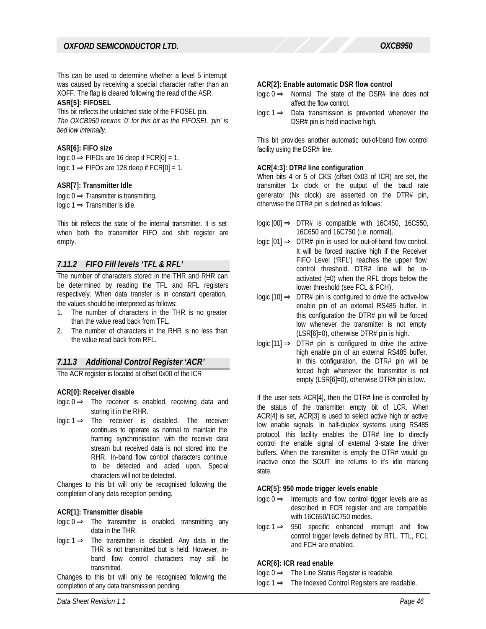This can be used to determine whether a level 5 interrupt was caused by receiving a special character rather than an XOFF. The flag is cleared following the read of the ASR.

#### **ASR[5]: FIFOSEL**

This bit reflects the unlatched state of the FIFOSEL pin. *The OXCB950 returns '0' for this bit as the FIFOSEL 'pin' is tied low internally.*

#### **ASR[6]: FIFO size**

logic  $0 \implies$  FIFOs are 16 deep if FCR[0] = 1. logic  $1 \implies$  FIFOs are 128 deep if FCR[0] = 1.

### **ASR[7]: Transmitter Idle**

logic  $0 \implies$  Transmitter is transmitting. logic 1 ⇒ Transmitter is idle.

This bit reflects the state of the internal transmitter. It is set when both the transmitter FIFO and shift register are empty.

## *7.11.2 FIFO Fill levels 'TFL & RFL'*

The number of characters stored in the THR and RHR can be determined by reading the TFL and RFL registers respectively. When data transfer is in constant operation, the values should be interpreted as follows:

- 1. The number of characters in the THR is no greater than the value read back from TFL.
- 2. The number of characters in the RHR is no less than the value read back from RFL.

## *7.11.3 Additional Control Register 'ACR'*

The ACR register is located at offset 0x00 of the ICR

#### **ACR[0]: Receiver disable**

- logic  $0 \implies$  The receiver is enabled, receiving data and storing it in the RHR.
- logic  $1 \implies$  The receiver is disabled. The receiver continues to operate as normal to maintain the framing synchronisation with the receive data stream but received data is not stored into the RHR. In-band flow control characters continue to be detected and acted upon. Special characters will not be detected.

Changes to this bit will only be recognised following the completion of any data reception pending.

#### **ACR[1]: Transmitter disable**

- logic  $0 \implies$  The transmitter is enabled, transmitting any data in the THR.
- logic  $1 \implies$  The transmitter is disabled. Any data in the THR is not transmitted but is held. However, inband flow control characters may still be transmitted.

Changes to this bit will only be recognised following the completion of any data transmission pending.

#### **ACR[2]: Enable automatic DSR flow control**

- logic  $0 \implies$  Normal. The state of the DSR# line does not affect the flow control.
- logic  $1 \implies$  Data transmission is prevented whenever the DSR# pin is held inactive high.

This bit provides another automatic out-of-band flow control facility using the DSR# line.

#### **ACR[4:3]: DTR# line configuration**

When bits 4 or 5 of CKS (offset 0x03 of ICR) are set, the transmitter 1x clock or the output of the baud rate generator (Nx clock) are asserted on the DTR# pin, otherwise the DTR# pin is defined as follows:

- logic  $[00] \Rightarrow DTR#$  is compatible with 16C450, 16C550, 16C650 and 16C750 (i.e. normal).
- logic  $[01] \implies DTR#$  pin is used for out-of-band flow control. It will be forced inactive high if the Receiver FIFO Level ('RFL') reaches the upper flow control threshold. DTR# line will be reactivated (=0) when the RFL drops below the lower threshold (see FCL & FCH).
- logic  $[10]$   $\Rightarrow$  DTR# pin is configured to drive the active-low enable pin of an external RS485 buffer. In this configuration the DTR# pin will be forced low whenever the transmitter is not empty  $(LSR[6]=0)$ , otherwise DTR# pin is high.
- logic  $[11] \Rightarrow DTR#$  pin is configured to drive the activehigh enable pin of an external RS485 buffer. In this configuration, the DTR# pin will be forced high whenever the transmitter is not empty (LSR[6]=0), otherwise DTR# pin is low.

If the user sets ACR[4], then the DTR# line is controlled by the status of the transmitter empty bit of LCR. When ACR[4] is set, ACR[3] is used to select active high or active low enable signals. In half-duplex systems using RS485 protocol, this facility enables the DTR# line to directly control the enable signal of external 3-state line driver buffers. When the transmitter is empty the DTR# would go inactive once the SOUT line returns to it's idle marking state.

#### **ACR[5]: 950 mode trigger levels enable**

- logic  $0 \implies$  Interrupts and flow control tigger levels are as described in FCR register and are compatible with 16C650/16C750 modes.
- logic  $1 \implies 950$  specific enhanced interrupt and flow control trigger levels defined by RTL, TTL, FCL and FCH are enabled.

#### **ACR[6]: ICR read enable**

logic  $0$   $\Rightarrow$  The Line Status Register is readable.

logic  $1 \implies$  The Indexed Control Registers are readable.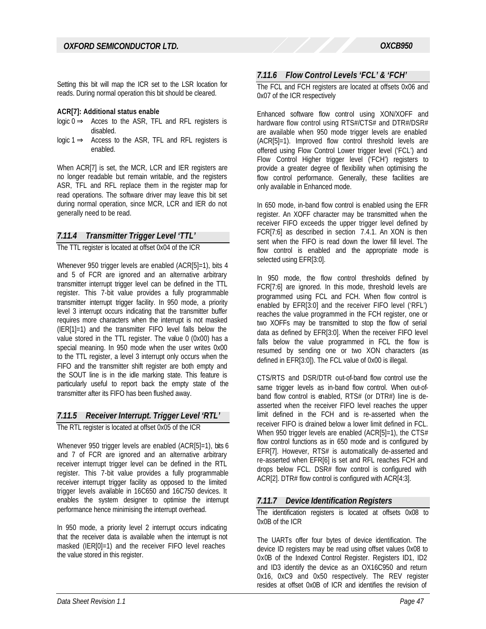Setting this bit will map the ICR set to the LSR location for reads. During normal operation this bit should be cleared.

#### **ACR[7]: Additional status enable**

- logic  $0 \implies$  Acces to the ASR, TFL and RFL registers is disabled.
- logic  $1 \Rightarrow$  Access to the ASR, TFL and RFL registers is enabled.

When ACR[7] is set, the MCR, LCR and IER registers are no longer readable but remain writable, and the registers ASR, TFL and RFL replace them in the register map for read operations. The software driver may leave this bit set during normal operation, since MCR, LCR and IER do not generally need to be read.

## *7.11.4 Transmitter Trigger Level 'TTL'*

The TTL register is located at offset 0x04 of the ICR

Whenever 950 trigger levels are enabled (ACR[5]=1), bits 4 and 5 of FCR are ignored and an alternative arbitrary transmitter interrupt trigger level can be defined in the TTL register. This 7-bit value provides a fully programmable transmitter interrupt trigger facility. In 950 mode, a priority level 3 interrupt occurs indicating that the transmitter buffer requires more characters when the interrupt is not masked (IER[1]=1) and the transmitter FIFO level falls below the value stored in the TTL register. The value 0 (0x00) has a special meaning. In 950 mode when the user writes 0x00 to the TTL register, a level 3 interrupt only occurs when the FIFO and the transmitter shift register are both empty and the SOUT line is in the idle marking state. This feature is particularly useful to report back the empty state of the transmitter after its FIFO has been flushed away.

## *7.11.5 Receiver Interrupt. Trigger Level 'RTL'*

The RTL register is located at offset 0x05 of the ICR

Whenever 950 trigger levels are enabled (ACR[5]=1), bits 6 and 7 of FCR are ignored and an alternative arbitrary receiver interrupt trigger level can be defined in the RTL register. This 7-bit value provides a fully programmable receiver interrupt trigger facility as opposed to the limited trigger levels available in 16C650 and 16C750 devices. It enables the system designer to optimise the interrupt performance hence minimising the interrupt overhead.

In 950 mode, a priority level 2 interrupt occurs indicating that the receiver data is available when the interrupt is not masked (IER[0]=1) and the receiver FIFO level reaches the value stored in this register.

## *7.11.6 Flow Control Levels 'FCL' & 'FCH'*

The FCL and FCH registers are located at offsets 0x06 and 0x07 of the ICR respectively

Enhanced software flow control using XON/XOFF and hardware flow control using RTS#/CTS# and DTR#/DSR# are available when 950 mode trigger levels are enabled (ACR[5]=1). Improved flow control threshold levels are offered using Flow Control Lower trigger level ('FCL') and Flow Control Higher trigger level ('FCH') registers to provide a greater degree of flexibility when optimising the flow control performance. Generally, these facilities are only available in Enhanced mode.

In 650 mode, in-band flow control is enabled using the EFR register. An XOFF character may be transmitted when the receiver FIFO exceeds the upper trigger level defined by FCR[7:6] as described in section 7.4.1. An XON is then sent when the FIFO is read down the lower fill level. The flow control is enabled and the appropriate mode is selected using EFR[3:0].

In 950 mode, the flow control thresholds defined by FCR[7:6] are ignored. In this mode, threshold levels are programmed using FCL and FCH. When flow control is enabled by EFR[3:0] and the receiver FIFO level ('RFL') reaches the value programmed in the FCH register, one or two XOFFs may be transmitted to stop the flow of serial data as defined by EFR[3:0]. When the receiver FIFO level falls below the value programmed in FCL the flow is resumed by sending one or two XON characters (as defined in EFR[3:0]). The FCL value of 0x00 is illegal.

CTS/RTS and DSR/DTR out-of-band flow control use the same trigger levels as in-band flow control. When out-ofband flow control is enabled, RTS# (or DTR#) line is deasserted when the receiver FIFO level reaches the upper limit defined in the FCH and is re-asserted when the receiver FIFO is drained below a lower limit defined in FCL. When 950 trigger levels are enabled (ACR[5]=1), the CTS# flow control functions as in 650 mode and is configured by EFR[7]. However, RTS# is automatically de-asserted and re-asserted when EFR[6] is set and RFL reaches FCH and drops below FCL. DSR# flow control is configured with ACR[2]. DTR# flow control is configured with ACR[4:3].

## *7.11.7 Device Identification Registers*

The identification registers is located at offsets 0x08 to 0x0B of the ICR

The UARTs offer four bytes of device identification. The device ID registers may be read using offset values 0x08 to 0x0B of the Indexed Control Register. Registers ID1, ID2 and ID3 identify the device as an OX16C950 and return 0x16, 0xC9 and 0x50 respectively. The REV register resides at offset 0x0B of ICR and identifies the revision of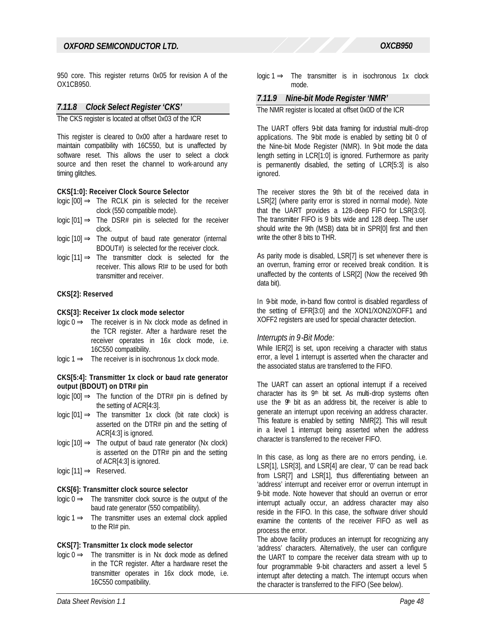950 core. This register returns 0x05 for revision A of the OX1CB950.

## *7.11.8 Clock Select Register 'CKS'*

The CKS register is located at offset 0x03 of the ICR

This register is cleared to 0x00 after a hardware reset to maintain compatibility with 16C550, but is unaffected by software reset. This allows the user to select a clock source and then reset the channel to work-around any timing glitches.

### **CKS[1:0]: Receiver Clock Source Selector**

- logic  $[00] \Rightarrow$  The RCLK pin is selected for the receiver clock (550 compatible mode).
- logic  $[01] \Rightarrow$  The DSR# pin is selected for the receiver clock.
- logic [10] ⇒ The output of baud rate generator (internal BDOUT#) is selected for the receiver clock.
- logic  $[11] \Rightarrow$  The transmitter clock is selected for the receiver. This allows RI# to be used for both transmitter and receiver.

## **CKS[2]: Reserved**

### **CKS[3]: Receiver 1x clock mode selector**

- logic  $0 \implies$  The receiver is in Nx clock mode as defined in the TCR register. After a hardware reset the receiver operates in 16x clock mode, i.e. 16C550 compatibility.
- logic  $1$  ⇒ The receiver is in isochronous 1x clock mode.

#### **CKS[5:4]: Transmitter 1x clock or baud rate generator output (BDOUT) on DTR# pin**

- logic  $[00] \implies$  The function of the DTR# pin is defined by the setting of ACR[4:3].
- logic  $[01]$   $\Rightarrow$  The transmitter 1x clock (bit rate clock) is asserted on the DTR# pin and the setting of ACR[4:3] is ignored.
- logic  $[10]$   $\Rightarrow$  The output of baud rate generator (Nx clock) is asserted on the DTR# pin and the setting of ACR[4:3] is ignored.
- logic [11] ⇒ Reserved.

### **CKS[6]: Transmitter clock source selector**

- logic  $0 \implies$  The transmitter clock source is the output of the baud rate generator (550 compatibility).
- logic  $1 \implies$  The transmitter uses an external clock applied to the RI# pin.

### **CKS[7]: Transmitter 1x clock mode selector**

logic  $0 \implies$  The transmitter is in Nx dock mode as defined in the TCR register. After a hardware reset the transmitter operates in 16x clock mode, i.e. 16C550 compatibility.

logic  $1 \implies$  The transmitter is in isochronous 1x clock mode.

## *7.11.9 Nine-bit Mode Register 'NMR'*

The NMR register is located at offset 0x0D of the ICR

The UART offers 9-bit data framing for industrial multi-drop applications. The 9bit mode is enabled by setting bit 0 of the Nine-bit Mode Register (NMR). In 9-bit mode the data length setting in LCR[1:0] is ignored. Furthermore as parity is permanently disabled, the setting of LCR[5:3] is also ignored.

The receiver stores the 9th bit of the received data in LSR[2] (where parity error is stored in normal mode). Note that the UART provides a 128-deep FIFO for LSR[3:0]. The transmitter FIFO is 9 bits wide and 128 deep. The user should write the 9th (MSB) data bit in SPR[0] first and then write the other 8 bits to THR.

As parity mode is disabled, LSR[7] is set whenever there is an overrun, framing error or received break condition. It is unaffected by the contents of LSR[2] (Now the received 9th data bit).

In 9-bit mode, in-band flow control is disabled regardless of the setting of EFR[3:0] and the XON1/XON2/XOFF1 and XOFF2 registers are used for special character detection.

### *Interrupts in 9-Bit Mode:*

While IER[2] is set, upon receiving a character with status error, a level 1 interrupt is asserted when the character and the associated status are transferred to the FIFO.

The UART can assert an optional interrupt if a received character has its 9<sup>th</sup> bit set. As multi-drop systems often use the  $9<sup>h</sup>$  bit as an address bit, the receiver is able to generate an interrupt upon receiving an address character. This feature is enabled by setting NMR[2]. This will result in a level 1 interrupt being asserted when the address character is transferred to the receiver FIFO.

In this case, as long as there are no errors pending, i.e. LSR[1], LSR[3], and LSR[4] are clear, '0' can be read back from LSR[7] and LSR[1], thus differentiating between an 'address' interrupt and receiver error or overrun interrupt in 9-bit mode. Note however that should an overrun or error interrupt actually occur, an address character may also reside in the FIFO. In this case, the software driver should examine the contents of the receiver FIFO as well as process the error.

The above facility produces an interrupt for recognizing any 'address' characters. Alternatively, the user can configure the UART to compare the receiver data stream with up to four programmable 9-bit characters and assert a level 5 interrupt after detecting a match. The interrupt occurs when the character is transferred to the FIFO (See below).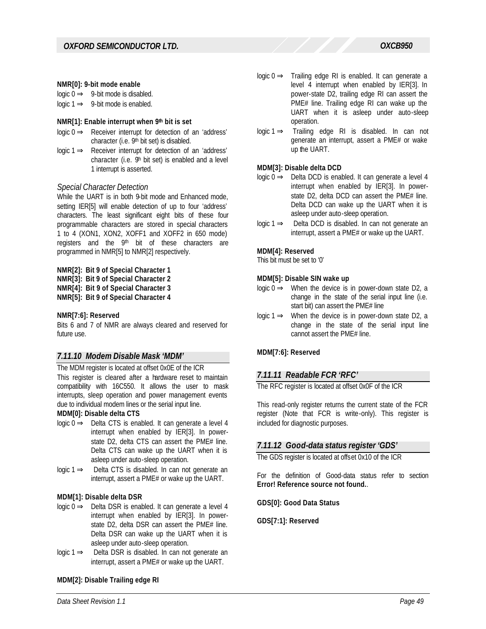#### **NMR[0]: 9-bit mode enable**

logic  $0 \implies 9$ -bit mode is disabled.

logic 1 ⇒ 9-bit mode is enabled.

## **NMR[1]: Enable interrupt when 9th bit is set**

- logic  $0 \implies$  Receiver interrupt for detection of an 'address' character (i.e. 9<sup>th</sup> bit set) is disabled.
- logic 1 ⇒ Receiver interrupt for detection of an 'address' character (i.e.  $9<sup>h</sup>$  bit set) is enabled and a level 1 interrupt is asserted.

#### *Special Character Detection*

While the UART is in both 9-bit mode and Enhanced mode, setting IER[5] will enable detection of up to four 'address' characters. The least significant eight bits of these four programmable characters are stored in special characters 1 to 4 (XON1, XON2, XOFF1 and XOFF2 in 650 mode) registers and the 9<sup>th</sup> bit of these characters are programmed in NMR[5] to NMR[2] respectively.

**NMR[2]: Bit 9 of Special Character 1 NMR[3]: Bit 9 of Special Character 2 NMR[4]: Bit 9 of Special Character 3 NMR[5]: Bit 9 of Special Character 4**

**NMR[7:6]: Reserved**

Bits 6 and 7 of NMR are always cleared and reserved for future use.

### *7.11.10 Modem Disable Mask 'MDM'*

The MDM register is located at offset 0x0E of the ICR This register is cleared after a hardware reset to maintain compatibility with 16C550. It allows the user to mask interrupts, sleep operation and power management events due to individual modem lines or the serial input line.

#### **MDM[0]: Disable delta CTS**

- logic  $0 \implies$  Delta CTS is enabled. It can generate a level 4 interrupt when enabled by IER[3]. In powerstate D2, delta CTS can assert the PME# line. Delta CTS can wake up the UART when it is asleep under auto-sleep operation.
- logic  $1$  ⇒ Delta CTS is disabled. In can not generate an interrupt, assert a PME# or wake up the UART.

#### **MDM[1]: Disable delta DSR**

- logic  $0 \implies$  Delta DSR is enabled. It can generate a level 4 interrupt when enabled by IER[3]. In powerstate D2, delta DSR can assert the PME# line. Delta DSR can wake up the UART when it is asleep under auto-sleep operation.
- logic 1 ⇒ Delta DSR is disabled. In can not generate an interrupt, assert a PME# or wake up the UART.

#### **MDM[2]: Disable Trailing edge RI**

- 
- logic  $0 \implies$  Trailing edge RI is enabled. It can generate a level 4 interrupt when enabled by IER[3]. In power-state D2, trailing edge RI can assert the PME# line. Trailing edge RI can wake up the UART when it is asleep under auto-sleep operation.
- logic 1 ⇒ Trailing edge RI is disabled. In can not generate an interrupt, assert a PME# or wake up the UART.

#### **MDM[3]: Disable delta DCD**

- logic 0 ⇒ Delta DCD is enabled. It can generate a level 4 interrupt when enabled by IER[3]. In powerstate D2, delta DCD can assert the PME# line. Delta DCD can wake up the UART when it is asleep under auto-sleep operation.
- logic  $1 \implies$  Delta DCD is disabled. In can not generate an interrupt, assert a PME# or wake up the UART.

#### **MDM[4]: Reserved**

This bit must be set to '0'

#### **MDM[5]: Disable SIN wake up**

- logic  $0 \implies$  When the device is in power-down state D2, a change in the state of the serial input line (i.e. start bit) can assert the PME# line
- logic  $1 \implies$  When the device is in power-down state D2, a change in the state of the serial input line cannot assert the PME# line.

#### **MDM[7:6]: Reserved**

#### *7.11.11 Readable FCR 'RFC'*

The RFC register is located at offset 0x0F of the ICR

This read-only register returns the current state of the FCR register (Note that FCR is write-only). This register is included for diagnostic purposes.

#### *7.11.12 Good-data status register 'GDS'*

The GDS register is located at offset 0x10 of the ICR

For the definition of Good-data status refer to section **Error! Reference source not found.**.

**GDS[0]: Good Data Status**

**GDS[7:1]: Reserved**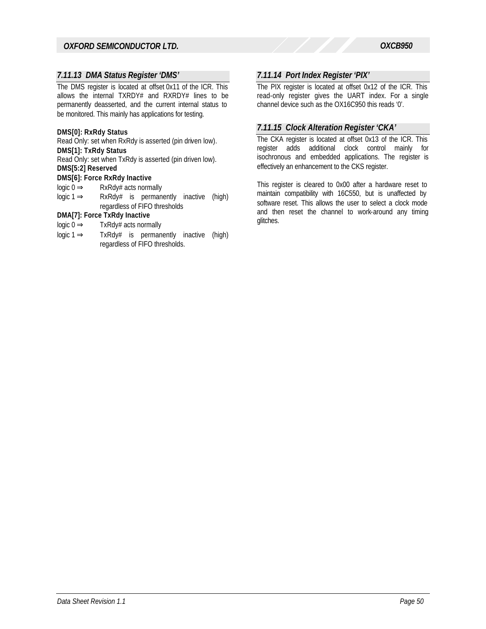## *7.11.13 DMA Status Register 'DMS'*

The DMS register is located at offset 0x11 of the ICR. This allows the internal TXRDY# and RXRDY# lines to be permanently deasserted, and the current internal status to be monitored. This mainly has applications for testing.

#### **DMS[0]: RxRdy Status**

Read Only: set when RxRdy is asserted (pin driven low).

**DMS[1]: TxRdy Status**

Read Only: set when TxRdy is asserted (pin driven low). **DMS[5:2] Reserved**

## **DMS[6]: Force RxRdy Inactive**

- logic 0  $\Rightarrow$  RxRdy# acts normally
- logic  $1 \implies$  RxRdy# is permanently inactive (high) regardless of FIFO thresholds

## **DMA[7]: Force TxRdy Inactive**

- logic 0  $\Rightarrow$  TxRdy# acts normally
- logic  $1 \Rightarrow$  TxRdy# is permanently inactive (high) regardless of FIFO thresholds.

## *7.11.14 Port Index Register 'PIX'*

The PIX register is located at offset 0x12 of the ICR. This read-only register gives the UART index. For a single channel device such as the OX16C950 this reads '0'.

## *7.11.15 Clock Alteration Register 'CKA'*

The CKA register is located at offset 0x13 of the ICR. This register adds additional clock control mainly for isochronous and embedded applications. The register is effectively an enhancement to the CKS register.

This register is cleared to 0x00 after a hardware reset to maintain compatibility with 16C550, but is unaffected by software reset. This allows the user to select a clock mode and then reset the channel to work-around any timing glitches.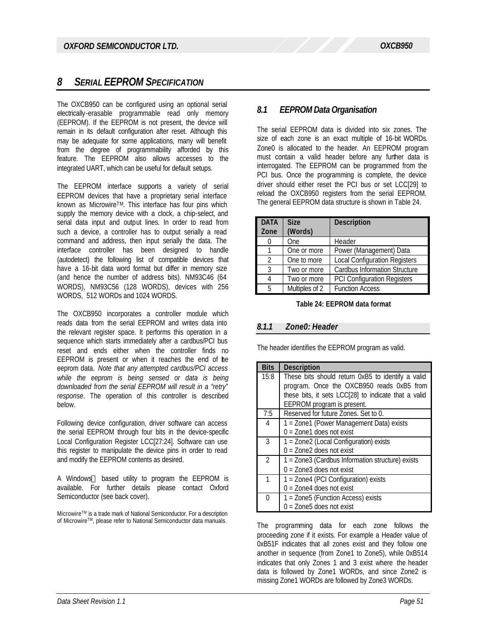# *8 SERIAL EEPROM SPECIFICATION*

The OXCB950 can be configured using an optional serial electrically-erasable programmable read only memory (EEPROM). If the EEPROM is not present, the device will remain in its default configuration after reset. Although this may be adequate for some applications, many will benefit from the degree of programmability afforded by this feature. The EEPROM also allows accesses to the integrated UART, which can be useful for default setups.

The EEPROM interface supports a variety of serial EEPROM devices that have a proprietary serial interface known as MicrowireTM. This interface has four pins which supply the memory device with a clock, a chip-select, and serial data input and output lines. In order to read from such a device, a controller has to output serially a read command and address, then input serially the data. The interface controller has been designed to handle (autodetect) the following list of compatible devices that have a 16-bit data word format but differ in memory size (and hence the number of address bits). NM93C46 (64 WORDS), NM93C56 (128 WORDS), devices with 256 WORDS, 512 WORDs and 1024 WORDS.

The OXCB950 incorporates a controller module which reads data from the serial EEPROM and writes data into the relevant register space. It performs this operation in a sequence which starts immediately after a cardbus/PCI bus reset and ends either when the controller finds no EEPROM is present or when it reaches the end of the eeprom data. *Note that any attempted cardbus/PCI access while the eeprom is being sensed or data is being downloaded from the serial EEPROM will result in a "retry" response*. The operation of this controller is described below.

Following device configuration, driver software can access the serial EEPROM through four bits in the device-specific Local Configuration Register LCC[27:24]. Software can use this register to manipulate the device pins in order to read and modify the EEPROM contents as desired.

A Windows<sup>®</sup> based utility to program the EEPROM is available. For further details please contact Oxford Semiconductor (see back cover).

MicrowireTM is a trade mark of National Semiconductor. For a description of MicrowireTM, please refer to National Semiconductor data manuals.

# *8.1 EEPROM Data Organisation*

The serial EEPROM data is divided into six zones. The size of each zone is an exact multiple of 16-bit WORDs. Zone0 is allocated to the header. An EEPROM program must contain a valid header before any further data is interrogated. The EEPROM can be programmed from the PCI bus. Once the programming is complete, the device driver should either reset the PCI bus or set LCC[29] to reload the OXCB950 registers from the serial EEPROM. The general EEPROM data structure is shown in Table 24.

| <b>DATA</b><br>Zone | <b>Size</b><br>(Words) | <b>Description</b>                   |
|---------------------|------------------------|--------------------------------------|
| 0                   | One                    | Header                               |
|                     | One or more            | Power (Management) Data              |
| 2                   | One to more            | <b>Local Configuration Registers</b> |
| 3                   | Two or more            | <b>Cardbus Information Structure</b> |
| 4                   | Two or more            | <b>PCI Configuration Registers</b>   |
| 5                   | Multiples of 2         | <b>Function Access</b>               |

**Table 24: EEPROM data format**

## *8.1.1 Zone0: Header*

The header identifies the EEPROM program as valid.

| <b>Bits</b>    | <b>Description</b>                                   |
|----------------|------------------------------------------------------|
| 15:8           | These bits should return 0xB5 to identify a valid    |
|                | program. Once the OXCB950 reads 0xB5 from            |
|                | these bits, it sets LCC[28] to indicate that a valid |
|                | EEPROM program is present.                           |
| 7:5            | Reserved for future Zones. Set to 0.                 |
| 4              | 1 = Zone1 (Power Management Data) exists             |
|                | $0 =$ Zone1 does not exist                           |
| $\mathcal{S}$  | $1 =$ Zone2 (Local Configuration) exists             |
|                | $0 =$ Zone2 does not exist                           |
| $\mathfrak{D}$ | 1 = Zone3 (Cardbus Information structure) exists     |
|                | $0 =$ Zone3 does not exist                           |
| 1              | $1 =$ Zone4 (PCI Configuration) exists               |
|                | $0 =$ Zone4 does not exist                           |
| O              | 1 = Zone5 (Function Access) exists                   |
|                | $0 =$ Zone5 does not exist                           |

The programming data for each zone follows the proceeding zone if it exists. For example a Header value of 0xB51F indicates that all zones exist and they follow one another in sequence (from Zone1 to Zone5), while 0xB514 indicates that only Zones 1 and 3 exist where the header data is followed by Zone1 WORDs, and since Zone2 is missing Zone1 WORDs are followed by Zone3 WORDs.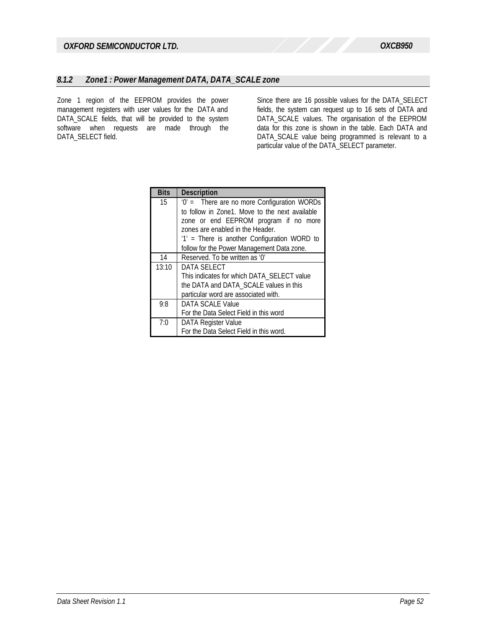## *8.1.2 Zone1 : Power Management DATA, DATA\_SCALE zone*

Zone 1 region of the EEPROM provides the power management registers with user values for the DATA and DATA\_SCALE fields, that will be provided to the system software when requests are made through the DATA\_SELECT field.

Since there are 16 possible values for the DATA\_SELECT fields, the system can request up to 16 sets of DATA and DATA\_SCALE values. The organisation of the EEPROM data for this zone is shown in the table. Each DATA and DATA\_SCALE value being programmed is relevant to a particular value of the DATA\_SELECT parameter.

| <b>Bits</b> | <b>Description</b>                             |  |  |  |
|-------------|------------------------------------------------|--|--|--|
| 15          | $'0'$ = There are no more Configuration WORDs  |  |  |  |
|             | to follow in Zone1. Move to the next available |  |  |  |
|             | zone or end EEPROM program if no more          |  |  |  |
|             | zones are enabled in the Header.               |  |  |  |
|             | '1' = There is another Configuration WORD to   |  |  |  |
|             | follow for the Power Management Data zone.     |  |  |  |
| 14          | Reserved. To be written as '0'                 |  |  |  |
| 13:10       | <b>DATA SELECT</b>                             |  |  |  |
|             | This indicates for which DATA_SELECT value     |  |  |  |
|             | the DATA and DATA_SCALE values in this         |  |  |  |
|             | particular word are associated with.           |  |  |  |
| 9:8         | <b>DATA SCALE Value</b>                        |  |  |  |
|             | For the Data Select Field in this word         |  |  |  |
| 7:0         | <b>DATA Register Value</b>                     |  |  |  |
|             | For the Data Select Field in this word.        |  |  |  |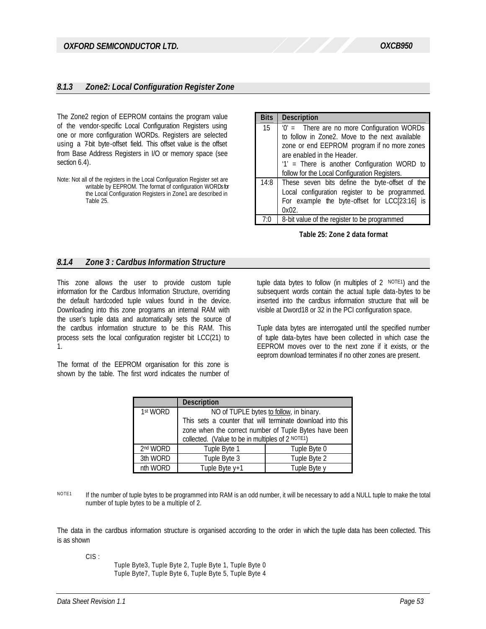## *8.1.3 Zone2: Local Configuration Register Zone*

The Zone2 region of EEPROM contains the program value of the vendor-specific Local Configuration Registers using one or more configuration WORDs. Registers are selected using a 7-bit byte-offset field. This offset value is the offset from Base Address Registers in I/O or memory space (see section 6.4).

Note: Not all of the registers in the Local Configuration Register set are writable by EEPROM. The format of configuration WORDs for the Local Configuration Registers in Zone1 are described in Table 25.

| <b>Bits</b> | <b>Description</b>                                                                                                                                                                                                                                                              |
|-------------|---------------------------------------------------------------------------------------------------------------------------------------------------------------------------------------------------------------------------------------------------------------------------------|
| 15          | $'0'$ = There are no more Configuration WORDs<br>to follow in Zone2. Move to the next available<br>zone or end EEPROM program if no more zones<br>are enabled in the Header.<br>$'1'$ = There is another Configuration WORD to<br>follow for the Local Configuration Registers. |
| 14:8        | These seven bits define the byte-offset of the<br>Local configuration register to be programmed.<br>For example the byte-offset for LCC[23:16] is<br>$0x02$ .                                                                                                                   |
| 7۰۲         | 8-bit value of the register to be programmed                                                                                                                                                                                                                                    |

**Table 25: Zone 2 data format**

#### *8.1.4 Zone 3 : Cardbus Information Structure*

This zone allows the user to provide custom tuple information for the Cardbus Information Structure, overriding the default hardcoded tuple values found in the device. Downloading into this zone programs an internal RAM with the user's tuple data and automatically sets the source of the cardbus information structure to be this RAM. This process sets the local configuration register bit LCC(21) to 1.

The format of the EEPROM organisation for this zone is shown by the table. The first word indicates the number of tuple data bytes to follow (in multiples of 2 NOTE1) and the subsequent words contain the actual tuple data-bytes to be inserted into the cardbus information structure that will be visible at Dword18 or 32 in the PCI configuration space.

Tuple data bytes are interrogated until the specified number of tuple data-bytes have been collected in which case the EEPROM moves over to the next zone if it exists, or the eeprom download terminates if no other zones are present.

|                      | <b>Description</b>                                         |              |  |
|----------------------|------------------------------------------------------------|--------------|--|
| 1st WORD             | NO of TUPLE bytes to follow, in binary.                    |              |  |
|                      | This sets a counter that will terminate download into this |              |  |
|                      | zone when the correct number of Tuple Bytes have been      |              |  |
|                      | collected. (Value to be in multiples of 2 NOTE1)           |              |  |
| 2 <sup>nd</sup> WORD | Tuple Byte 1                                               | Tuple Byte 0 |  |
| 3th WORD             | Tuple Byte 3                                               | Tuple Byte 2 |  |
| nth WORD             | Tuple Byte y+1                                             | Tuple Byte y |  |

NOTE1 If the number of tuple bytes to be programmed into RAM is an odd number, it will be necessary to add a NULL tuple to make the total number of tuple bytes to be a multiple of 2.

The data in the cardbus information structure is organised according to the order in which the tuple data has been collected. This is as shown

CIS :

Tuple Byte3, Tuple Byte 2, Tuple Byte 1, Tuple Byte 0 Tuple Byte7, Tuple Byte 6, Tuple Byte 5, Tuple Byte 4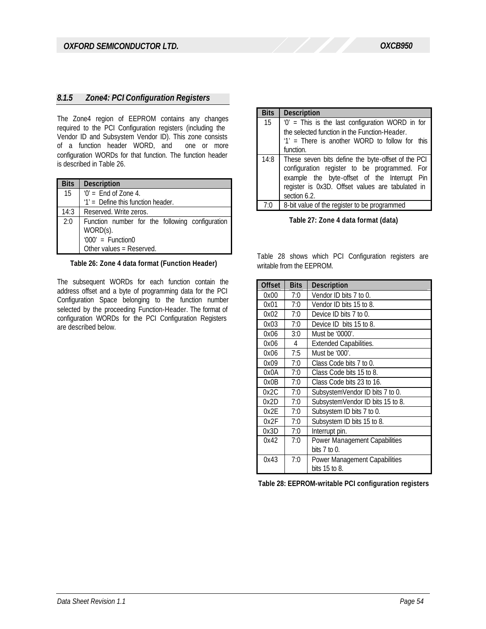## *8.1.5 Zone4: PCI Configuration Registers*

The Zone4 region of EEPROM contains any changes required to the PCI Configuration registers (including the Vendor ID and Subsystem Vendor ID). This zone consists of a function header WORD, and one or more configuration WORDs for that function. The function header is described in Table 26.

| <b>Bits</b> | <b>Description</b>                                          |
|-------------|-------------------------------------------------------------|
| 15          | $'0'$ = End of Zone 4.                                      |
|             | $1'$ = Define this function header.                         |
| 14:3        | Reserved. Write zeros.                                      |
| 2:0         | Function number for the following configuration<br>WORD(s). |
|             | '000' = $\overline{F}$ unction0                             |
|             | Other values = Reserved.                                    |

#### **Table 26: Zone 4 data format (Function Header)**

The subsequent WORDs for each function contain the address offset and a byte of programming data for the PCI Configuration Space belonging to the function number selected by the proceeding Function-Header. The format of configuration WORDs for the PCI Configuration Registers are described below.

| <b>Bits</b> | <b>Description</b>                                                                                                                                                                                                     |
|-------------|------------------------------------------------------------------------------------------------------------------------------------------------------------------------------------------------------------------------|
| 15          | $'0'$ = This is the last configuration WORD in for<br>the selected function in the Function-Header.<br>'1' = There is another WORD to follow for this<br>function.                                                     |
| 14:8        | These seven bits define the byte-offset of the PCI<br>configuration register to be programmed. For<br>example the byte-offset of the Interrupt Pin<br>register is 0x3D. Offset values are tabulated in<br>section 6.2. |
| 7۰N         | 8-bit value of the register to be programmed                                                                                                                                                                           |

**Table 27: Zone 4 data format (data)**

Table 28 shows which PCI Configuration registers are writable from the EEPROM.

| <b>Offset</b> | <b>Bits</b> | <b>Description</b>                             |
|---------------|-------------|------------------------------------------------|
| 0x00          | 7:0         | Vendor ID bits 7 to 0.                         |
| 0x01          | 7:0         | Vendor ID bits 15 to 8.                        |
| 0x02          | 7:0         | Device ID bits 7 to 0.                         |
| 0x03          | 7:0         | Device ID bits 15 to 8.                        |
| 0x06          | 3:0         | Must be '0000'.                                |
| 0x06          | 4           | <b>Extended Capabilities.</b>                  |
| 0x06          | 7:5         | Must be '000'.                                 |
| 0x09          | 7:0         | Class Code bits 7 to 0.                        |
| 0x0A          | 7:0         | Class Code bits 15 to 8.                       |
| 0x0B          | 7:0         | Class Code bits 23 to 16.                      |
| 0x2C          | 7:0         | SubsystemVendor ID bits 7 to 0.                |
| 0x2D          | 7:0         | SubsystemVendor ID bits 15 to 8.               |
| 0x2E          | 7:0         | Subsystem ID bits 7 to 0.                      |
| 0x2F          | 7:0         | Subsystem ID bits 15 to 8.                     |
| 0x3D          | 7:0         | Interrupt pin.                                 |
| 0x42          | 7:0         | Power Management Capabilities                  |
|               |             | bits 7 to 0.                                   |
| 0x43          | 7:0         | Power Management Capabilities<br>bits 15 to 8. |

**Table 28: EEPROM-writable PCI configuration registers**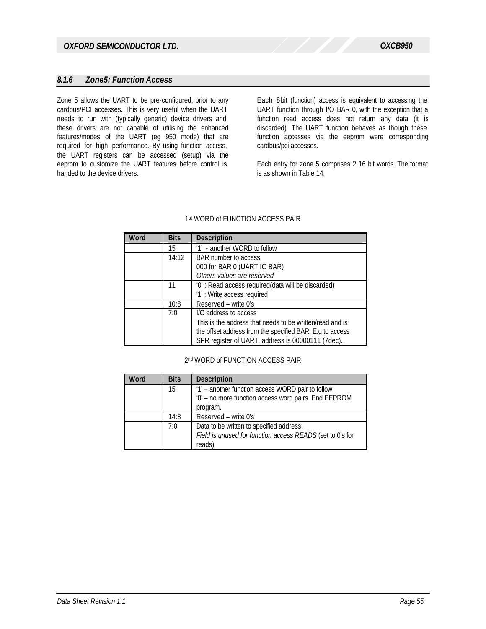## *8.1.6 Zone5: Function Access*

Zone 5 allows the UART to be pre-configured, prior to any cardbus/PCI accesses. This is very useful when the UART needs to run with (typically generic) device drivers and these drivers are not capable of utilising the enhanced features/modes of the UART (eg 950 mode) that are required for high performance. By using function access, the UART registers can be accessed (setup) via the eeprom to customize the UART features before control is handed to the device drivers.

Each 8bit (function) access is equivalent to accessing the UART function through I/O BAR 0, with the exception that a function read access does not return any data (it is discarded). The UART function behaves as though these function accesses via the eeprom were corresponding cardbus/pci accesses.

Each entry for zone 5 comprises 2 16 bit words. The format is as shown in Table 14.

| Word | <b>Bits</b> | <b>Description</b>                                       |
|------|-------------|----------------------------------------------------------|
|      | 15          | '1' - another WORD to follow                             |
|      | 14:12       | BAR number to access                                     |
|      |             | 000 for BAR 0 (UART IO BAR)                              |
|      |             | Others values are reserved                               |
|      | 11          | '0': Read access required(data will be discarded)        |
|      |             | '1': Write access required                               |
|      | 10:8        | Reserved - write 0's                                     |
|      | 7:0         | I/O address to access                                    |
|      |             | This is the address that needs to be written/read and is |
|      |             | the offset address from the specified BAR. E.g to access |
|      |             | SPR register of UART, address is 00000111 (7dec).        |

#### 1st WORD of FUNCTION ACCESS PAIR

| /ord | <b>Bits</b> | <b>Description</b>                                                                                                     |
|------|-------------|------------------------------------------------------------------------------------------------------------------------|
|      | 15          | '1' - another function access WORD pair to follow.<br>'0' - no more function access word pairs. End EEPROM<br>program. |
|      | 14:8        | Reserved – write 0's                                                                                                   |
|      | 7:0         | Data to be written to specified address.<br>Field is unused for function access READS (set to 0's for<br>reads)        |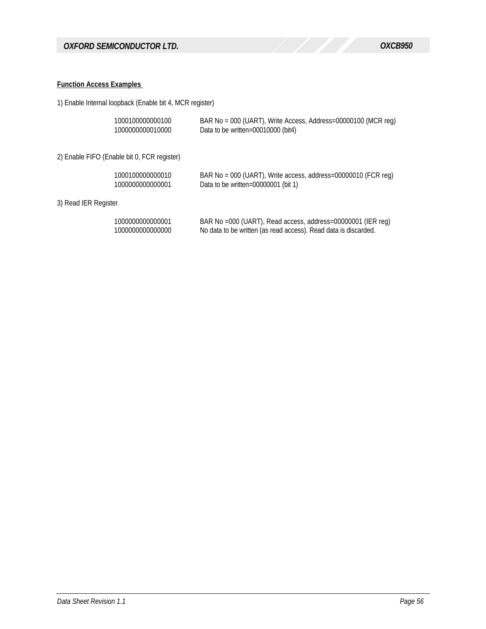# **Function Access Examples**

1) Enable Internal loopback (Enable bit 4, MCR register)

|                      | 1000100000000100<br>1000000000010000        | BAR No = 000 (UART), Write Access, Address=00000100 (MCR req)<br>Data to be written=00010000 (bit4)                            |
|----------------------|---------------------------------------------|--------------------------------------------------------------------------------------------------------------------------------|
|                      | 2) Enable FIFO (Enable bit 0, FCR register) |                                                                                                                                |
|                      | 1000100000000010<br>1000000000000001        | BAR No = 000 (UART), Write access, address=00000010 (FCR reg)<br>Data to be written=00000001 (bit 1)                           |
| 3) Read IER Register |                                             |                                                                                                                                |
|                      | 1000000000000001<br>1000000000000000        | BAR No =000 (UART), Read access, address=00000001 (IER reg)<br>No data to be written (as read access). Read data is discarded. |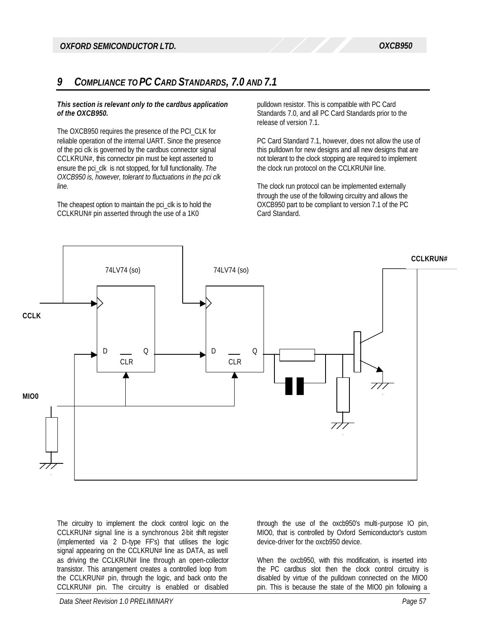# *9 COMPLIANCE TO PC CARD STANDARDS, 7.0 AND 7.1*

#### *This section is relevant only to the cardbus application of the OXCB950.*

The OXCB950 requires the presence of the PCI\_CLK for reliable operation of the internal UART. Since the presence of the pci clk is governed by the cardbus connector signal CCLKRUN#, this connector pin must be kept asserted to ensure the pci\_clk is not stopped, for full functionality. *The OXCB950 is, however, tolerant to fluctuations in the pci clk line.*

The cheapest option to maintain the pci\_clk is to hold the CCLKRUN# pin asserted through the use of a 1K0

pulldown resistor. This is compatible with PC Card Standards 7.0, and all PC Card Standards prior to the release of version 7.1.

PC Card Standard 7.1, however, does not allow the use of this pulldown for new designs and all new designs that are not tolerant to the clock stopping are required to implement the clock run protocol on the CCLKRUN# line.

The clock run protocol can be implemented externally through the use of the following circuitry and allows the OXCB950 part to be compliant to version 7.1 of the PC Card Standard.



The circuitry to implement the clock control logic on the CCLKRUN# signal line is a synchronous 2-bit shift register (implemented via 2 D-type FF's) that utilises the logic signal appearing on the CCLKRUN# line as DATA, as well as driving the CCLKRUN# line through an open-collector transistor. This arrangement creates a controlled loop from the CCLKRUN# pin, through the logic, and back onto the CCLKRUN# pin. The circuitry is enabled or disabled

through the use of the oxcb950's multi-purpose IO pin, MIO0, that is controlled by Oxford Semiconductor's custom device-driver for the oxcb950 device.

When the oxcb950, with this modification, is inserted into the PC cardbus slot then the clock control circuitry is disabled by virtue of the pulldown connected on the MIO0 pin. This is because the state of the MIO0 pin following a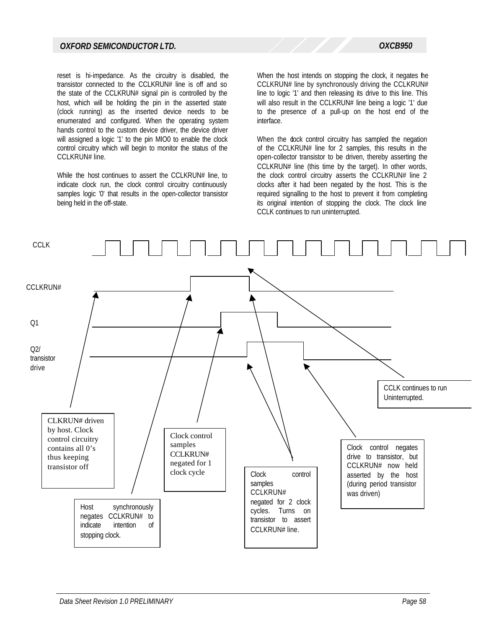reset is hi-impedance. As the circuitry is disabled, the transistor connected to the CCLKRUN# line is off and so the state of the CCLKRUN# signal pin is controlled by the host, which will be holding the pin in the asserted state (clock running) as the inserted device needs to be enumerated and configured. When the operating system hands control to the custom device driver, the device driver will assigned a logic '1' to the pin MIO0 to enable the clock control circuitry which will begin to monitor the status of the CCLKRUN# line.

While the host continues to assert the CCLKRUN# line, to indicate clock run, the clock control circuitry continuously samples logic '0' that results in the open-collector transistor being held in the off-state.

When the host intends on stopping the clock, it negates he CCLKRUN# line by synchronously driving the CCLKRUN# line to logic '1' and then releasing its drive to this line. This will also result in the CCLKRUN# line being a logic '1' due to the presence of a pull-up on the host end of the interface.

When the dock control circuitry has sampled the negation of the CCLKRUN# line for 2 samples, this results in the open-collector transistor to be driven, thereby asserting the CCLKRUN# line (this time by the target). In other words, the clock control circuitry asserts the CCLKRUN# line 2 clocks after it had been negated by the host. This is the required signalling to the host to prevent it from completing its original intention of stopping the clock. The clock line CCLK continues to run uninterrupted.

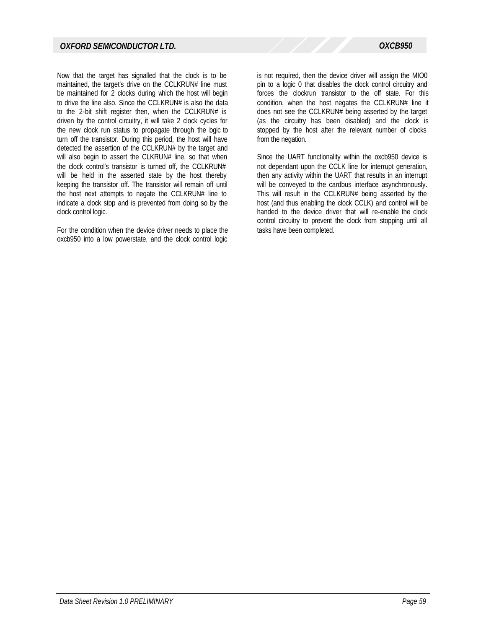Now that the target has signalled that the clock is to be maintained, the target's drive on the CCLKRUN# line must be maintained for 2 clocks during which the host will begin to drive the line also. Since the CCLKRUN# is also the data to the 2-bit shift register then, when the CCLKRUN# is driven by the control circuitry, it will take 2 clock cycles for the new clock run status to propagate through the bgic to turn off the transistor. During this period, the host will have detected the assertion of the CCLKRUN# by the target and will also begin to assert the CLKRUN# line, so that when the clock control's transistor is turned off, the CCLKRUN# will be held in the asserted state by the host thereby keeping the transistor off. The transistor will remain off until the host next attempts to negate the CCLKRUN# line to indicate a clock stop and is prevented from doing so by the clock control logic.

For the condition when the device driver needs to place the oxcb950 into a low powerstate, and the clock control logic is not required, then the device driver will assign the MIO0 pin to a logic 0 that disables the clock control circuitry and forces the clockrun transistor to the off state. For this condition, when the host negates the CCLKRUN# line it does not see the CCLKRUN# being asserted by the target (as the circuitry has been disabled) and the clock is stopped by the host after the relevant number of clocks from the negation.

Since the UART functionality within the oxcb950 device is not dependant upon the CCLK line for interrupt generation, then any activity within the UART that results in an interrupt will be conveyed to the cardbus interface asynchronously. This will result in the CCLKRUN# being asserted by the host (and thus enabling the clock CCLK) and control will be handed to the device driver that will re-enable the clock control circuitry to prevent the clock from stopping until all tasks have been completed.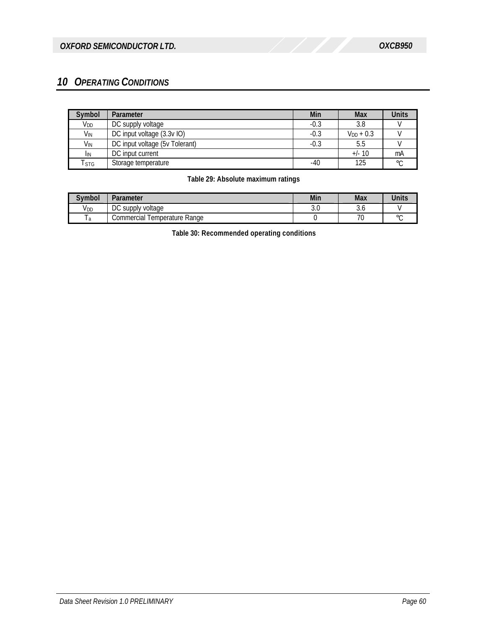# *10 OPERATING CONDITIONS*

| Symbol            | Parameter                      | Min    | <b>Max</b>     | <b>Units</b> |
|-------------------|--------------------------------|--------|----------------|--------------|
| V <sub>DD</sub>   | DC supply voltage              | -0.3   | 3.8            |              |
| $V_{\mathsf{IN}}$ | DC input voltage (3.3v IO)     | $-0.3$ | $V_{DD}$ + 0.3 |              |
| V <sub>IN</sub>   | DC input voltage (5v Tolerant) | -0.3   | 5.5            |              |
| ΙM                | DC input current               |        | $+/- 10$       | mA           |
| Гsтg              | Storage temperature            | -40    | 125            | $\circ$      |

**Table 29: Absolute maximum ratings**

| Symbol | Parameter                       | Min | Max                   | <b>Units</b> |
|--------|---------------------------------|-----|-----------------------|--------------|
| Vdd    | DC<br>supply voltage            | J.U | J.U                   |              |
| ı a    | Temperature Range<br>Commercial |     | 7 <sup>c</sup><br>7 U | $\circ$      |

**Table 30: Recommended operating conditions**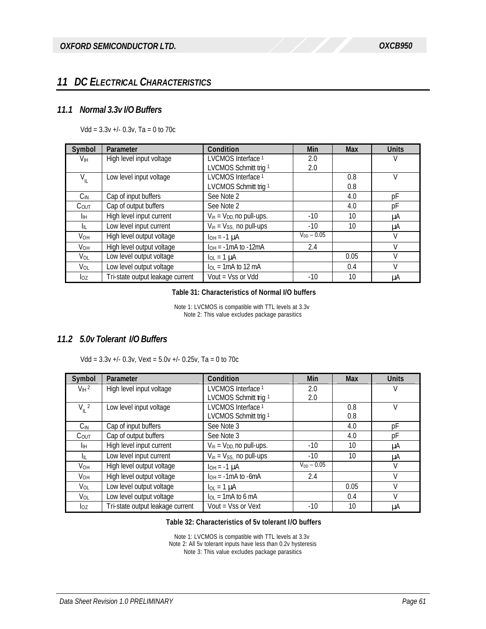# *11 DC ELECTRICAL CHARACTERISTICS*

## *11.1 Normal 3.3v I/O Buffers*

Vdd =  $3.3v +1.0.3v$ , Ta = 0 to 70c

| Symbol           | Parameter                        | Condition                        | <b>Min</b>      | <b>Max</b>      | <b>Units</b> |
|------------------|----------------------------------|----------------------------------|-----------------|-----------------|--------------|
| Vıн              | High level input voltage         | LVCMOS Interface <sup>1</sup>    | 2.0             |                 | V            |
|                  |                                  | LVCMOS Schmitt trig 1            | 2.0             |                 |              |
| $V_{IL}$         | Low level input voltage          | LVCMOS Interface <sup>1</sup>    |                 | 0.8             | V            |
|                  |                                  | LVCMOS Schmitt trig 1            |                 | 0.8             |              |
| $C_{IN}$         | Cap of input buffers             | See Note 2                       |                 | 4.0             | рF           |
| C <sub>OUT</sub> | Cap of output buffers            | See Note 2                       |                 | 4.0             | рF           |
| Iін.             | High level input current         | $V_{in} = V_{DD}$ , no pull-ups. | $-10$           | 10 <sup>1</sup> | μA           |
| Iπ.              | Low level input current          | $V_{in} = V_{SS}$ , no pull-ups  | $-10$           | 10 <sup>1</sup> | μA           |
| Vон              | High level output voltage        | $IOH = -1 \mu A$                 | $V_{DD} - 0.05$ |                 | V            |
| V <sub>OH</sub>  | High level output voltage        | $I_{OH} = -1mA$ to $-12mA$       | 2.4             |                 |              |
| VOL              | Low level output voltage         | $I_{OL} = 1 \mu A$               |                 | 0.05            | V            |
| Vol              | Low level output voltage         | $I_{OL}$ = 1mA to 12 mA          |                 | 0.4             | V            |
| $\overline{107}$ | Tri-state output leakage current | Vout = Vss or Vdd                | -10             | 10 <sup>1</sup> | μA           |

#### **Table 31: Characteristics of Normal I/O buffers**

Note 1: LVCMOS is compatible with TTL levels at 3.3v Note 2: This value excludes package parasitics

# *11.2 5.0v Tolerant I/O Buffers*

Vdd = 3.3v +/- 0.3v, Vext = 5.0v +/- 0.25v, Ta = 0 to 70c

| Symbol            | Parameter                        | Condition                        | Min             | <b>Max</b>      | <b>Units</b> |
|-------------------|----------------------------------|----------------------------------|-----------------|-----------------|--------------|
| $V_{\text{IH}}^2$ | High level input voltage         | LVCMOS Interface <sup>1</sup>    | 2.0             |                 |              |
|                   |                                  | LVCMOS Schmitt trig 1            | 2.0             |                 |              |
| $V_{\parallel}$ 2 | Low level input voltage          | LVCMOS Interface <sup>1</sup>    |                 | 0.8             | V            |
|                   |                                  | LVCMOS Schmitt trig 1            |                 | 0.8             |              |
| $C_{IN}$          | Cap of input buffers             | See Note 3                       |                 | 4.0             | рF           |
| C <sub>OUT</sub>  | Cap of output buffers            | See Note 3                       |                 | 4.0             | рF           |
| Iін               | High level input current         | $V_{in} = V_{DD}$ , no pull-ups. | -10             | 10              | μA           |
| Ιij.              | Low level input current          | $V_{in} = V_{SS}$ , no pull-ups  | $-10$           | 10 <sup>1</sup> | μA           |
| V <sub>OH</sub>   | High level output voltage        | $IOH = -1 \mu A$                 | $V_{DD} - 0.05$ |                 | V            |
| <b>V</b> он       | High level output voltage        | $I_{OH} = -1mA$ to $-6mA$        | 2.4             |                 | V            |
| V <sub>OL</sub>   | Low level output voltage         | $I_{OL} = 1 \mu A$               |                 | 0.05            |              |
| V <sub>OL</sub>   | Low level output voltage         | $I_{OL}$ = 1mA to 6 mA           |                 | 0.4             |              |
| loz               | Tri-state output leakage current | Vout = Vss or Vext               | -10             | 10 <sup>1</sup> | μA           |

### **Table 32: Characteristics of 5v tolerant I/O buffers**

Note 1: LVCMOS is compatible with TTL levels at 3.3v Note 2: All 5v tolerant inputs have less than 0.2v hysteresis Note 3: This value excludes package parasitics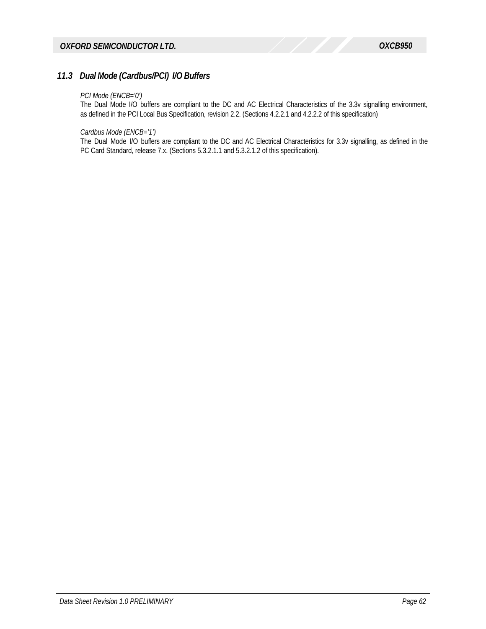# *11.3 Dual Mode (Cardbus/PCI) I/O Buffers*

### *PCI Mode (ENCB='0')*

The Dual Mode I/O buffers are compliant to the DC and AC Electrical Characteristics of the 3.3v signalling environment, as defined in the PCI Local Bus Specification, revision 2.2. (Sections 4.2.2.1 and 4.2.2.2 of this specification)

*Cardbus Mode (ENCB='1')*

The Dual Mode I/O buffers are compliant to the DC and AC Electrical Characteristics for 3.3v signalling, as defined in the PC Card Standard, release 7.x. (Sections 5.3.2.1.1 and 5.3.2.1.2 of this specification).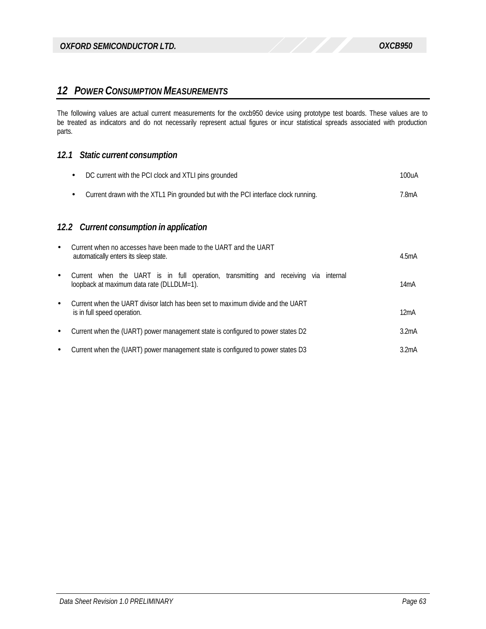# *12 POWER CONSUMPTION MEASUREMENTS*

The following values are actual current measurements for the oxcb950 device using prototype test boards. These values are to be treated as indicators and do not necessarily represent actual figures or incur statistical spreads associated with production parts.

# *12.1 Static current consumption*

|           | DC current with the PCI clock and XTLI pins grounded                                                                             | 100uA              |
|-----------|----------------------------------------------------------------------------------------------------------------------------------|--------------------|
|           | Current drawn with the XTL1 Pin grounded but with the PCI interface clock running.                                               | 7.8 <sub>m</sub> A |
|           | 12.2 Current consumption in application                                                                                          |                    |
| $\bullet$ | Current when no accesses have been made to the UART and the UART<br>automatically enters its sleep state.                        | 4.5mA              |
| $\bullet$ | Current when the UART is in full operation, transmitting and receiving via internal<br>loopback at maximum data rate (DLLDLM=1). | 14mA               |
| $\bullet$ | Current when the UART divisor latch has been set to maximum divide and the UART<br>is in full speed operation.                   | 12mA               |
|           | Current when the (UART) power management state is configured to power states D2                                                  | 3.2mA              |
| $\bullet$ | Current when the (UART) power management state is configured to power states D3                                                  | 3.2mA              |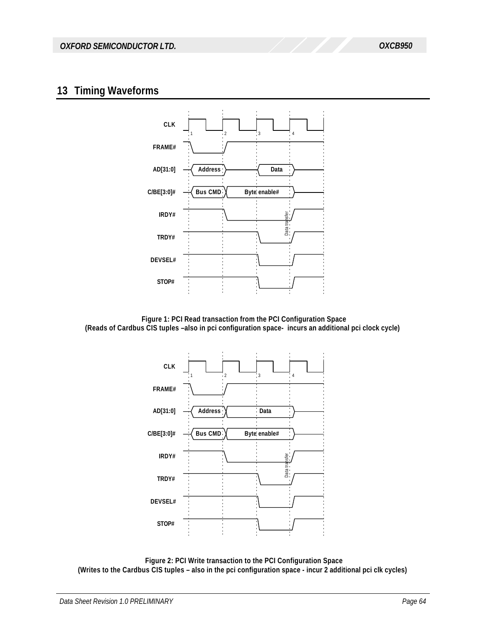# **13 Timing Waveforms**



**Figure 1: PCI Read transaction from the PCI Configuration Space (Reads of Cardbus CIS tuples –also in pci configuration space- incurs an additional pci clock cycle)**



**Figure 2: PCI Write transaction to the PCI Configuration Space (Writes to the Cardbus CIS tuples – also in the pci configuration space - incur 2 additional pci clk cycles)**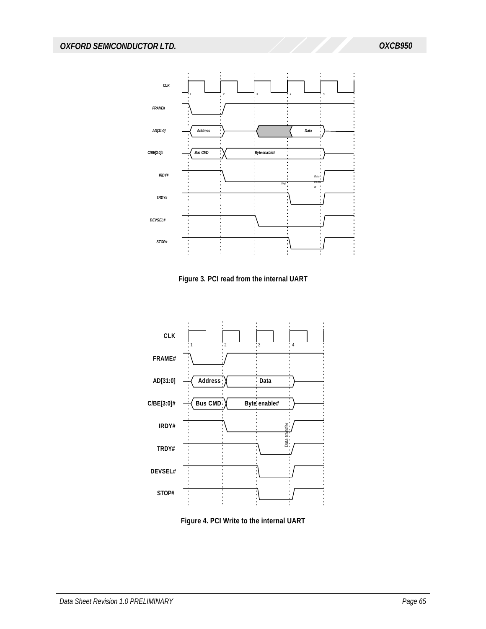





**Figure 4. PCI Write to the internal UART**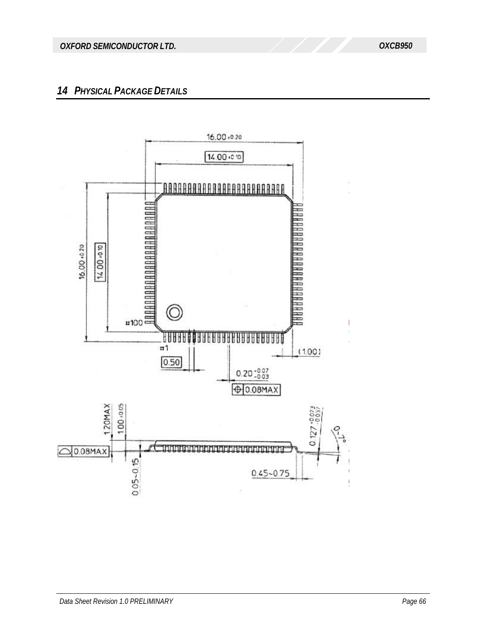# *14 PHYSICAL PACKAGE DETAILS*

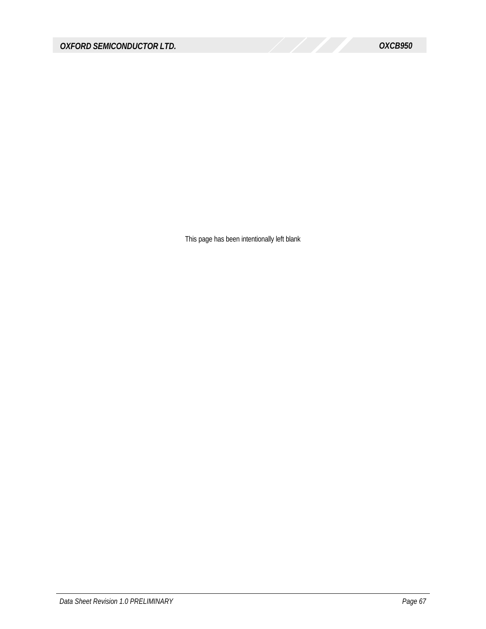This page has been intentionally left blank